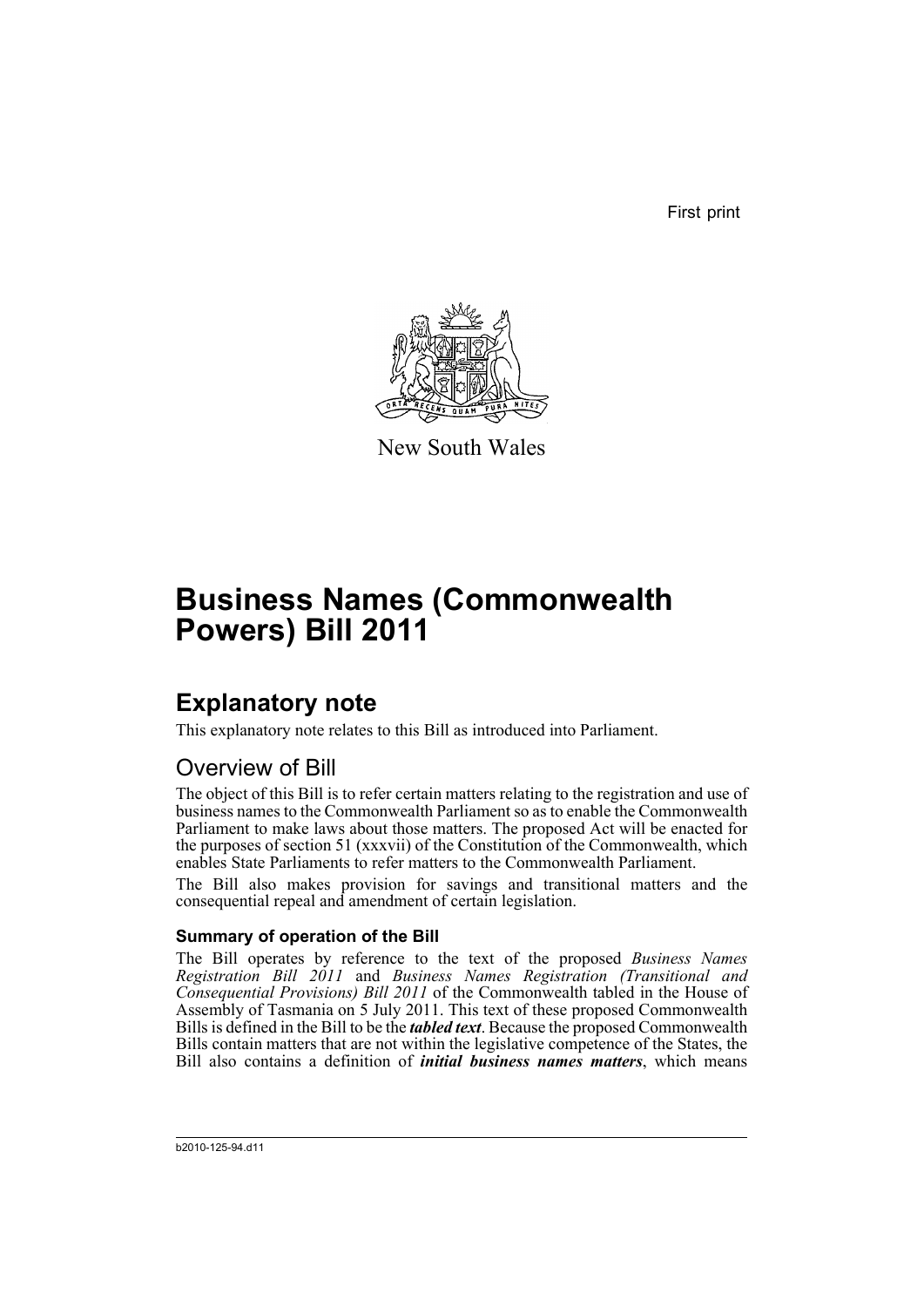First print



New South Wales

# **Business Names (Commonwealth Powers) Bill 2011**

# **Explanatory note**

This explanatory note relates to this Bill as introduced into Parliament.

# Overview of Bill

The object of this Bill is to refer certain matters relating to the registration and use of business names to the Commonwealth Parliament so as to enable the Commonwealth Parliament to make laws about those matters. The proposed Act will be enacted for the purposes of section 51 (xxxvii) of the Constitution of the Commonwealth, which enables State Parliaments to refer matters to the Commonwealth Parliament.

The Bill also makes provision for savings and transitional matters and the consequential repeal and amendment of certain legislation.

# **Summary of operation of the Bill**

The Bill operates by reference to the text of the proposed *Business Names Registration Bill 2011* and *Business Names Registration (Transitional and Consequential Provisions) Bill 2011* of the Commonwealth tabled in the House of Assembly of Tasmania on 5 July 2011. This text of these proposed Commonwealth Bills is defined in the Bill to be the *tabled text*. Because the proposed Commonwealth Bills contain matters that are not within the legislative competence of the States, the Bill also contains a definition of *initial business names matters*, which means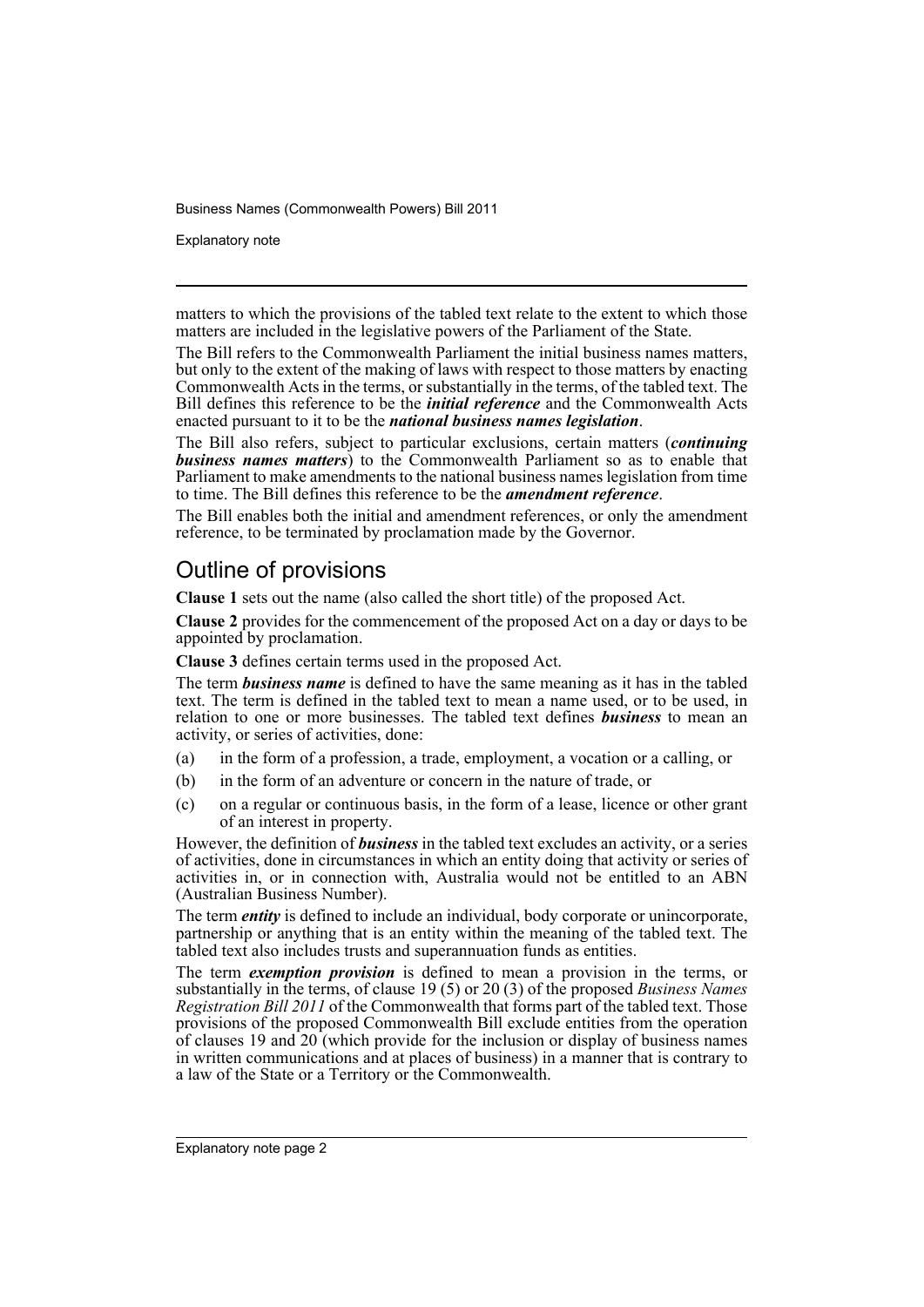Explanatory note

matters to which the provisions of the tabled text relate to the extent to which those matters are included in the legislative powers of the Parliament of the State.

The Bill refers to the Commonwealth Parliament the initial business names matters, but only to the extent of the making of laws with respect to those matters by enacting Commonwealth Acts in the terms, or substantially in the terms, of the tabled text. The Bill defines this reference to be the *initial reference* and the Commonwealth Acts enacted pursuant to it to be the *national business names legislation*.

The Bill also refers, subject to particular exclusions, certain matters (*continuing business names matters*) to the Commonwealth Parliament so as to enable that Parliament to make amendments to the national business names legislation from time to time. The Bill defines this reference to be the *amendment reference*.

The Bill enables both the initial and amendment references, or only the amendment reference, to be terminated by proclamation made by the Governor.

# Outline of provisions

**Clause 1** sets out the name (also called the short title) of the proposed Act.

**Clause 2** provides for the commencement of the proposed Act on a day or days to be appointed by proclamation.

**Clause 3** defines certain terms used in the proposed Act.

The term *business name* is defined to have the same meaning as it has in the tabled text. The term is defined in the tabled text to mean a name used, or to be used, in relation to one or more businesses. The tabled text defines *business* to mean an activity, or series of activities, done:

- (a) in the form of a profession, a trade, employment, a vocation or a calling, or
- (b) in the form of an adventure or concern in the nature of trade, or
- (c) on a regular or continuous basis, in the form of a lease, licence or other grant of an interest in property.

However, the definition of *business* in the tabled text excludes an activity, or a series of activities, done in circumstances in which an entity doing that activity or series of activities in, or in connection with, Australia would not be entitled to an ABN (Australian Business Number).

The term *entity* is defined to include an individual, body corporate or unincorporate, partnership or anything that is an entity within the meaning of the tabled text. The tabled text also includes trusts and superannuation funds as entities.

The term *exemption provision* is defined to mean a provision in the terms, or substantially in the terms, of clause 19 (5) or 20 (3) of the proposed *Business Names Registration Bill 2011* of the Commonwealth that forms part of the tabled text. Those provisions of the proposed Commonwealth Bill exclude entities from the operation of clauses 19 and  $20$  (which provide for the inclusion or display of business names in written communications and at places of business) in a manner that is contrary to a law of the State or a Territory or the Commonwealth.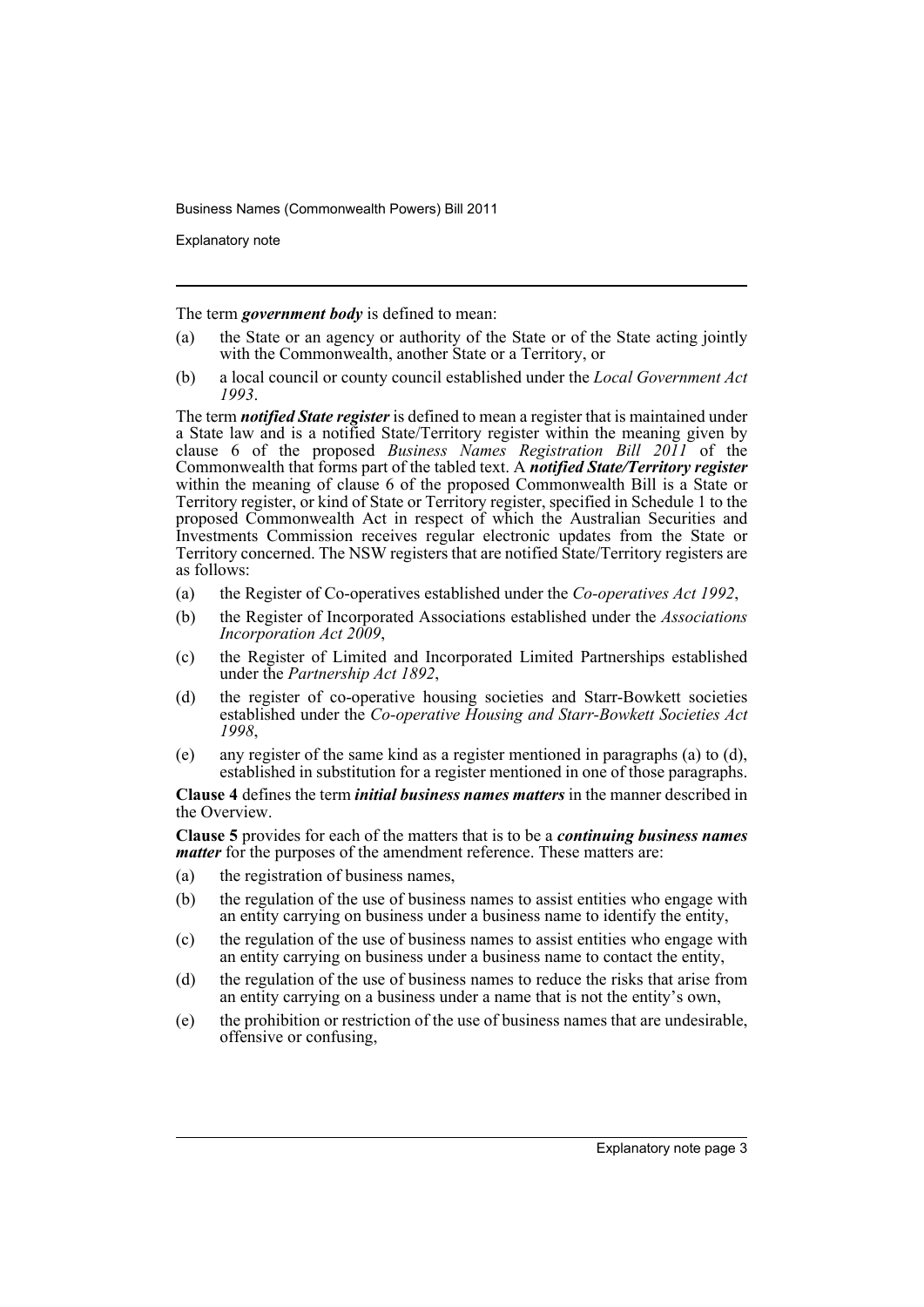Explanatory note

The term *government body* is defined to mean:

- (a) the State or an agency or authority of the State or of the State acting jointly with the Commonwealth, another State or a Territory, or
- (b) a local council or county council established under the *Local Government Act 1993*.

The term *notified State register* is defined to mean a register that is maintained under a State law and is a notified State/Territory register within the meaning given by clause 6 of the proposed *Business Names Registration Bill 2011* of the Commonwealth that forms part of the tabled text. A *notified State/Territory register* within the meaning of clause 6 of the proposed Commonwealth Bill is a State or Territory register, or kind of State or Territory register, specified in Schedule 1 to the proposed Commonwealth Act in respect of which the Australian Securities and Investments Commission receives regular electronic updates from the State or Territory concerned. The NSW registers that are notified State/Territory registers are as follows:

- (a) the Register of Co-operatives established under the *Co-operatives Act 1992*,
- (b) the Register of Incorporated Associations established under the *Associations Incorporation Act 2009*,
- (c) the Register of Limited and Incorporated Limited Partnerships established under the *Partnership Act 1892*,
- (d) the register of co-operative housing societies and Starr-Bowkett societies established under the *Co-operative Housing and Starr-Bowkett Societies Act 1998*,
- (e) any register of the same kind as a register mentioned in paragraphs (a) to (d), established in substitution for a register mentioned in one of those paragraphs.

**Clause 4** defines the term *initial business names matters* in the manner described in the Overview.

**Clause 5** provides for each of the matters that is to be a *continuing business names matter* for the purposes of the amendment reference. These matters are:

- (a) the registration of business names,
- (b) the regulation of the use of business names to assist entities who engage with an entity carrying on business under a business name to identify the entity,
- (c) the regulation of the use of business names to assist entities who engage with an entity carrying on business under a business name to contact the entity,
- (d) the regulation of the use of business names to reduce the risks that arise from an entity carrying on a business under a name that is not the entity's own,
- (e) the prohibition or restriction of the use of business names that are undesirable, offensive or confusing,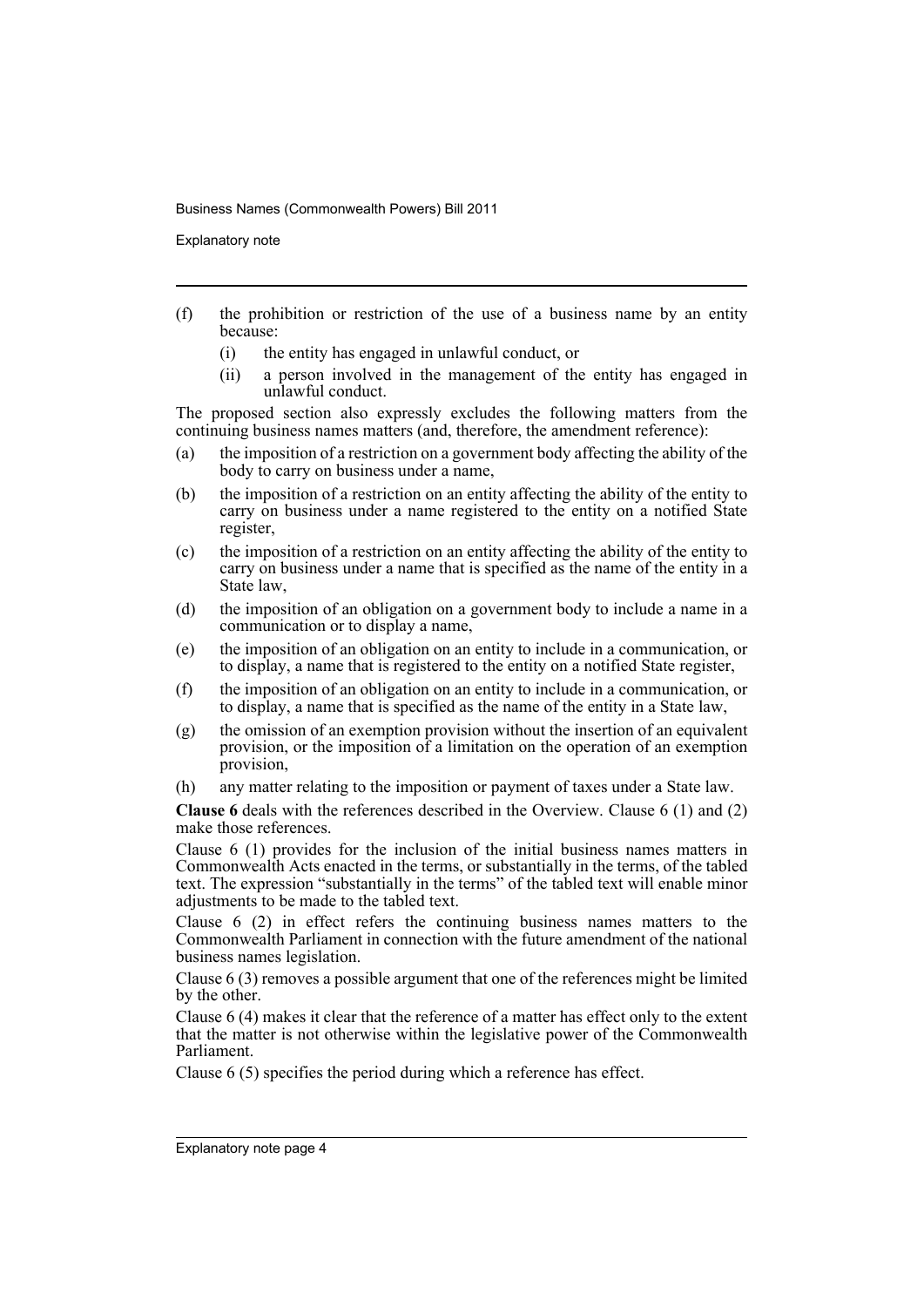Explanatory note

- (f) the prohibition or restriction of the use of a business name by an entity because:
	- (i) the entity has engaged in unlawful conduct, or
	- (ii) a person involved in the management of the entity has engaged in unlawful conduct.

The proposed section also expressly excludes the following matters from the continuing business names matters (and, therefore, the amendment reference):

- (a) the imposition of a restriction on a government body affecting the ability of the body to carry on business under a name,
- (b) the imposition of a restriction on an entity affecting the ability of the entity to carry on business under a name registered to the entity on a notified State register,
- (c) the imposition of a restriction on an entity affecting the ability of the entity to carry on business under a name that is specified as the name of the entity in a State law,
- (d) the imposition of an obligation on a government body to include a name in a communication or to display a name,
- (e) the imposition of an obligation on an entity to include in a communication, or to display, a name that is registered to the entity on a notified State register,
- (f) the imposition of an obligation on an entity to include in a communication, or to display, a name that is specified as the name of the entity in a State law,
- $(g)$  the omission of an exemption provision without the insertion of an equivalent provision, or the imposition of a limitation on the operation of an exemption provision,
- (h) any matter relating to the imposition or payment of taxes under a State law.

**Clause 6** deals with the references described in the Overview. Clause 6 (1) and (2) make those references.

Clause 6 (1) provides for the inclusion of the initial business names matters in Commonwealth Acts enacted in the terms, or substantially in the terms, of the tabled text. The expression "substantially in the terms" of the tabled text will enable minor adjustments to be made to the tabled text.

Clause 6 (2) in effect refers the continuing business names matters to the Commonwealth Parliament in connection with the future amendment of the national business names legislation.

Clause 6 (3) removes a possible argument that one of the references might be limited by the other.

Clause 6 (4) makes it clear that the reference of a matter has effect only to the extent that the matter is not otherwise within the legislative power of the Commonwealth Parliament.

Clause 6 (5) specifies the period during which a reference has effect.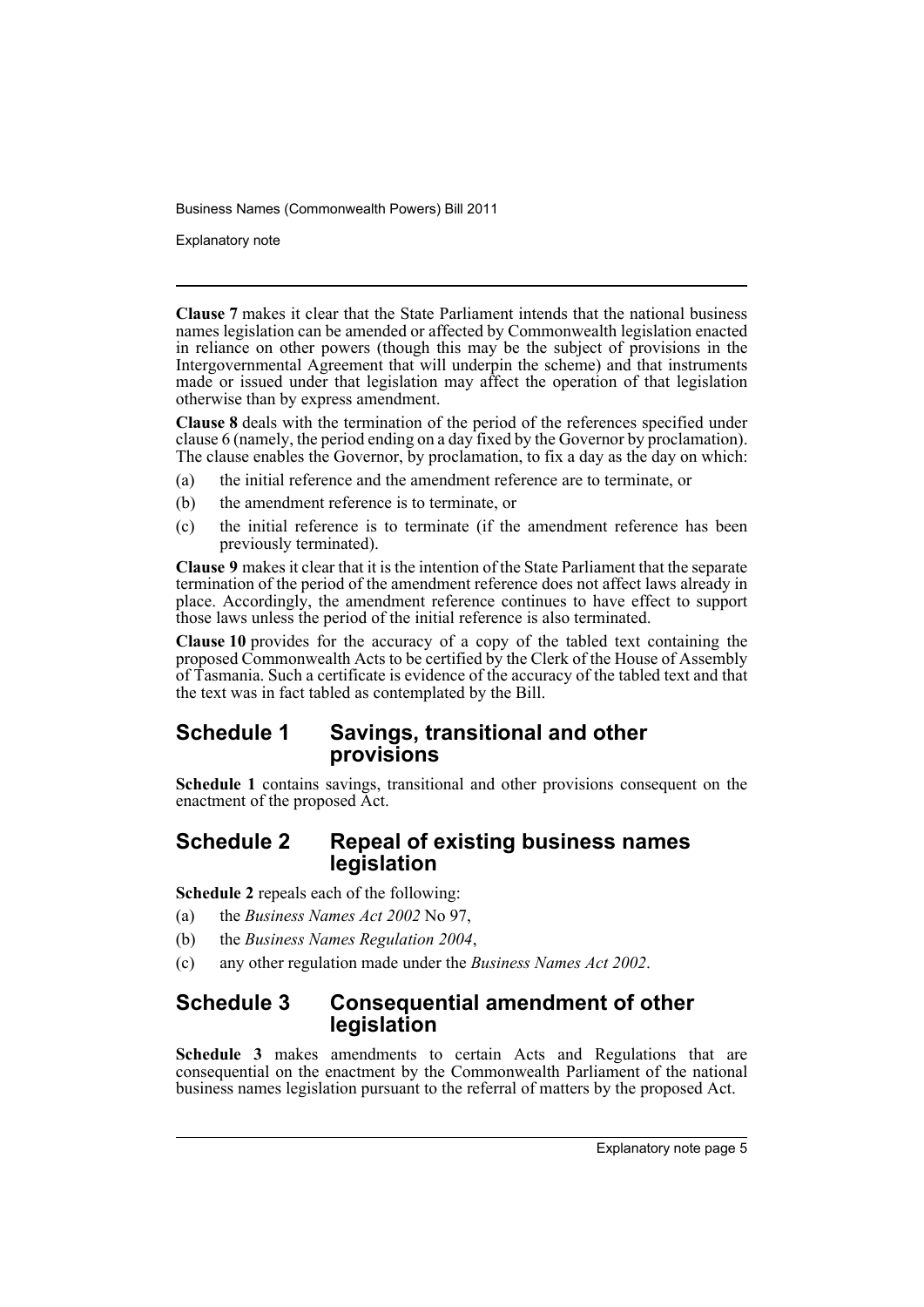Explanatory note

**Clause 7** makes it clear that the State Parliament intends that the national business names legislation can be amended or affected by Commonwealth legislation enacted in reliance on other powers (though this may be the subject of provisions in the Intergovernmental Agreement that will underpin the scheme) and that instruments made or issued under that legislation may affect the operation of that legislation otherwise than by express amendment.

**Clause 8** deals with the termination of the period of the references specified under clause 6 (namely, the period ending on a day fixed by the Governor by proclamation). The clause enables the Governor, by proclamation, to fix a day as the day on which:

- (a) the initial reference and the amendment reference are to terminate, or
- (b) the amendment reference is to terminate, or
- (c) the initial reference is to terminate (if the amendment reference has been previously terminated).

**Clause 9** makes it clear that it is the intention of the State Parliament that the separate termination of the period of the amendment reference does not affect laws already in place. Accordingly, the amendment reference continues to have effect to support those laws unless the period of the initial reference is also terminated.

**Clause 10** provides for the accuracy of a copy of the tabled text containing the proposed Commonwealth Acts to be certified by the Clerk of the House of Assembly of Tasmania. Such a certificate is evidence of the accuracy of the tabled text and that the text was in fact tabled as contemplated by the Bill.

# **Schedule 1 Savings, transitional and other provisions**

**Schedule 1** contains savings, transitional and other provisions consequent on the enactment of the proposed Act.

# **Schedule 2 Repeal of existing business names legislation**

**Schedule 2** repeals each of the following:

- (a) the *Business Names Act 2002* No 97,
- (b) the *Business Names Regulation 2004*,
- (c) any other regulation made under the *Business Names Act 2002*.

# **Schedule 3 Consequential amendment of other legislation**

**Schedule 3** makes amendments to certain Acts and Regulations that are consequential on the enactment by the Commonwealth Parliament of the national business names legislation pursuant to the referral of matters by the proposed Act.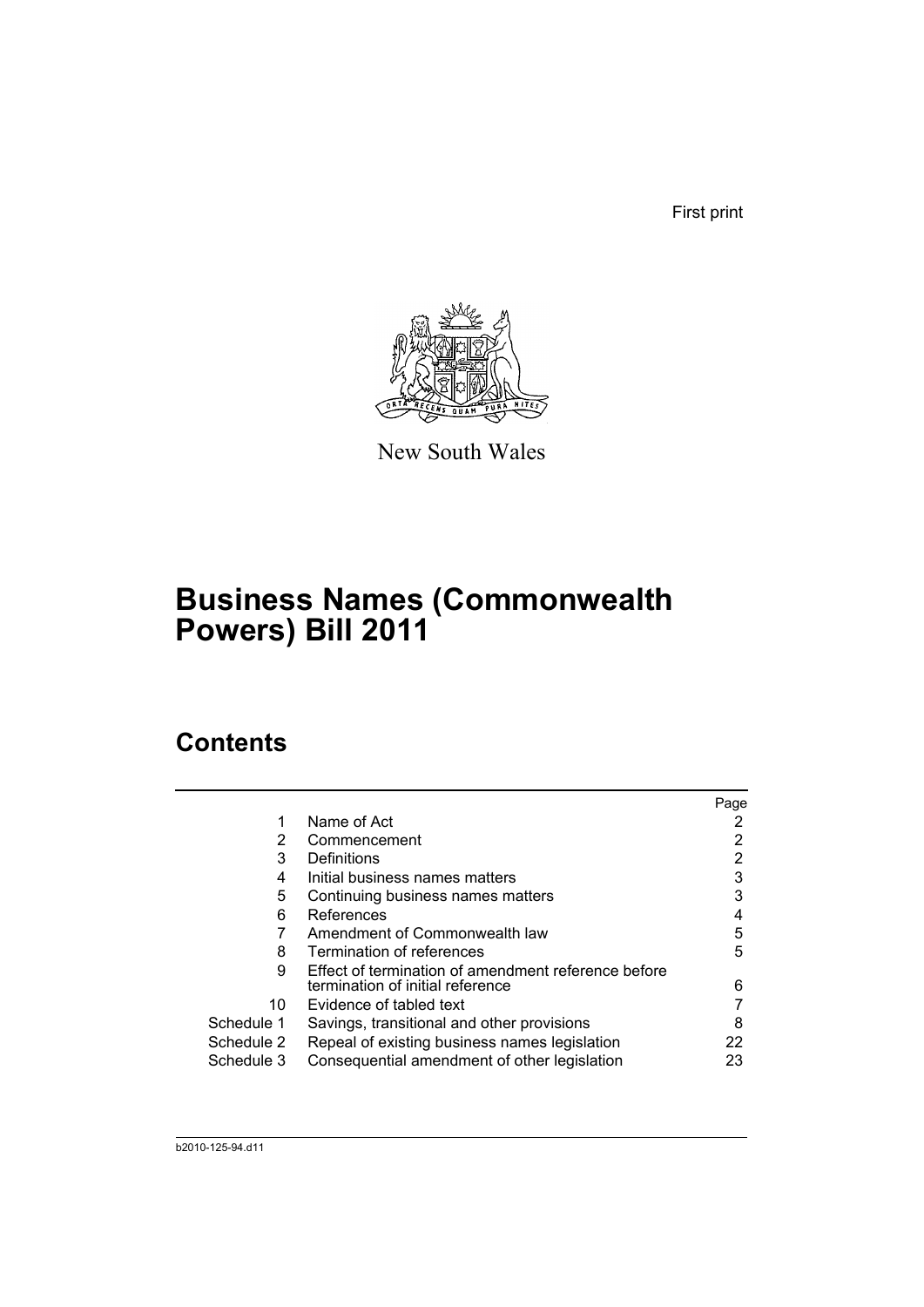First print



New South Wales

# **Business Names (Commonwealth Powers) Bill 2011**

# **Contents**

|            |                                                     | Page |
|------------|-----------------------------------------------------|------|
|            | Name of Act                                         |      |
| 2          | Commencement                                        |      |
| 3          | Definitions                                         | 2    |
| 4          | Initial business names matters                      | 3    |
| 5          | Continuing business names matters                   | 3    |
| 6          | References                                          | 4    |
|            | Amendment of Commonwealth law                       | 5    |
| 8          | Termination of references                           | 5    |
| 9          | Effect of termination of amendment reference before |      |
|            | termination of initial reference                    | 6    |
| 10         | Evidence of tabled text                             |      |
| Schedule 1 | Savings, transitional and other provisions          | 8    |
| Schedule 2 | Repeal of existing business names legislation       | 22   |
| Schedule 3 | Consequential amendment of other legislation        | 23   |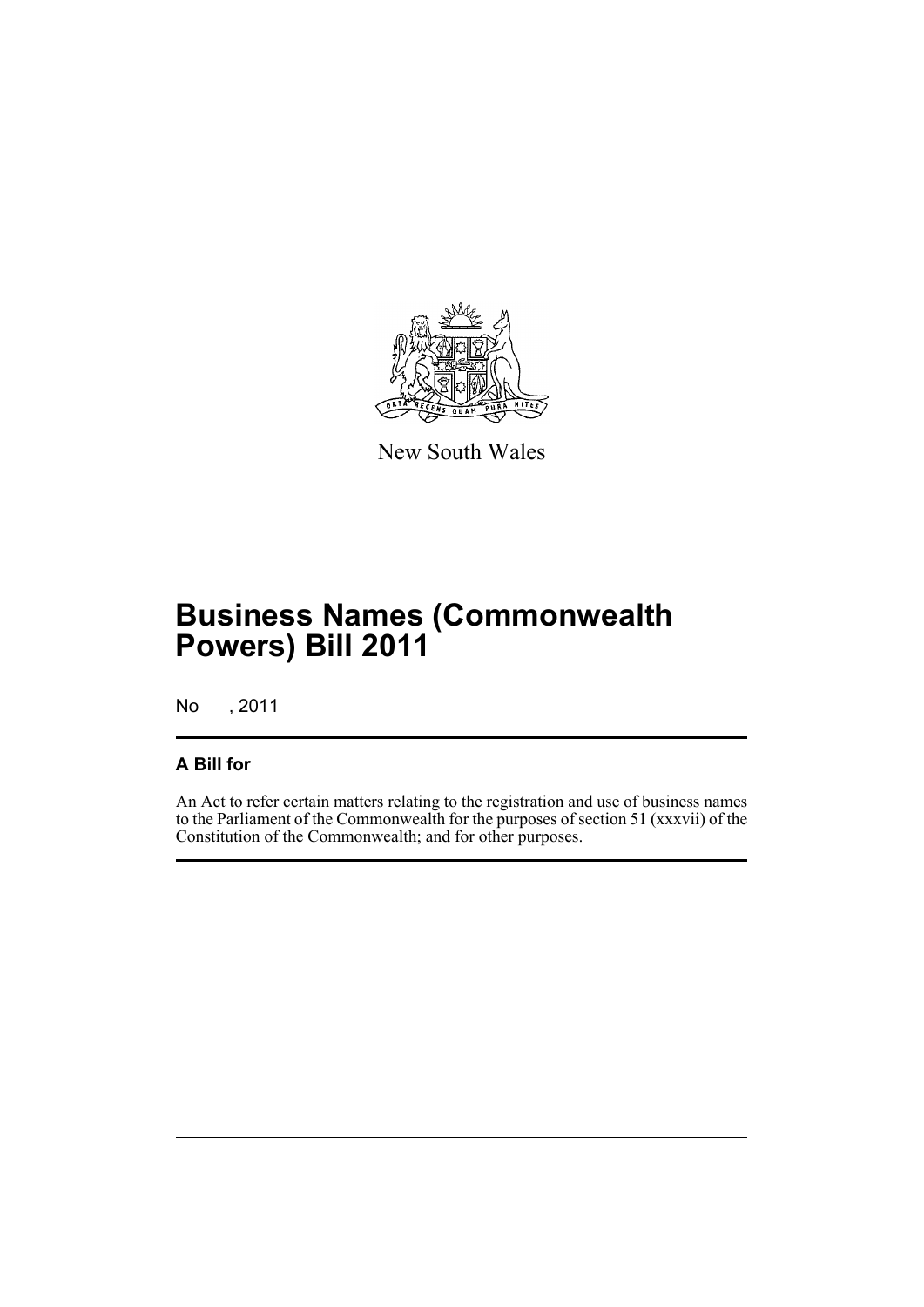

New South Wales

# **Business Names (Commonwealth Powers) Bill 2011**

No , 2011

# **A Bill for**

An Act to refer certain matters relating to the registration and use of business names to the Parliament of the Commonwealth for the purposes of section 51 (xxxvii) of the Constitution of the Commonwealth; and for other purposes.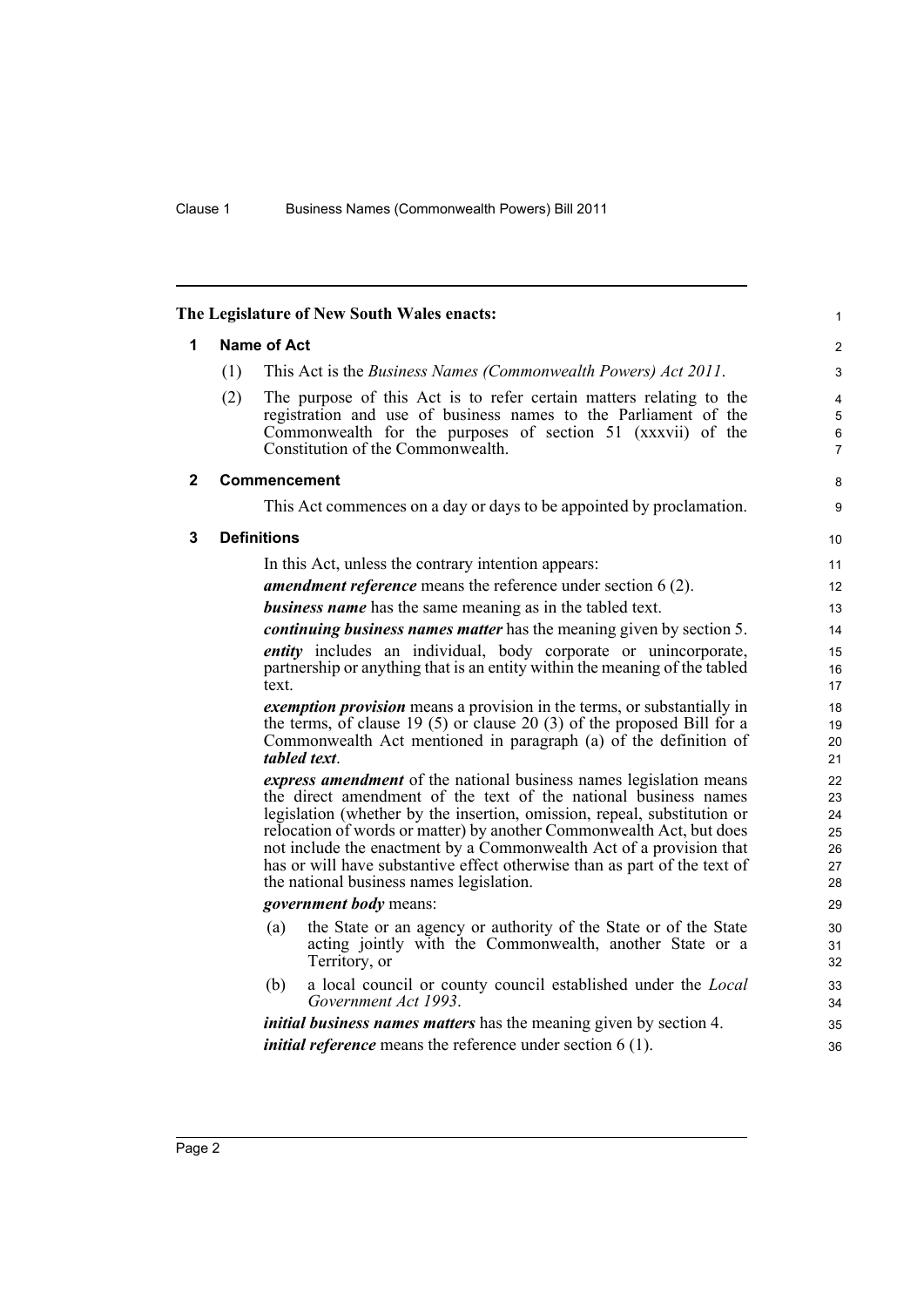<span id="page-9-2"></span><span id="page-9-1"></span><span id="page-9-0"></span>

| 1            |     | <b>Name of Act</b>                                                                                                                               |  |
|--------------|-----|--------------------------------------------------------------------------------------------------------------------------------------------------|--|
|              | (1) | This Act is the Business Names (Commonwealth Powers) Act 2011.                                                                                   |  |
|              | (2) | The purpose of this Act is to refer certain matters relating to the                                                                              |  |
|              |     | registration and use of business names to the Parliament of the<br>Commonwealth for the purposes of section 51 (xxxvii) of the                   |  |
|              |     | Constitution of the Commonwealth.                                                                                                                |  |
| $\mathbf{2}$ |     | <b>Commencement</b>                                                                                                                              |  |
|              |     | This Act commences on a day or days to be appointed by proclamation.                                                                             |  |
| 3            |     | <b>Definitions</b>                                                                                                                               |  |
|              |     | In this Act, unless the contrary intention appears:                                                                                              |  |
|              |     | <b>amendment reference</b> means the reference under section 6 (2).                                                                              |  |
|              |     | <b>business name</b> has the same meaning as in the tabled text.                                                                                 |  |
|              |     | continuing business names matter has the meaning given by section 5.                                                                             |  |
|              |     | entity includes an individual, body corporate or unincorporate,                                                                                  |  |
|              |     | partnership or anything that is an entity within the meaning of the tabled<br>text.                                                              |  |
|              |     | <i>exemption provision</i> means a provision in the terms, or substantially in                                                                   |  |
|              |     | the terms, of clause 19 (5) or clause 20 (3) of the proposed Bill for a<br>Commonwealth Act mentioned in paragraph (a) of the definition of      |  |
|              |     | tabled text.                                                                                                                                     |  |
|              |     | <i>express amendment</i> of the national business names legislation means                                                                        |  |
|              |     | the direct amendment of the text of the national business names                                                                                  |  |
|              |     | legislation (whether by the insertion, omission, repeal, substitution or<br>relocation of words or matter) by another Commonwealth Act, but does |  |
|              |     | not include the enactment by a Commonwealth Act of a provision that                                                                              |  |
|              |     | has or will have substantive effect otherwise than as part of the text of                                                                        |  |
|              |     | the national business names legislation.                                                                                                         |  |
|              |     | <i>government body</i> means:                                                                                                                    |  |
|              |     | the State or an agency or authority of the State or of the State<br>(a)                                                                          |  |
|              |     | acting jointly with the Commonwealth, another State or a<br>Territory, or                                                                        |  |
|              |     | a local council or county council established under the <i>Local</i><br>(b)                                                                      |  |
|              |     | Government Act 1993.                                                                                                                             |  |
|              |     | <i>initial business names matters</i> has the meaning given by section 4.                                                                        |  |
|              |     | <i>initial reference</i> means the reference under section $6(1)$ .                                                                              |  |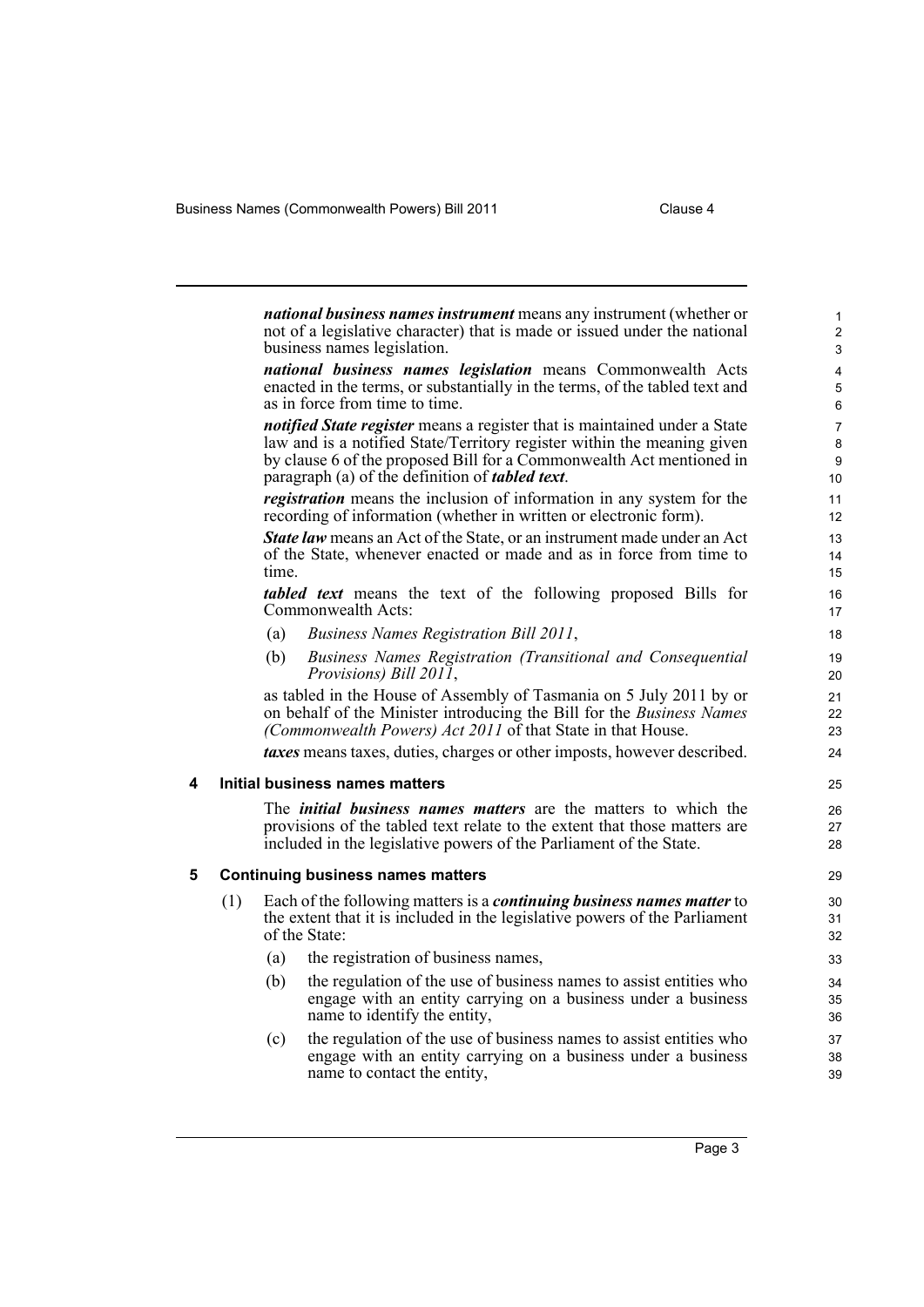Business Names (Commonwealth Powers) Bill 2011 Clause 4

<span id="page-10-1"></span><span id="page-10-0"></span>

|   |     |       | <i>national business names instrument</i> means any instrument (whether or<br>not of a legislative character) that is made or issued under the national<br>business names legislation.                                                                                                         | $\mathbf{1}$<br>$\overline{2}$<br>$\mathsf 3$ |
|---|-----|-------|------------------------------------------------------------------------------------------------------------------------------------------------------------------------------------------------------------------------------------------------------------------------------------------------|-----------------------------------------------|
|   |     |       | national business names legislation means Commonwealth Acts<br>enacted in the terms, or substantially in the terms, of the tabled text and<br>as in force from time to time.                                                                                                                   | 4<br>5<br>6                                   |
|   |     |       | <i>notified State register</i> means a register that is maintained under a State<br>law and is a notified State/Territory register within the meaning given<br>by clause 6 of the proposed Bill for a Commonwealth Act mentioned in<br>paragraph (a) of the definition of <i>tabled text</i> . | $\overline{7}$<br>8<br>$\boldsymbol{9}$<br>10 |
|   |     |       | <i>registration</i> means the inclusion of information in any system for the<br>recording of information (whether in written or electronic form).                                                                                                                                              | 11<br>12                                      |
|   |     | time. | <b>State law</b> means an Act of the State, or an instrument made under an Act<br>of the State, whenever enacted or made and as in force from time to                                                                                                                                          | 13<br>14<br>15                                |
|   |     |       | <i>tabled text</i> means the text of the following proposed Bills for<br>Commonwealth Acts:                                                                                                                                                                                                    | 16<br>17                                      |
|   |     | (a)   | Business Names Registration Bill 2011,                                                                                                                                                                                                                                                         | 18                                            |
|   |     | (b)   | Business Names Registration (Transitional and Consequential<br>Provisions) Bill 2011,                                                                                                                                                                                                          | 19<br>20                                      |
|   |     |       | as tabled in the House of Assembly of Tasmania on 5 July 2011 by or<br>on behalf of the Minister introducing the Bill for the Business Names<br>(Commonwealth Powers) Act 2011 of that State in that House.                                                                                    | 21<br>22<br>23                                |
|   |     |       | <i>taxes</i> means taxes, duties, charges or other imposts, however described.                                                                                                                                                                                                                 | 24                                            |
| 4 |     |       | Initial business names matters                                                                                                                                                                                                                                                                 | 25                                            |
|   |     |       | The <i>initial business names matters</i> are the matters to which the<br>provisions of the tabled text relate to the extent that those matters are<br>included in the legislative powers of the Parliament of the State.                                                                      | 26<br>27<br>28                                |
| 5 |     |       | <b>Continuing business names matters</b>                                                                                                                                                                                                                                                       | 29                                            |
|   | (1) |       | Each of the following matters is a <i>continuing business names matter</i> to<br>the extent that it is included in the legislative powers of the Parliament<br>of the State:                                                                                                                   | 30<br>31<br>32                                |
|   |     | (a)   | the registration of business names,                                                                                                                                                                                                                                                            | 33                                            |
|   |     | (b)   | the regulation of the use of business names to assist entities who<br>engage with an entity carrying on a business under a business<br>name to identify the entity.                                                                                                                            | 34<br>35<br>36                                |
|   |     | (c)   | the regulation of the use of business names to assist entities who<br>engage with an entity carrying on a business under a business<br>name to contact the entity,                                                                                                                             | 37<br>38<br>39                                |
|   |     |       |                                                                                                                                                                                                                                                                                                |                                               |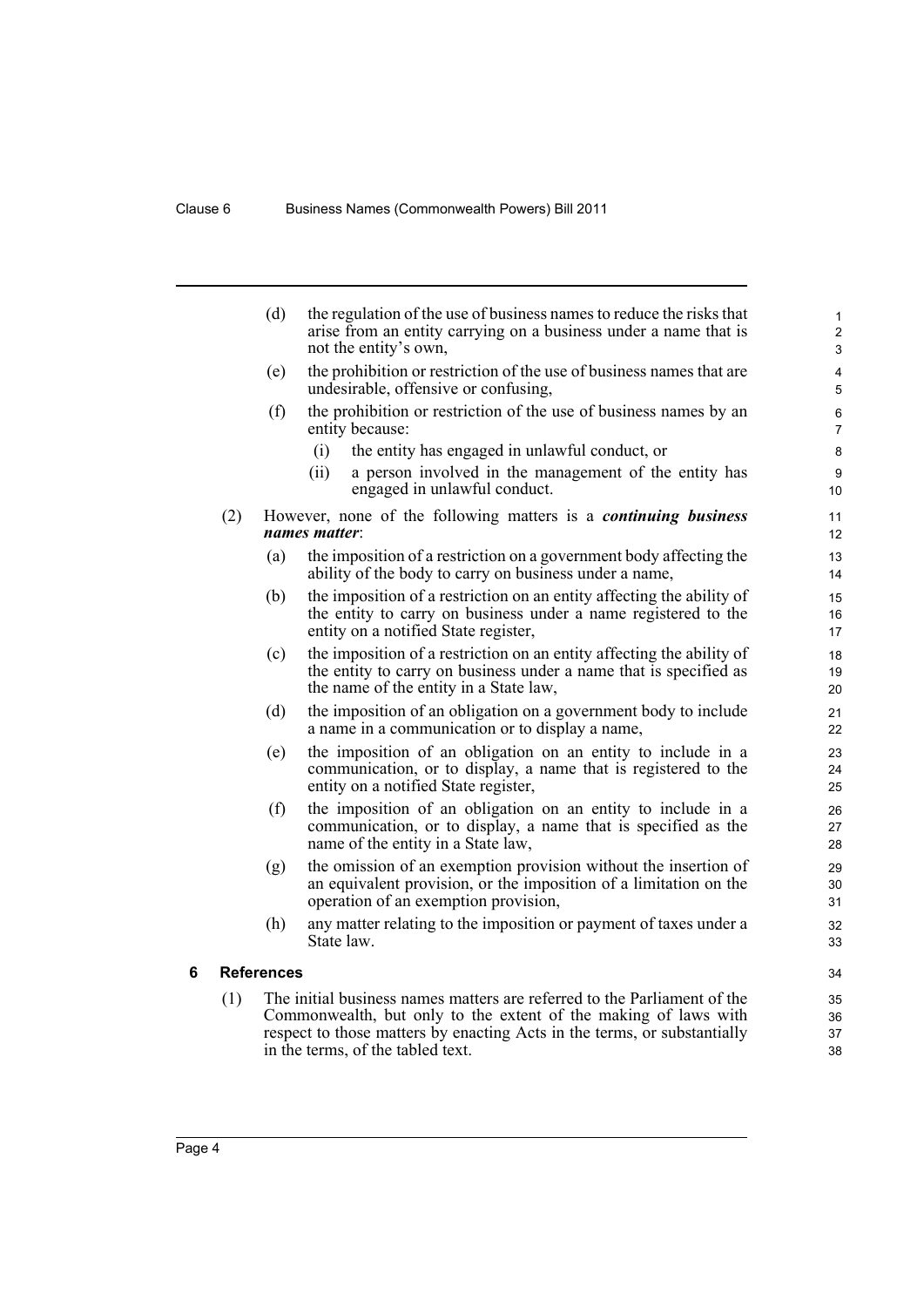|   |     | (d)               | the regulation of the use of business names to reduce the risks that<br>arise from an entity carrying on a business under a name that is<br>not the entity's own,                    | 1<br>$\boldsymbol{2}$<br>3 |
|---|-----|-------------------|--------------------------------------------------------------------------------------------------------------------------------------------------------------------------------------|----------------------------|
|   |     | (e)               | the prohibition or restriction of the use of business names that are<br>undesirable, offensive or confusing,                                                                         | 4<br>5                     |
|   |     | (f)               | the prohibition or restriction of the use of business names by an<br>entity because:                                                                                                 | 6<br>$\overline{7}$        |
|   |     |                   | (i)<br>the entity has engaged in unlawful conduct, or                                                                                                                                | 8                          |
|   |     |                   | (ii)<br>a person involved in the management of the entity has<br>engaged in unlawful conduct.                                                                                        | 9<br>10                    |
|   | (2) |                   | However, none of the following matters is a <i>continuing business</i><br>names matter:                                                                                              | 11<br>12                   |
|   |     | (a)               | the imposition of a restriction on a government body affecting the<br>ability of the body to carry on business under a name,                                                         | 13<br>14                   |
|   |     | (b)               | the imposition of a restriction on an entity affecting the ability of<br>the entity to carry on business under a name registered to the<br>entity on a notified State register,      | 15<br>16<br>17             |
|   |     | (c)               | the imposition of a restriction on an entity affecting the ability of<br>the entity to carry on business under a name that is specified as<br>the name of the entity in a State law, | 18<br>19<br>20             |
|   |     | (d)               | the imposition of an obligation on a government body to include<br>a name in a communication or to display a name,                                                                   | 21<br>22                   |
|   |     | (e)               | the imposition of an obligation on an entity to include in a<br>communication, or to display, a name that is registered to the<br>entity on a notified State register,               | 23<br>24<br>25             |
|   |     | (f)               | the imposition of an obligation on an entity to include in a<br>communication, or to display, a name that is specified as the<br>name of the entity in a State law,                  | 26<br>27<br>28             |
|   |     | (g)               | the omission of an exemption provision without the insertion of<br>an equivalent provision, or the imposition of a limitation on the<br>operation of an exemption provision,         | 29<br>30<br>31             |
|   |     | (h)               | any matter relating to the imposition or payment of taxes under a<br>State law.                                                                                                      | 32<br>33                   |
| 6 |     | <b>References</b> |                                                                                                                                                                                      | 34                         |
|   | (1) |                   | The initial business names matters are referred to the Parliament of the                                                                                                             | 35                         |
|   |     |                   | Commonwealth, but only to the extent of the making of laws with<br>respect to those matters by enacting Acts in the terms, or substantially<br>in the terms, of the tabled text.     | 36<br>37<br>38             |

<span id="page-11-0"></span>Page 4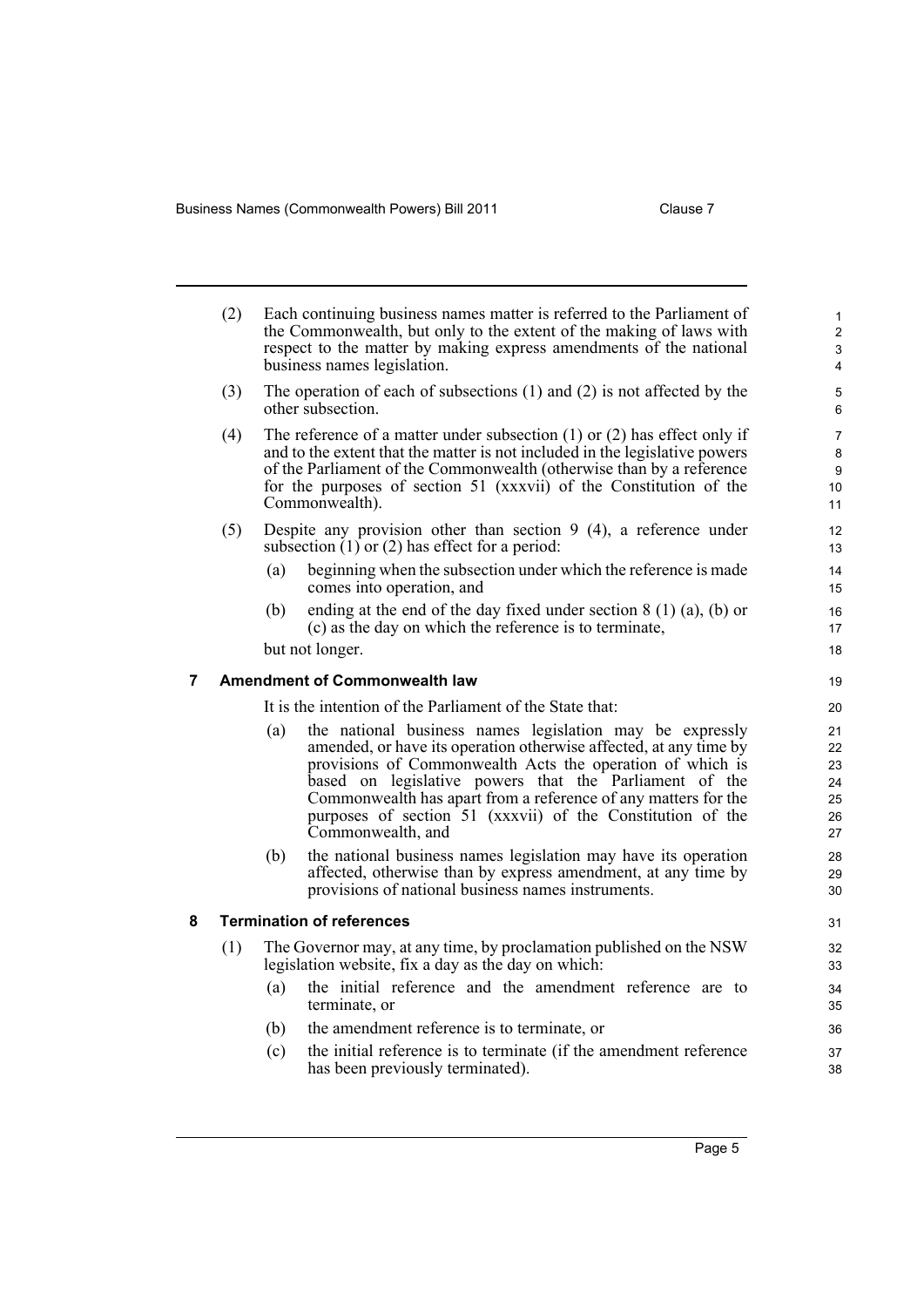Business Names (Commonwealth Powers) Bill 2011 Clause 7

<span id="page-12-1"></span><span id="page-12-0"></span>

|   | (2) |     | Each continuing business names matter is referred to the Parliament of<br>the Commonwealth, but only to the extent of the making of laws with<br>respect to the matter by making express amendments of the national<br>business names legislation.                                                                                                                                                        | $\mathbf{1}$<br>$\overline{2}$<br>3<br>4 |
|---|-----|-----|-----------------------------------------------------------------------------------------------------------------------------------------------------------------------------------------------------------------------------------------------------------------------------------------------------------------------------------------------------------------------------------------------------------|------------------------------------------|
|   | (3) |     | The operation of each of subsections $(1)$ and $(2)$ is not affected by the<br>other subsection.                                                                                                                                                                                                                                                                                                          | 5<br>6                                   |
|   | (4) |     | The reference of a matter under subsection $(1)$ or $(2)$ has effect only if<br>and to the extent that the matter is not included in the legislative powers<br>of the Parliament of the Commonwealth (otherwise than by a reference<br>for the purposes of section 51 (xxxvii) of the Constitution of the<br>Commonwealth).                                                                               | $\overline{7}$<br>8<br>9<br>10<br>11     |
|   | (5) |     | Despite any provision other than section $9(4)$ , a reference under<br>subsection $(1)$ or $(2)$ has effect for a period:                                                                                                                                                                                                                                                                                 | 12<br>13                                 |
|   |     | (a) | beginning when the subsection under which the reference is made<br>comes into operation, and                                                                                                                                                                                                                                                                                                              | 14<br>15                                 |
|   |     | (b) | ending at the end of the day fixed under section $8(1)(a)$ , (b) or<br>(c) as the day on which the reference is to terminate,                                                                                                                                                                                                                                                                             | 16<br>17                                 |
|   |     |     | but not longer.                                                                                                                                                                                                                                                                                                                                                                                           | 18                                       |
| 7 |     |     | <b>Amendment of Commonwealth law</b>                                                                                                                                                                                                                                                                                                                                                                      | 19                                       |
|   |     |     | It is the intention of the Parliament of the State that:                                                                                                                                                                                                                                                                                                                                                  | 20                                       |
|   |     | (a) | the national business names legislation may be expressly<br>amended, or have its operation otherwise affected, at any time by<br>provisions of Commonwealth Acts the operation of which is<br>based on legislative powers that the Parliament of the<br>Commonwealth has apart from a reference of any matters for the<br>purposes of section 51 (xxxvii) of the Constitution of the<br>Commonwealth, and | 21<br>22<br>23<br>24<br>25<br>26<br>27   |
|   |     | (b) | the national business names legislation may have its operation<br>affected, otherwise than by express amendment, at any time by<br>provisions of national business names instruments.                                                                                                                                                                                                                     | 28<br>29<br>30                           |
| 8 |     |     | <b>Termination of references</b>                                                                                                                                                                                                                                                                                                                                                                          | 31                                       |
|   | (1) |     | The Governor may, at any time, by proclamation published on the NSW<br>legislation website, fix a day as the day on which:                                                                                                                                                                                                                                                                                | 32<br>33                                 |
|   |     | (a) | the initial reference and the amendment reference are to<br>terminate, or                                                                                                                                                                                                                                                                                                                                 | 34<br>35                                 |
|   |     | (b) | the amendment reference is to terminate, or                                                                                                                                                                                                                                                                                                                                                               | 36                                       |
|   |     | (c) | the initial reference is to terminate (if the amendment reference<br>has been previously terminated).                                                                                                                                                                                                                                                                                                     | 37<br>38                                 |
|   |     |     |                                                                                                                                                                                                                                                                                                                                                                                                           |                                          |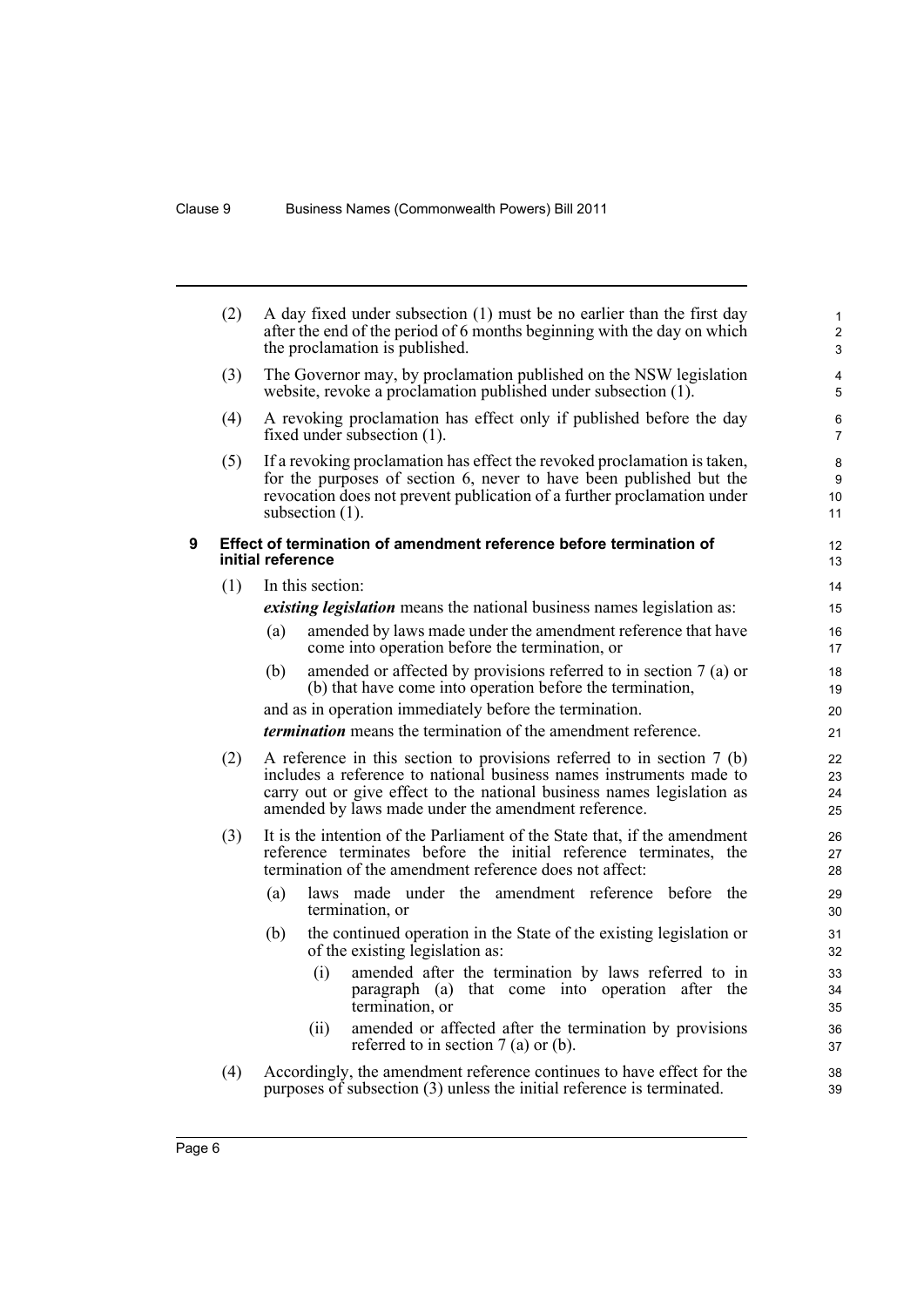<span id="page-13-0"></span>

|   | (2) |                   | A day fixed under subsection (1) must be no earlier than the first day<br>after the end of the period of 6 months beginning with the day on which<br>the proclamation is published.                                        | $\mathbf{1}$<br>$\overline{2}$<br>3 |
|---|-----|-------------------|----------------------------------------------------------------------------------------------------------------------------------------------------------------------------------------------------------------------------|-------------------------------------|
|   | (3) |                   | The Governor may, by proclamation published on the NSW legislation<br>website, revoke a proclamation published under subsection (1).                                                                                       | 4<br>5                              |
|   | (4) |                   | A revoking proclamation has effect only if published before the day<br>fixed under subsection (1).                                                                                                                         | 6<br>$\overline{7}$                 |
|   | (5) | subsection (1).   | If a revoking proclamation has effect the revoked proclamation is taken,<br>for the purposes of section 6, never to have been published but the<br>revocation does not prevent publication of a further proclamation under | 8<br>9<br>10<br>11                  |
| 9 |     | initial reference | Effect of termination of amendment reference before termination of                                                                                                                                                         | 12<br>13                            |
|   | (1) | In this section:  |                                                                                                                                                                                                                            | 14                                  |
|   |     |                   | <i>existing legislation</i> means the national business names legislation as:                                                                                                                                              | 15                                  |
|   |     | (a)               | amended by laws made under the amendment reference that have<br>come into operation before the termination, or                                                                                                             | 16<br>17                            |
|   |     | (b)               | amended or affected by provisions referred to in section 7 (a) or<br>(b) that have come into operation before the termination,                                                                                             | 18<br>19                            |
|   |     |                   | and as in operation immediately before the termination.                                                                                                                                                                    | 20                                  |
|   |     |                   | <i>termination</i> means the termination of the amendment reference.                                                                                                                                                       | 21                                  |
|   | (2) |                   | A reference in this section to provisions referred to in section $7$ (b)                                                                                                                                                   | 22                                  |
|   |     |                   | includes a reference to national business names instruments made to<br>carry out or give effect to the national business names legislation as                                                                              | 23<br>24                            |
|   |     |                   | amended by laws made under the amendment reference.                                                                                                                                                                        | 25                                  |
|   | (3) |                   | It is the intention of the Parliament of the State that, if the amendment                                                                                                                                                  | 26                                  |
|   |     |                   | reference terminates before the initial reference terminates, the<br>termination of the amendment reference does not affect:                                                                                               | 27<br>28                            |
|   |     | (a)               | laws made under the amendment reference before the                                                                                                                                                                         | 29                                  |
|   |     |                   | termination, or                                                                                                                                                                                                            | 30                                  |
|   |     | (b)               | the continued operation in the State of the existing legislation or<br>of the existing legislation as:                                                                                                                     | 31<br>32                            |
|   |     | (i)               | amended after the termination by laws referred to in<br>paragraph (a) that come into operation after the<br>termination, or                                                                                                | 33<br>34<br>35                      |
|   |     | (ii)              | amended or affected after the termination by provisions<br>referred to in section $7$ (a) or (b).                                                                                                                          | 36<br>37                            |
|   | (4) |                   | Accordingly, the amendment reference continues to have effect for the<br>purposes of subsection (3) unless the initial reference is terminated.                                                                            | 38<br>39                            |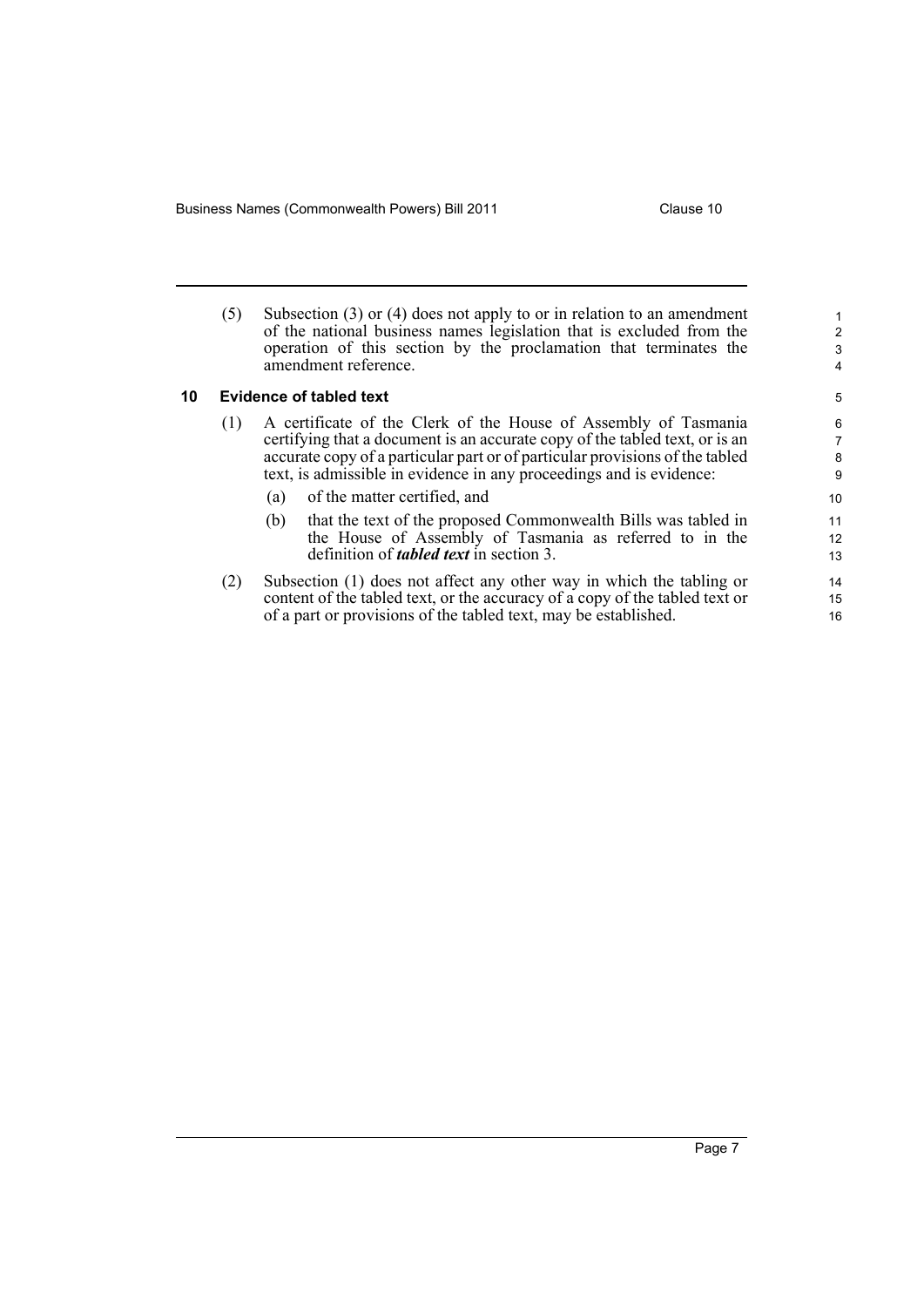Business Names (Commonwealth Powers) Bill 2011 **Clause 10** Clause 10

<span id="page-14-0"></span>

|    | (5) | Subsection $(3)$ or $(4)$ does not apply to or in relation to an amendment<br>of the national business names legislation that is excluded from the<br>operation of this section by the proclamation that terminates the<br>amendment reference.                                                       | $\overline{c}$<br>3<br>4 |
|----|-----|-------------------------------------------------------------------------------------------------------------------------------------------------------------------------------------------------------------------------------------------------------------------------------------------------------|--------------------------|
| 10 |     | <b>Evidence of tabled text</b>                                                                                                                                                                                                                                                                        | 5                        |
|    | (1) | A certificate of the Clerk of the House of Assembly of Tasmania<br>certifying that a document is an accurate copy of the tabled text, or is an<br>accurate copy of a particular part or of particular provisions of the tabled<br>text, is admissible in evidence in any proceedings and is evidence: |                          |
|    |     | of the matter certified, and<br>(a)<br>that the text of the proposed Commonwealth Bills was tabled in<br>(b)<br>the House of Assembly of Tasmania as referred to in the<br>definition of <i>tabled text</i> in section 3.                                                                             | 10<br>11<br>12<br>13     |
|    | (2) | Subsection (1) does not affect any other way in which the tabling or<br>content of the tabled text, or the accuracy of a copy of the tabled text or                                                                                                                                                   | 14<br>15                 |

of a part or provisions of the tabled text, may be established.

16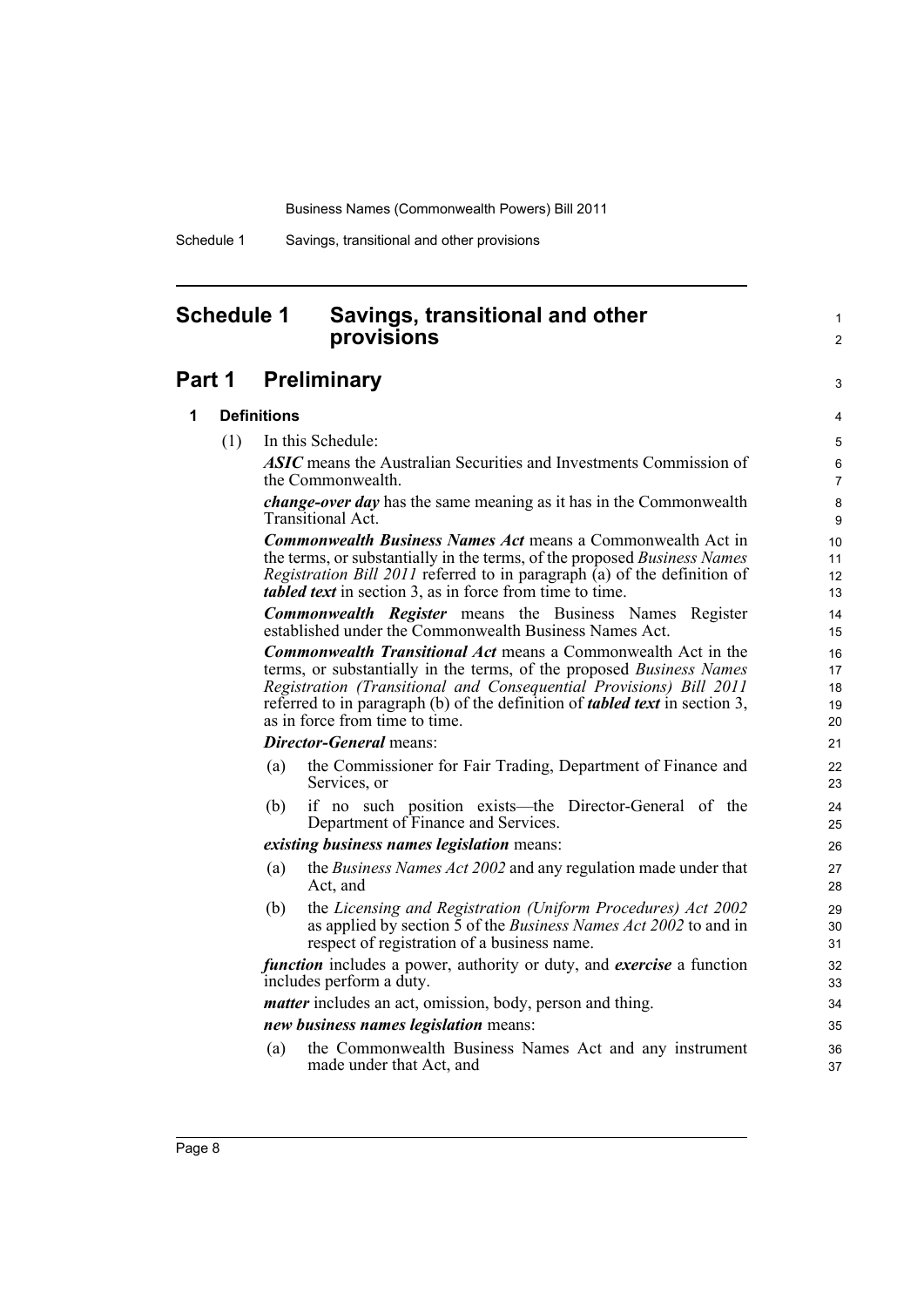Schedule 1 Savings, transitional and other provisions

# <span id="page-15-0"></span>**Schedule 1 Savings, transitional and other provisions**

# **Part 1 Preliminary**

## **1 Definitions**

(1) In this Schedule:

*ASIC* means the Australian Securities and Investments Commission of the Commonwealth.

1  $\mathfrak{p}$ 

3

*change-over day* has the same meaning as it has in the Commonwealth Transitional Act.

*Commonwealth Business Names Act* means a Commonwealth Act in the terms, or substantially in the terms, of the proposed *Business Names Registration Bill 2011* referred to in paragraph (a) of the definition of *tabled text* in section 3, as in force from time to time.

*Commonwealth Register* means the Business Names Register established under the Commonwealth Business Names Act.

*Commonwealth Transitional Act* means a Commonwealth Act in the terms, or substantially in the terms, of the proposed *Business Names Registration (Transitional and Consequential Provisions) Bill 2011* referred to in paragraph (b) of the definition of *tabled text* in section 3, as in force from time to time.

### *Director-General* means:

- (a) the Commissioner for Fair Trading, Department of Finance and Services, or
- (b) if no such position exists—the Director-General of the Department of Finance and Services.

### *existing business names legislation* means:

- (a) the *Business Names Act 2002* and any regulation made under that Act, and
- (b) the *Licensing and Registration (Uniform Procedures) Act 2002* as applied by section 5 of the *Business Names Act 2002* to and in respect of registration of a business name.

*function* includes a power, authority or duty, and *exercise* a function includes perform a duty.

*matter* includes an act, omission, body, person and thing.

*new business names legislation* means:

(a) the Commonwealth Business Names Act and any instrument made under that Act, and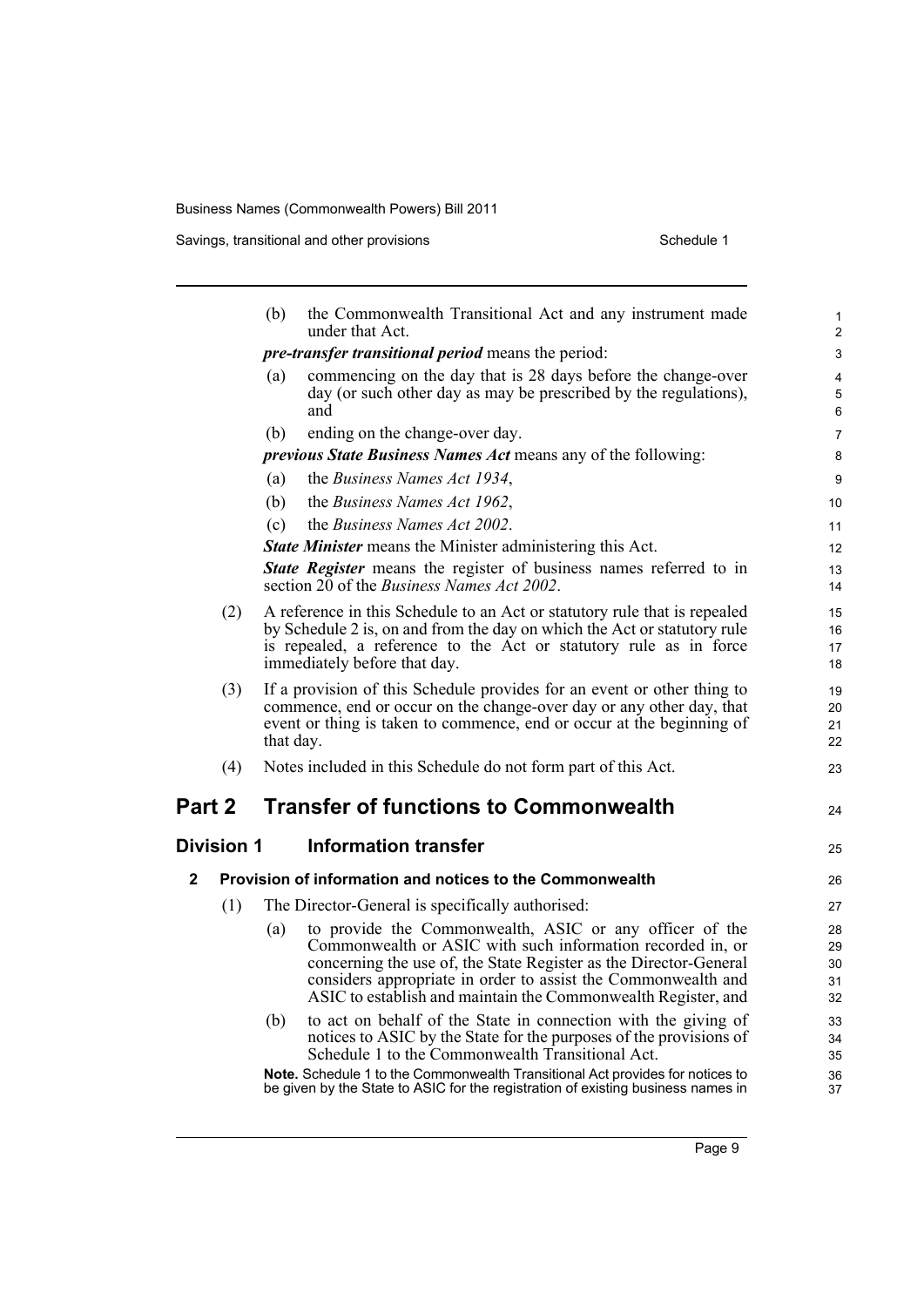Savings, transitional and other provisions Schedule 1

|              |                   | (b)       | the Commonwealth Transitional Act and any instrument made<br>under that Act.                                                                                                                                                                                                                                                 | 1<br>$\overline{c}$        |
|--------------|-------------------|-----------|------------------------------------------------------------------------------------------------------------------------------------------------------------------------------------------------------------------------------------------------------------------------------------------------------------------------------|----------------------------|
|              |                   |           | <i>pre-transfer transitional period</i> means the period:                                                                                                                                                                                                                                                                    | 3                          |
|              |                   | (a)       | commencing on the day that is 28 days before the change-over<br>day (or such other day as may be prescribed by the regulations),<br>and                                                                                                                                                                                      | 4<br>5<br>6                |
|              |                   | (b)       | ending on the change-over day.                                                                                                                                                                                                                                                                                               | 7                          |
|              |                   |           | <i>previous State Business Names Act</i> means any of the following:                                                                                                                                                                                                                                                         | 8                          |
|              |                   | (a)       | the Business Names Act 1934,                                                                                                                                                                                                                                                                                                 | 9                          |
|              |                   | (b)       | the Business Names Act 1962,                                                                                                                                                                                                                                                                                                 | 10                         |
|              |                   | (c)       | the Business Names Act 2002.                                                                                                                                                                                                                                                                                                 | 11                         |
|              |                   |           | <b>State Minister</b> means the Minister administering this Act.                                                                                                                                                                                                                                                             | 12                         |
|              |                   |           | State Register means the register of business names referred to in<br>section 20 of the <i>Business Names Act 2002</i> .                                                                                                                                                                                                     | 13<br>14                   |
|              | (2)               |           | A reference in this Schedule to an Act or statutory rule that is repealed<br>by Schedule 2 is, on and from the day on which the Act or statutory rule<br>is repealed, a reference to the Act or statutory rule as in force<br>immediately before that day.                                                                   | 15<br>16<br>17<br>18       |
|              | (3)               | that day. | If a provision of this Schedule provides for an event or other thing to<br>commence, end or occur on the change-over day or any other day, that<br>event or thing is taken to commence, end or occur at the beginning of                                                                                                     | 19<br>20<br>21<br>22       |
|              | (4)               |           | Notes included in this Schedule do not form part of this Act.                                                                                                                                                                                                                                                                | 23                         |
| Part 2       |                   |           | <b>Transfer of functions to Commonwealth</b>                                                                                                                                                                                                                                                                                 | 24                         |
|              | <b>Division 1</b> |           | <b>Information transfer</b>                                                                                                                                                                                                                                                                                                  | 25                         |
| $\mathbf{2}$ |                   |           | Provision of information and notices to the Commonwealth                                                                                                                                                                                                                                                                     | 26                         |
|              | (1)               |           | The Director-General is specifically authorised:                                                                                                                                                                                                                                                                             | 27                         |
|              |                   | (a)       | to provide the Commonwealth, ASIC or any officer of the<br>Commonwealth or ASIC with such information recorded in, or<br>concerning the use of, the State Register as the Director-General<br>considers appropriate in order to assist the Commonwealth and<br>ASIC to establish and maintain the Commonwealth Register, and | 28<br>29<br>30<br>31<br>32 |
|              |                   | (b)       | to act on behalf of the State in connection with the giving of<br>notices to ASIC by the State for the purposes of the provisions of<br>Schedule 1 to the Commonwealth Transitional Act.                                                                                                                                     | 33<br>34<br>35             |
|              |                   |           | Note. Schedule 1 to the Commonwealth Transitional Act provides for notices to<br>be given by the State to ASIC for the registration of existing business names in                                                                                                                                                            | 36<br>37                   |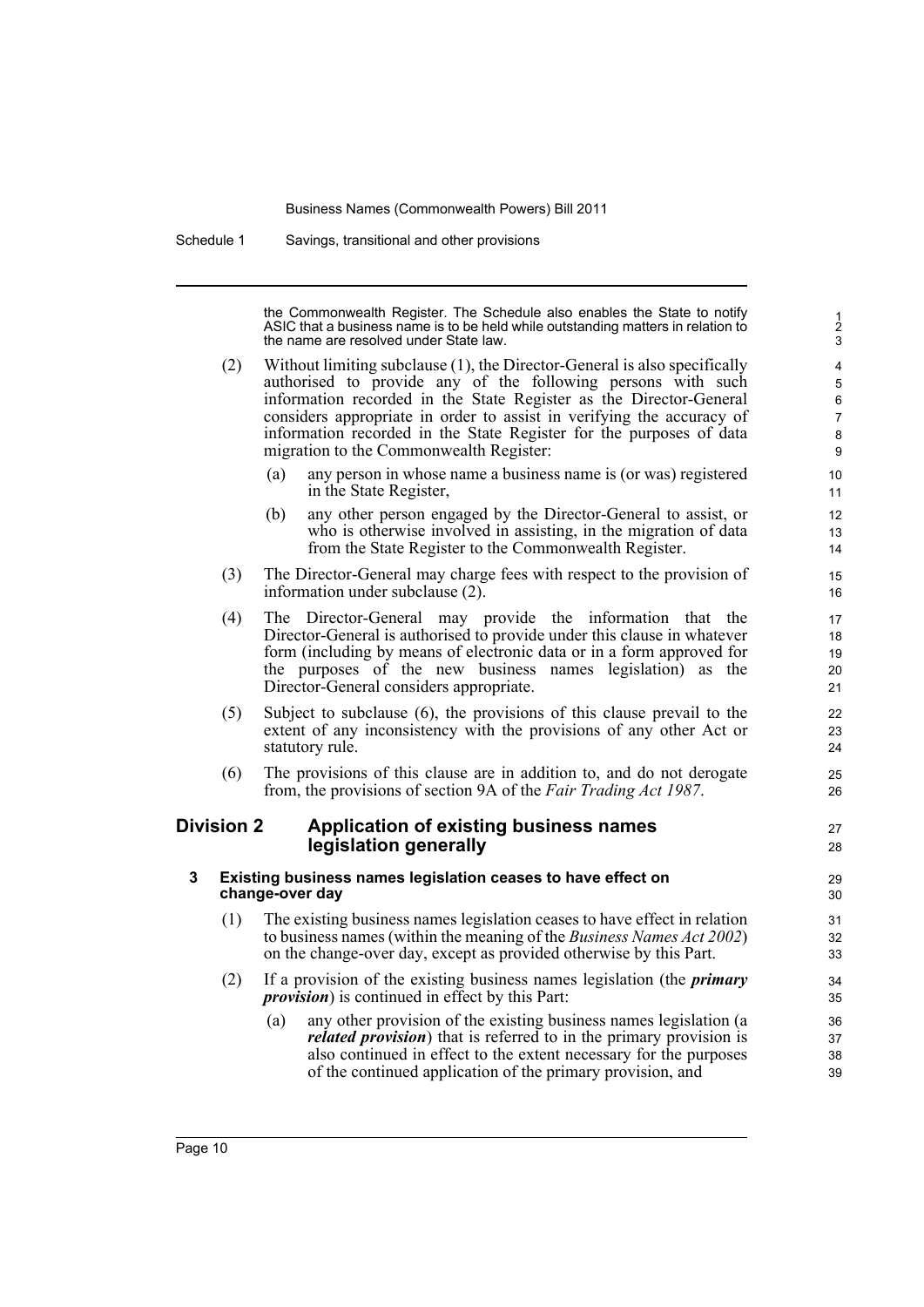Schedule 1 Savings, transitional and other provisions

the Commonwealth Register. The Schedule also enables the State to notify ASIC that a business name is to be held while outstanding matters in relation to the name are resolved under State law.

27 28

- (2) Without limiting subclause (1), the Director-General is also specifically authorised to provide any of the following persons with such information recorded in the State Register as the Director-General considers appropriate in order to assist in verifying the accuracy of information recorded in the State Register for the purposes of data migration to the Commonwealth Register:
	- (a) any person in whose name a business name is (or was) registered in the State Register,
	- (b) any other person engaged by the Director-General to assist, or who is otherwise involved in assisting, in the migration of data from the State Register to the Commonwealth Register.
- (3) The Director-General may charge fees with respect to the provision of information under subclause (2).
- (4) The Director-General may provide the information that the Director-General is authorised to provide under this clause in whatever form (including by means of electronic data or in a form approved for the purposes of the new business names legislation) as the Director-General considers appropriate.
- (5) Subject to subclause (6), the provisions of this clause prevail to the extent of any inconsistency with the provisions of any other Act or statutory rule.
- (6) The provisions of this clause are in addition to, and do not derogate from, the provisions of section 9A of the *Fair Trading Act 1987*.

## **Division 2 Application of existing business names legislation generally**

### **3 Existing business names legislation ceases to have effect on change-over day**

- (1) The existing business names legislation ceases to have effect in relation to business names (within the meaning of the *Business Names Act 2002*) on the change-over day, except as provided otherwise by this Part.
- (2) If a provision of the existing business names legislation (the *primary provision*) is continued in effect by this Part:
	- (a) any other provision of the existing business names legislation (a *related provision*) that is referred to in the primary provision is also continued in effect to the extent necessary for the purposes of the continued application of the primary provision, and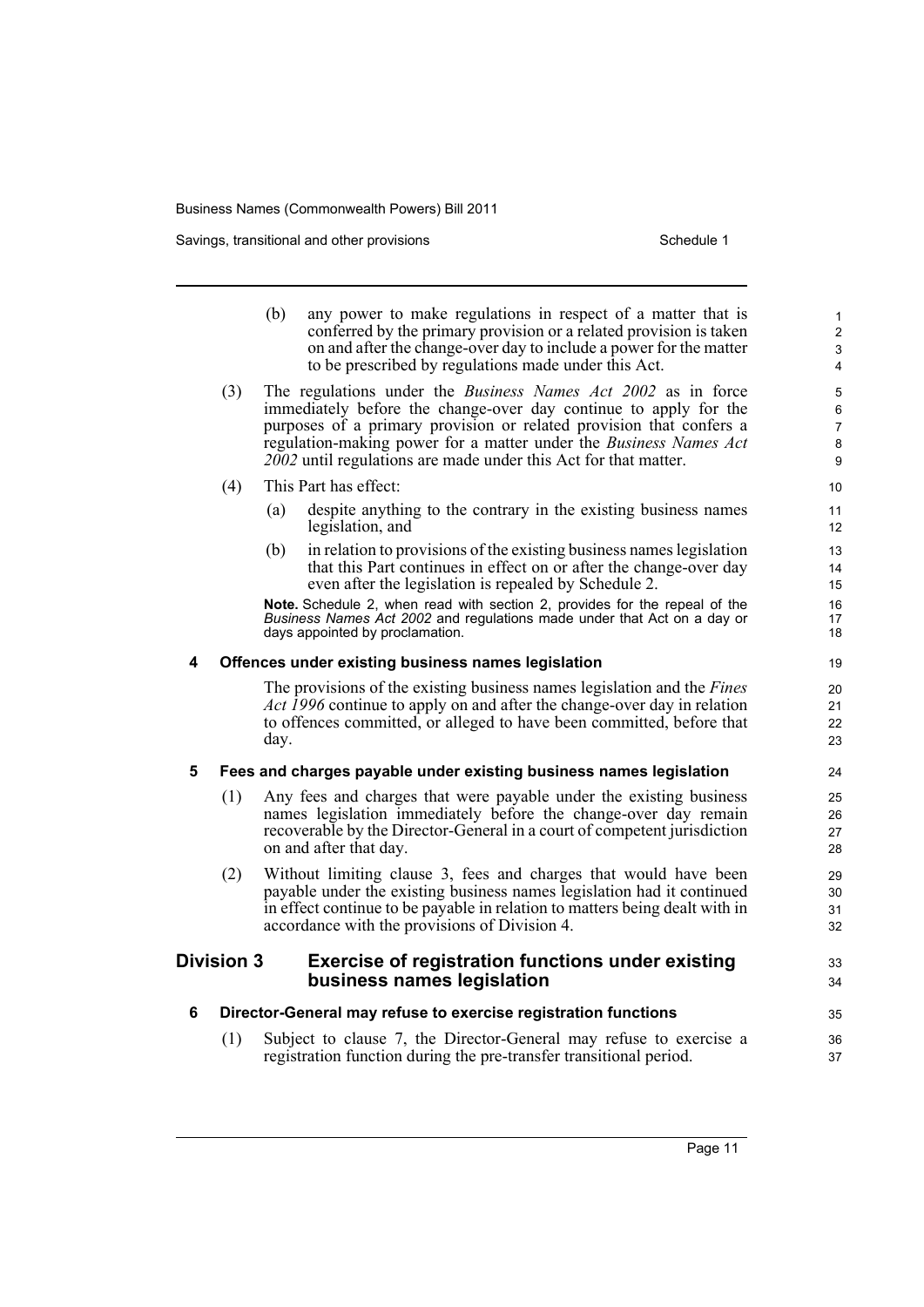Savings, transitional and other provisions Schedule 1 Schedule 1

|   |                   | (b)<br>any power to make regulations in respect of a matter that is<br>conferred by the primary provision or a related provision is taken<br>on and after the change-over day to include a power for the matter<br>to be prescribed by regulations made under this Act.                                                                                                                                | 1<br>$\overline{c}$<br>3<br>$\overline{4}$ |
|---|-------------------|--------------------------------------------------------------------------------------------------------------------------------------------------------------------------------------------------------------------------------------------------------------------------------------------------------------------------------------------------------------------------------------------------------|--------------------------------------------|
|   | (3)               | The regulations under the <i>Business Names Act 2002</i> as in force<br>immediately before the change-over day continue to apply for the<br>purposes of a primary provision or related provision that confers a<br>regulation-making power for a matter under the Business Names Act<br>2002 until regulations are made under this Act for that matter.                                                | 5<br>6<br>$\overline{7}$<br>$\bf 8$<br>9   |
|   | (4)               | This Part has effect:                                                                                                                                                                                                                                                                                                                                                                                  | 10                                         |
|   |                   | (a)<br>despite anything to the contrary in the existing business names<br>legislation, and                                                                                                                                                                                                                                                                                                             | 11<br>12 <sup>2</sup>                      |
|   |                   | (b)<br>in relation to provisions of the existing business names legislation<br>that this Part continues in effect on or after the change-over day<br>even after the legislation is repealed by Schedule 2.<br>Note. Schedule 2, when read with section 2, provides for the repeal of the<br>Business Names Act 2002 and regulations made under that Act on a day or<br>days appointed by proclamation. | 13<br>14<br>15<br>16<br>17<br>18           |
| 4 |                   | Offences under existing business names legislation                                                                                                                                                                                                                                                                                                                                                     |                                            |
|   |                   | The provisions of the existing business names legislation and the <i>Fines</i><br>Act 1996 continue to apply on and after the change-over day in relation<br>to offences committed, or alleged to have been committed, before that<br>day.                                                                                                                                                             | 19<br>20<br>21<br>22<br>23                 |
| 5 |                   | Fees and charges payable under existing business names legislation                                                                                                                                                                                                                                                                                                                                     | 24                                         |
|   | (1)               | Any fees and charges that were payable under the existing business<br>names legislation immediately before the change-over day remain<br>recoverable by the Director-General in a court of competent jurisdiction<br>on and after that day.                                                                                                                                                            | 25<br>26<br>27<br>28                       |
|   | (2)               | Without limiting clause 3, fees and charges that would have been<br>payable under the existing business names legislation had it continued<br>in effect continue to be payable in relation to matters being dealt with in<br>accordance with the provisions of Division 4.                                                                                                                             | 29<br>30<br>31<br>32                       |
|   | <b>Division 3</b> | <b>Exercise of registration functions under existing</b><br>business names legislation                                                                                                                                                                                                                                                                                                                 | 33<br>34                                   |
| 6 |                   | Director-General may refuse to exercise registration functions                                                                                                                                                                                                                                                                                                                                         | 35                                         |
|   | (1)               | Subject to clause 7, the Director-General may refuse to exercise a<br>registration function during the pre-transfer transitional period.                                                                                                                                                                                                                                                               | 36<br>37                                   |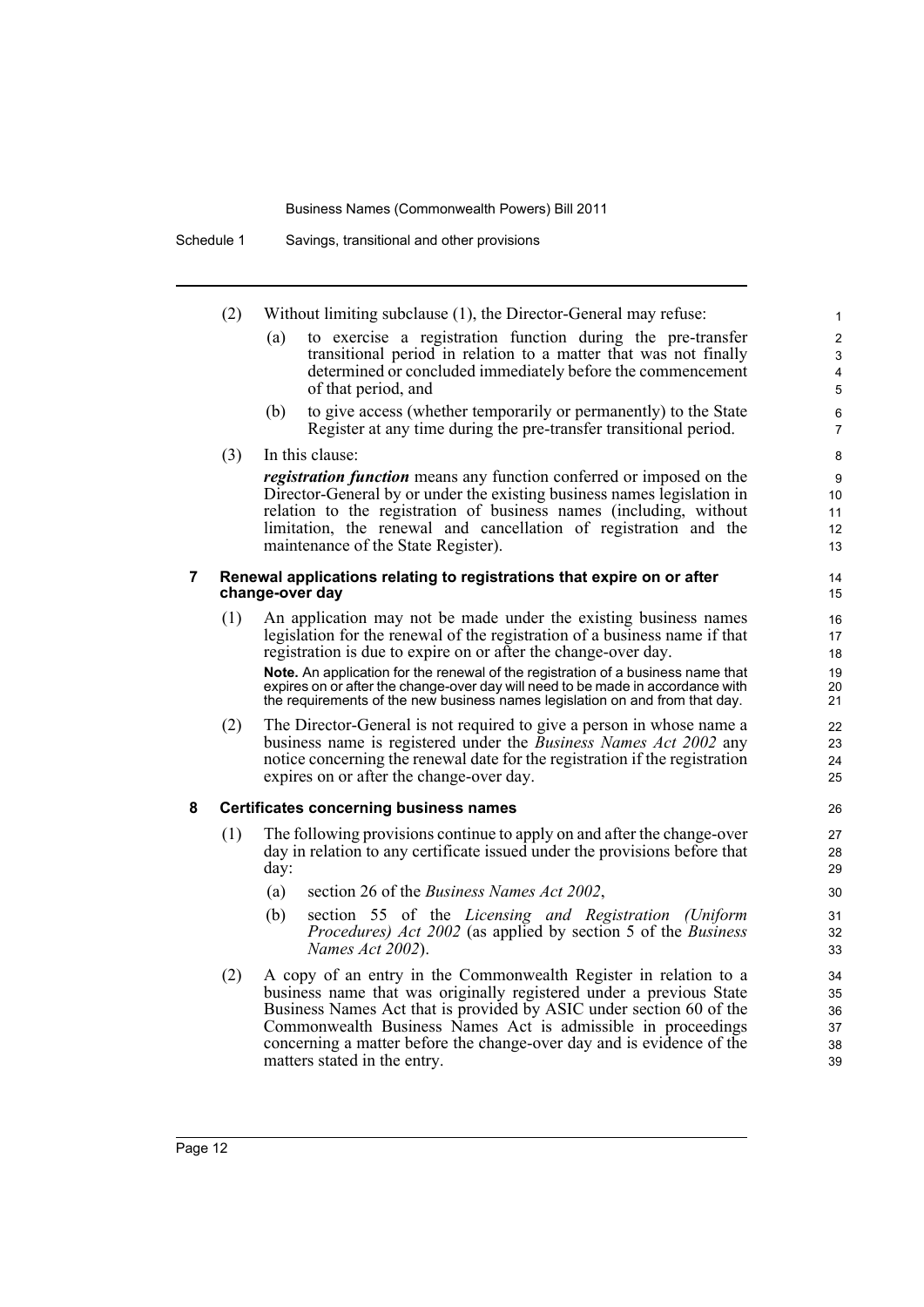(2) Without limiting subclause (1), the Director-General may refuse:

(a) to exercise a registration function during the pre-transfer transitional period in relation to a matter that was not finally determined or concluded immediately before the commencement of that period, and

- (b) to give access (whether temporarily or permanently) to the State Register at any time during the pre-transfer transitional period.
- (3) In this clause:

*registration function* means any function conferred or imposed on the Director-General by or under the existing business names legislation in relation to the registration of business names (including, without limitation, the renewal and cancellation of registration and the maintenance of the State Register).

### **7 Renewal applications relating to registrations that expire on or after change-over day**

(1) An application may not be made under the existing business names legislation for the renewal of the registration of a business name if that registration is due to expire on or after the change-over day.

**Note.** An application for the renewal of the registration of a business name that expires on or after the change-over day will need to be made in accordance with the requirements of the new business names legislation on and from that day.

(2) The Director-General is not required to give a person in whose name a business name is registered under the *Business Names Act 2002* any notice concerning the renewal date for the registration if the registration expires on or after the change-over day.

## **8 Certificates concerning business names**

- (1) The following provisions continue to apply on and after the change-over day in relation to any certificate issued under the provisions before that day:
	- (a) section 26 of the *Business Names Act 2002*,
	- (b) section 55 of the *Licensing and Registration (Uniform Procedures) Act 2002* (as applied by section 5 of the *Business Names Act 2002*).
- (2) A copy of an entry in the Commonwealth Register in relation to a business name that was originally registered under a previous State Business Names Act that is provided by ASIC under section 60 of the Commonwealth Business Names Act is admissible in proceedings concerning a matter before the change-over day and is evidence of the matters stated in the entry.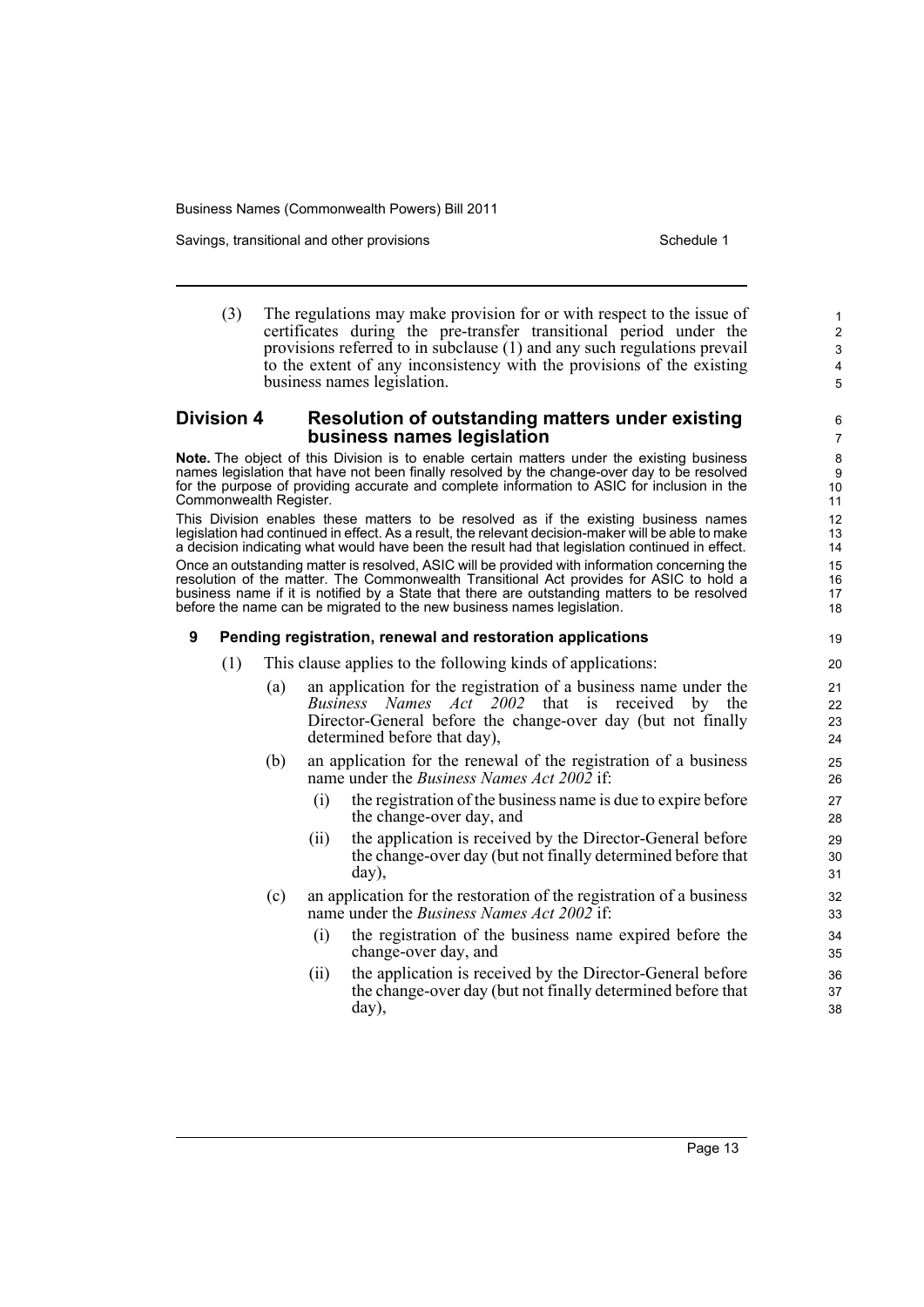Savings, transitional and other provisions Schedule 1 and the state of the Schedule 1

(3) The regulations may make provision for or with respect to the issue of certificates during the pre-transfer transitional period under the provisions referred to in subclause (1) and any such regulations prevail to the extent of any inconsistency with the provisions of the existing business names legislation.

## **Division 4 Resolution of outstanding matters under existing business names legislation**

**Note.** The object of this Division is to enable certain matters under the existing business names legislation that have not been finally resolved by the change-over day to be resolved for the purpose of providing accurate and complete information to ASIC for inclusion in the Commonwealth Register.

This Division enables these matters to be resolved as if the existing business names legislation had continued in effect. As a result, the relevant decision-maker will be able to make a decision indicating what would have been the result had that legislation continued in effect. Once an outstanding matter is resolved, ASIC will be provided with information concerning the resolution of the matter. The Commonwealth Transitional Act provides for ASIC to hold a business name if it is notified by a State that there are outstanding matters to be resolved before the name can be migrated to the new business names legislation.

## **9 Pending registration, renewal and restoration applications**

- (1) This clause applies to the following kinds of applications:
	- (a) an application for the registration of a business name under the *Business Names Act 2002* that is received by the Director-General before the change-over day (but not finally determined before that day),
	- (b) an application for the renewal of the registration of a business name under the *Business Names Act 2002* if:
		- the registration of the business name is due to expire before the change-over day, and
		- (ii) the application is received by the Director-General before the change-over day (but not finally determined before that day),
	- (c) an application for the restoration of the registration of a business name under the *Business Names Act 2002* if:
		- (i) the registration of the business name expired before the change-over day, and
		- (ii) the application is received by the Director-General before the change-over day (but not finally determined before that day),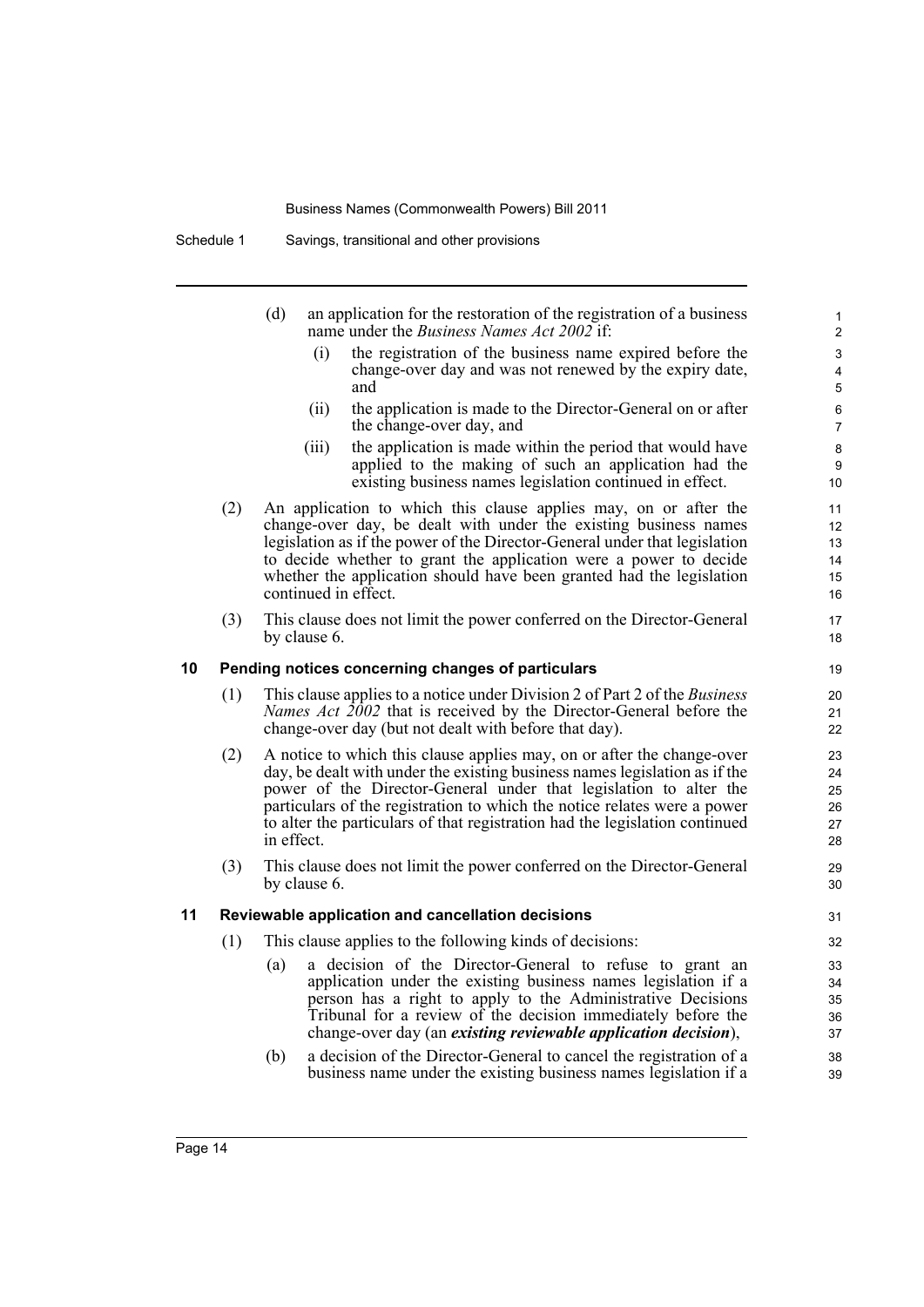| (d) | an application for the restoration of the registration of a business |
|-----|----------------------------------------------------------------------|
|     | name under the <i>Business Names Act 2002</i> if:                    |

(i) the registration of the business name expired before the change-over day and was not renewed by the expiry date, and

- (ii) the application is made to the Director-General on or after the change-over day, and
- (iii) the application is made within the period that would have applied to the making of such an application had the existing business names legislation continued in effect.
- (2) An application to which this clause applies may, on or after the change-over day, be dealt with under the existing business names legislation as if the power of the Director-General under that legislation to decide whether to grant the application were a power to decide whether the application should have been granted had the legislation continued in effect.
- (3) This clause does not limit the power conferred on the Director-General by clause 6.

### **10 Pending notices concerning changes of particulars**

- (1) This clause applies to a notice under Division 2 of Part 2 of the *Business Names Act 2002* that is received by the Director-General before the change-over day (but not dealt with before that day).
- (2) A notice to which this clause applies may, on or after the change-over day, be dealt with under the existing business names legislation as if the power of the Director-General under that legislation to alter the particulars of the registration to which the notice relates were a power to alter the particulars of that registration had the legislation continued in effect.
- (3) This clause does not limit the power conferred on the Director-General by clause 6.

### **11 Reviewable application and cancellation decisions**

- (1) This clause applies to the following kinds of decisions:
	- (a) a decision of the Director-General to refuse to grant an application under the existing business names legislation if a person has a right to apply to the Administrative Decisions Tribunal for a review of the decision immediately before the change-over day (an *existing reviewable application decision*),
	- (b) a decision of the Director-General to cancel the registration of a business name under the existing business names legislation if a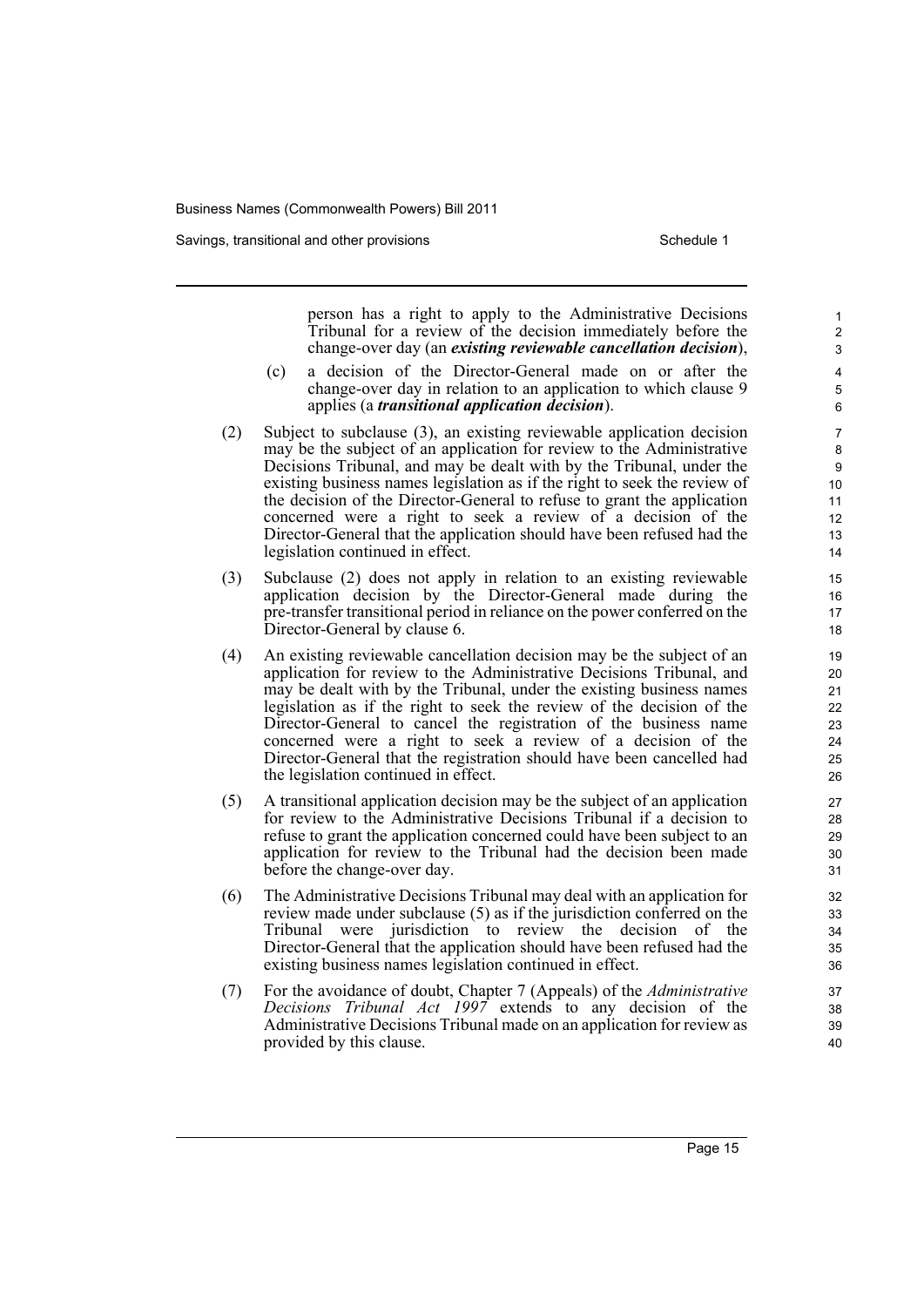Savings, transitional and other provisions Schedule 1 and the state of the Schedule 1

person has a right to apply to the Administrative Decisions Tribunal for a review of the decision immediately before the change-over day (an *existing reviewable cancellation decision*),

- (c) a decision of the Director-General made on or after the change-over day in relation to an application to which clause 9 applies (a *transitional application decision*).
- (2) Subject to subclause (3), an existing reviewable application decision may be the subject of an application for review to the Administrative Decisions Tribunal, and may be dealt with by the Tribunal, under the existing business names legislation as if the right to seek the review of the decision of the Director-General to refuse to grant the application concerned were a right to seek a review of a decision of the Director-General that the application should have been refused had the legislation continued in effect.
- (3) Subclause (2) does not apply in relation to an existing reviewable application decision by the Director-General made during the pre-transfer transitional period in reliance on the power conferred on the Director-General by clause 6.
- (4) An existing reviewable cancellation decision may be the subject of an application for review to the Administrative Decisions Tribunal, and may be dealt with by the Tribunal, under the existing business names legislation as if the right to seek the review of the decision of the Director-General to cancel the registration of the business name concerned were a right to seek a review of a decision of the Director-General that the registration should have been cancelled had the legislation continued in effect.
- (5) A transitional application decision may be the subject of an application for review to the Administrative Decisions Tribunal if a decision to refuse to grant the application concerned could have been subject to an application for review to the Tribunal had the decision been made before the change-over day.
- (6) The Administrative Decisions Tribunal may deal with an application for review made under subclause (5) as if the jurisdiction conferred on the Tribunal were jurisdiction to review the decision of the Director-General that the application should have been refused had the existing business names legislation continued in effect.
- (7) For the avoidance of doubt, Chapter 7 (Appeals) of the *Administrative Decisions Tribunal Act 1997* extends to any decision of the Administrative Decisions Tribunal made on an application for review as provided by this clause.

Page 15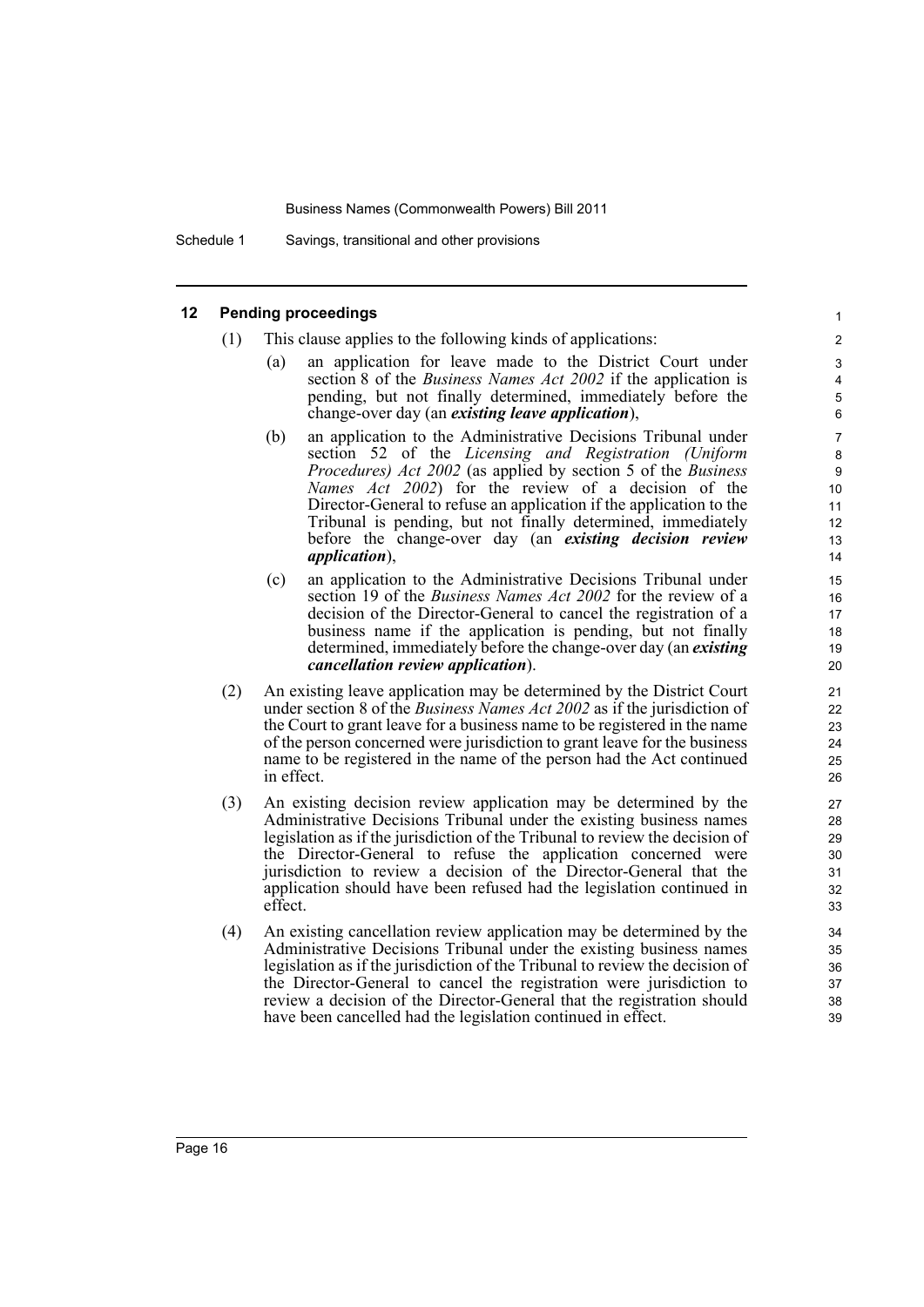Schedule 1 Savings, transitional and other provisions

### **12 Pending proceedings**

- (1) This clause applies to the following kinds of applications:
	- (a) an application for leave made to the District Court under section 8 of the *Business Names Act 2002* if the application is pending, but not finally determined, immediately before the change-over day (an *existing leave application*),

- (b) an application to the Administrative Decisions Tribunal under section 52 of the *Licensing and Registration (Uniform Procedures) Act 2002* (as applied by section 5 of the *Business Names Act 2002*) for the review of a decision of the Director-General to refuse an application if the application to the Tribunal is pending, but not finally determined, immediately before the change-over day (an *existing decision review application*),
- (c) an application to the Administrative Decisions Tribunal under section 19 of the *Business Names Act 2002* for the review of a decision of the Director-General to cancel the registration of a business name if the application is pending, but not finally determined, immediately before the change-over day (an *existing cancellation review application*).
- (2) An existing leave application may be determined by the District Court under section 8 of the *Business Names Act 2002* as if the jurisdiction of the Court to grant leave for a business name to be registered in the name of the person concerned were jurisdiction to grant leave for the business name to be registered in the name of the person had the Act continued in effect.
- (3) An existing decision review application may be determined by the Administrative Decisions Tribunal under the existing business names legislation as if the jurisdiction of the Tribunal to review the decision of the Director-General to refuse the application concerned were jurisdiction to review a decision of the Director-General that the application should have been refused had the legislation continued in effect.
- (4) An existing cancellation review application may be determined by the Administrative Decisions Tribunal under the existing business names legislation as if the jurisdiction of the Tribunal to review the decision of the Director-General to cancel the registration were jurisdiction to review a decision of the Director-General that the registration should have been cancelled had the legislation continued in effect.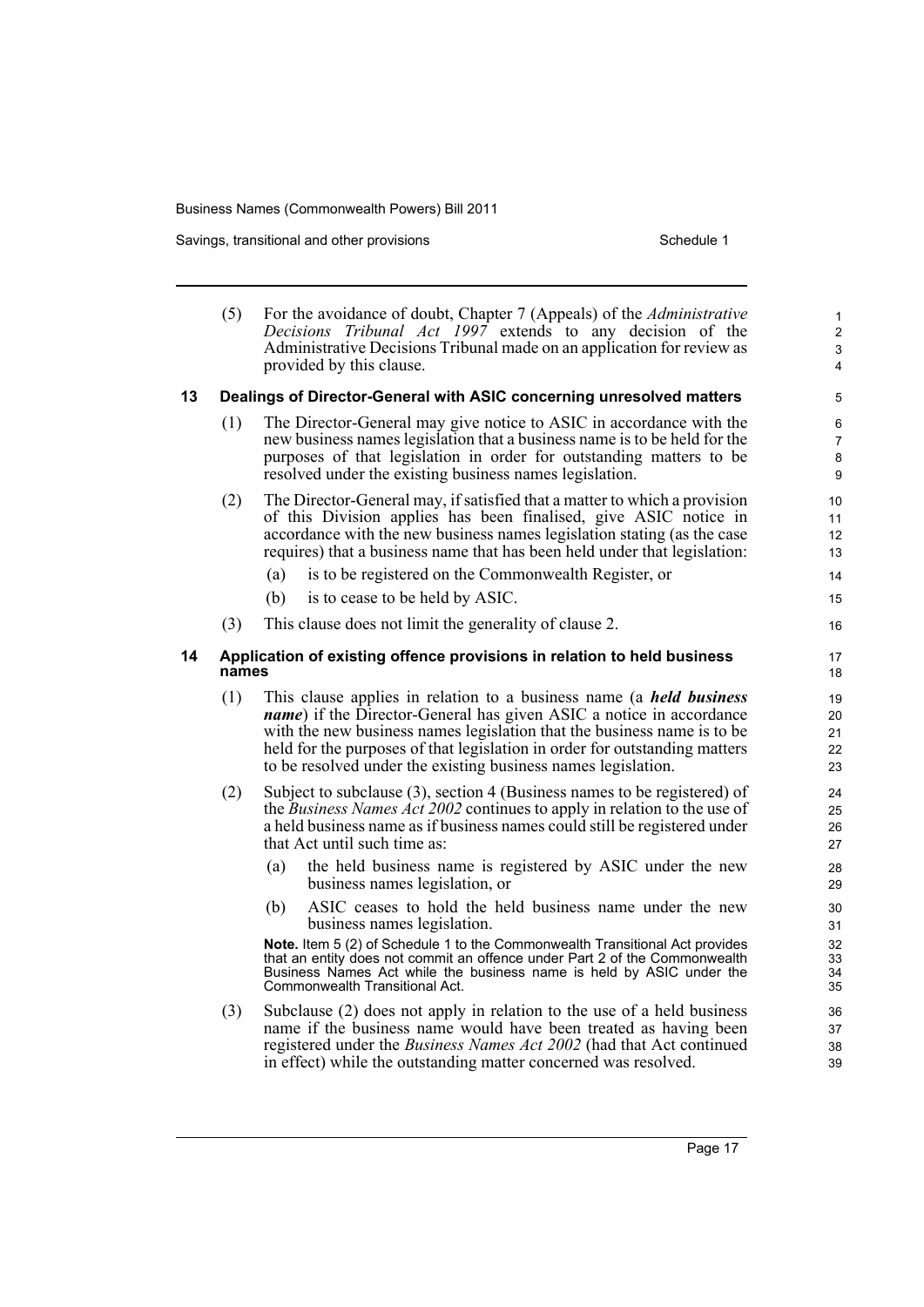Savings, transitional and other provisions Schedule 1 Schedule 1

|    | (5)   | For the avoidance of doubt, Chapter 7 (Appeals) of the <i>Administrative</i><br>Decisions Tribunal Act 1997 extends to any decision of the<br>Administrative Decisions Tribunal made on an application for review as<br>provided by this clause.                                                                                                                                    | 1<br>$\overline{2}$<br>$\ensuremath{\mathsf{3}}$<br>4 |
|----|-------|-------------------------------------------------------------------------------------------------------------------------------------------------------------------------------------------------------------------------------------------------------------------------------------------------------------------------------------------------------------------------------------|-------------------------------------------------------|
| 13 |       | Dealings of Director-General with ASIC concerning unresolved matters                                                                                                                                                                                                                                                                                                                | 5                                                     |
|    | (1)   | The Director-General may give notice to ASIC in accordance with the<br>new business names legislation that a business name is to be held for the<br>purposes of that legislation in order for outstanding matters to be<br>resolved under the existing business names legislation.                                                                                                  | 6<br>$\overline{7}$<br>8<br>9                         |
|    | (2)   | The Director-General may, if satisfied that a matter to which a provision<br>of this Division applies has been finalised, give ASIC notice in<br>accordance with the new business names legislation stating (as the case<br>requires) that a business name that has been held under that legislation:                                                                               | 10<br>11<br>12<br>13                                  |
|    |       | (a)<br>is to be registered on the Commonwealth Register, or<br>(b)<br>is to cease to be held by ASIC.                                                                                                                                                                                                                                                                               | 14<br>15                                              |
|    | (3)   | This clause does not limit the generality of clause 2.                                                                                                                                                                                                                                                                                                                              | 16                                                    |
| 14 | names | Application of existing offence provisions in relation to held business                                                                                                                                                                                                                                                                                                             | 17<br>18                                              |
|    | (1)   | This clause applies in relation to a business name (a <i>held business</i><br><i>name</i> ) if the Director-General has given ASIC a notice in accordance<br>with the new business names legislation that the business name is to be<br>held for the purposes of that legislation in order for outstanding matters<br>to be resolved under the existing business names legislation. | 19<br>20<br>21<br>22<br>23                            |
|    | (2)   | Subject to subclause (3), section 4 (Business names to be registered) of<br>the <i>Business Names Act 2002</i> continues to apply in relation to the use of<br>a held business name as if business names could still be registered under<br>that Act until such time as:                                                                                                            | 24<br>25<br>26<br>27                                  |
|    |       | the held business name is registered by ASIC under the new<br>(a)<br>business names legislation, or                                                                                                                                                                                                                                                                                 | 28<br>29                                              |
|    |       | ASIC ceases to hold the held business name under the new<br>(b)<br>business names legislation.                                                                                                                                                                                                                                                                                      | 30<br>31                                              |
|    |       | Note. Item 5 (2) of Schedule 1 to the Commonwealth Transitional Act provides<br>that an entity does not commit an offence under Part 2 of the Commonwealth<br>Business Names Act while the business name is held by ASIC under the<br>Commonwealth Transitional Act.                                                                                                                | 32<br>33<br>34<br>35                                  |
|    | (3)   | Subclause (2) does not apply in relation to the use of a held business<br>name if the business name would have been treated as having been<br>registered under the Business Names Act 2002 (had that Act continued<br>in effect) while the outstanding matter concerned was resolved.                                                                                               | 36<br>37<br>38<br>39                                  |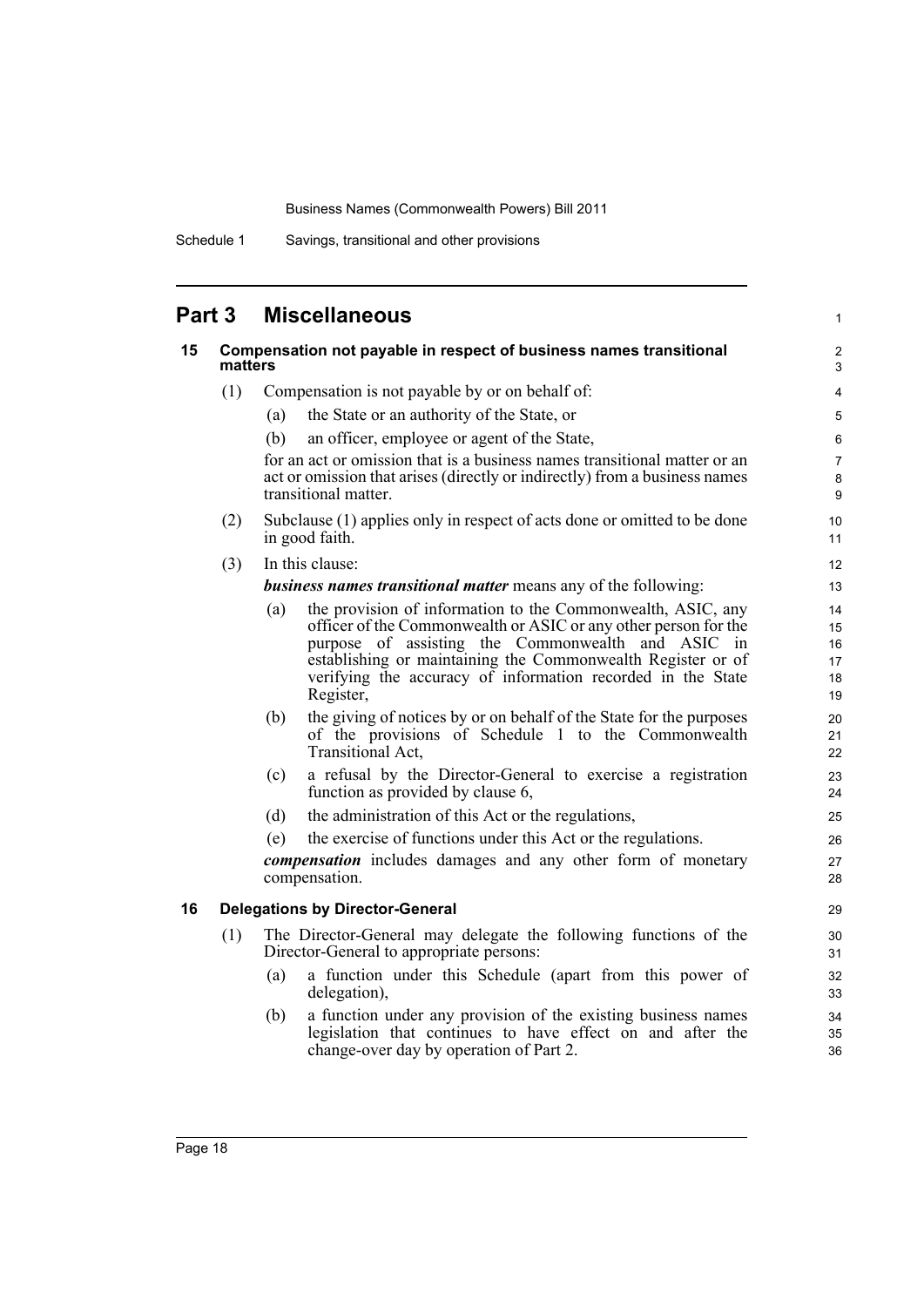Schedule 1 Savings, transitional and other provisions

# **Part 3 Miscellaneous**

| 15 | Compensation not payable in respect of business names transitional<br>matters |                                                                                                                                                                                                                                                                                                                                       | $\overline{c}$<br>3              |
|----|-------------------------------------------------------------------------------|---------------------------------------------------------------------------------------------------------------------------------------------------------------------------------------------------------------------------------------------------------------------------------------------------------------------------------------|----------------------------------|
|    | (1)                                                                           | Compensation is not payable by or on behalf of:                                                                                                                                                                                                                                                                                       | 4                                |
|    |                                                                               | the State or an authority of the State, or<br>(a)                                                                                                                                                                                                                                                                                     | $\sqrt{5}$                       |
|    |                                                                               | (b)<br>an officer, employee or agent of the State,                                                                                                                                                                                                                                                                                    | 6                                |
|    |                                                                               | for an act or omission that is a business names transitional matter or an<br>act or omission that arises (directly or indirectly) from a business names<br>transitional matter.                                                                                                                                                       | $\overline{7}$<br>$\bf 8$<br>9   |
|    | (2)                                                                           | Subclause (1) applies only in respect of acts done or omitted to be done<br>in good faith.                                                                                                                                                                                                                                            | 10<br>11                         |
|    | (3)                                                                           | In this clause:                                                                                                                                                                                                                                                                                                                       | 12                               |
|    |                                                                               | <b>business names transitional matter means any of the following:</b>                                                                                                                                                                                                                                                                 | 13                               |
|    |                                                                               | the provision of information to the Commonwealth, ASIC, any<br>(a)<br>officer of the Commonwealth or ASIC or any other person for the<br>purpose of assisting the Commonwealth and ASIC in<br>establishing or maintaining the Commonwealth Register or of<br>verifying the accuracy of information recorded in the State<br>Register, | 14<br>15<br>16<br>17<br>18<br>19 |
|    |                                                                               | the giving of notices by or on behalf of the State for the purposes<br>(b)<br>of the provisions of Schedule 1 to the Commonwealth<br>Transitional Act,                                                                                                                                                                                | 20<br>21<br>22                   |
|    |                                                                               | a refusal by the Director-General to exercise a registration<br>(c)<br>function as provided by clause 6,                                                                                                                                                                                                                              | 23<br>24                         |
|    |                                                                               | (d)<br>the administration of this Act or the regulations,                                                                                                                                                                                                                                                                             | 25                               |
|    |                                                                               | the exercise of functions under this Act or the regulations.<br>(e)                                                                                                                                                                                                                                                                   | 26                               |
|    |                                                                               | <i>compensation</i> includes damages and any other form of monetary<br>compensation.                                                                                                                                                                                                                                                  | 27<br>28                         |
| 16 |                                                                               | <b>Delegations by Director-General</b>                                                                                                                                                                                                                                                                                                | 29                               |
|    | (1)                                                                           | The Director-General may delegate the following functions of the<br>Director-General to appropriate persons:                                                                                                                                                                                                                          | 30<br>31                         |
|    |                                                                               | a function under this Schedule (apart from this power of<br>(a)<br>delegation),                                                                                                                                                                                                                                                       | 32<br>33                         |
|    |                                                                               | a function under any provision of the existing business names<br>(b)<br>legislation that continues to have effect on and after the<br>change-over day by operation of Part 2.                                                                                                                                                         | 34<br>35<br>36                   |

1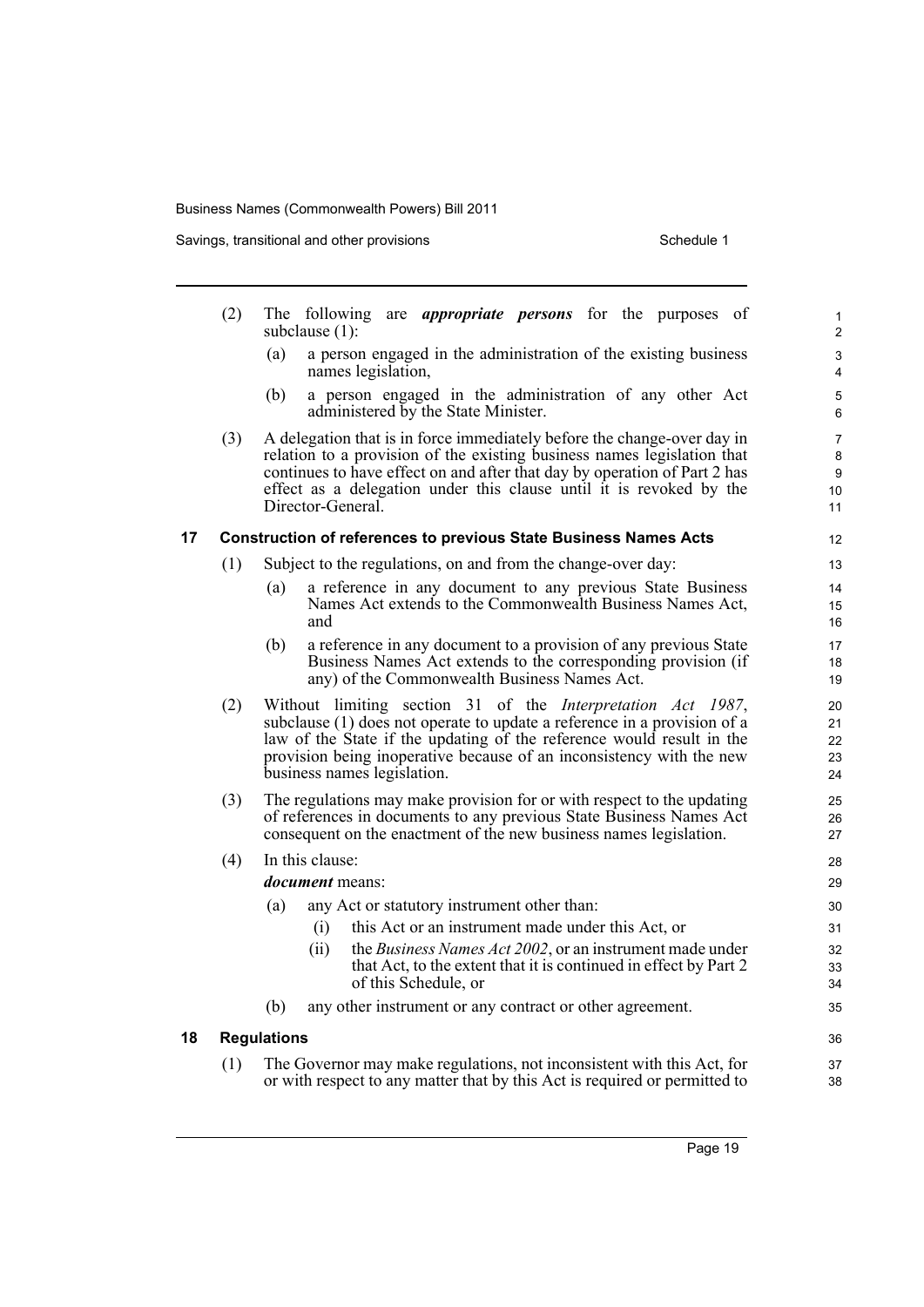Savings, transitional and other provisions Schedule 1 Schedule 1

|    | (2) |                    | The following are <i>appropriate persons</i> for the purposes of<br>subclause (1):                                                                                                                                                                                                                                          | 1<br>$\overline{\mathbf{c}}$ |
|----|-----|--------------------|-----------------------------------------------------------------------------------------------------------------------------------------------------------------------------------------------------------------------------------------------------------------------------------------------------------------------------|------------------------------|
|    |     | (a)                | a person engaged in the administration of the existing business<br>names legislation,                                                                                                                                                                                                                                       | 3<br>4                       |
|    |     | (b)                | a person engaged in the administration of any other Act<br>administered by the State Minister.                                                                                                                                                                                                                              | 5<br>6                       |
|    | (3) |                    | A delegation that is in force immediately before the change-over day in<br>relation to a provision of the existing business names legislation that<br>continues to have effect on and after that day by operation of Part 2 has<br>effect as a delegation under this clause until it is revoked by the<br>Director-General. | 7<br>8<br>9<br>10<br>11      |
| 17 |     |                    | <b>Construction of references to previous State Business Names Acts</b>                                                                                                                                                                                                                                                     | 12                           |
|    | (1) |                    | Subject to the regulations, on and from the change-over day:                                                                                                                                                                                                                                                                | 13                           |
|    |     | (a)                | a reference in any document to any previous State Business<br>Names Act extends to the Commonwealth Business Names Act,<br>and                                                                                                                                                                                              | 14<br>15<br>16               |
|    |     | (b)                | a reference in any document to a provision of any previous State<br>Business Names Act extends to the corresponding provision (if<br>any) of the Commonwealth Business Names Act.                                                                                                                                           | 17<br>18<br>19               |
|    | (2) |                    | Without limiting section 31 of the Interpretation Act 1987,<br>subclause (1) does not operate to update a reference in a provision of a<br>law of the State if the updating of the reference would result in the<br>provision being inoperative because of an inconsistency with the new<br>business names legislation.     | 20<br>21<br>22<br>23<br>24   |
|    | (3) |                    | The regulations may make provision for or with respect to the updating<br>of references in documents to any previous State Business Names Act<br>consequent on the enactment of the new business names legislation.                                                                                                         | 25<br>26<br>27               |
|    | (4) |                    | In this clause:                                                                                                                                                                                                                                                                                                             | 28                           |
|    |     |                    | <i>document</i> means:                                                                                                                                                                                                                                                                                                      | 29                           |
|    |     | (a)                | any Act or statutory instrument other than:                                                                                                                                                                                                                                                                                 | 30                           |
|    |     |                    | this Act or an instrument made under this Act, or<br>(i)                                                                                                                                                                                                                                                                    | 31                           |
|    |     |                    | the Business Names Act 2002, or an instrument made under<br>(ii)<br>that Act, to the extent that it is continued in effect by Part 2<br>of this Schedule, or                                                                                                                                                                | 32<br>33<br>34               |
|    |     | (b)                | any other instrument or any contract or other agreement.                                                                                                                                                                                                                                                                    | 35                           |
| 18 |     | <b>Regulations</b> |                                                                                                                                                                                                                                                                                                                             | 36                           |
|    | (1) |                    | The Governor may make regulations, not inconsistent with this Act, for                                                                                                                                                                                                                                                      | 37                           |
|    |     |                    | or with respect to any matter that by this Act is required or permitted to                                                                                                                                                                                                                                                  | 38                           |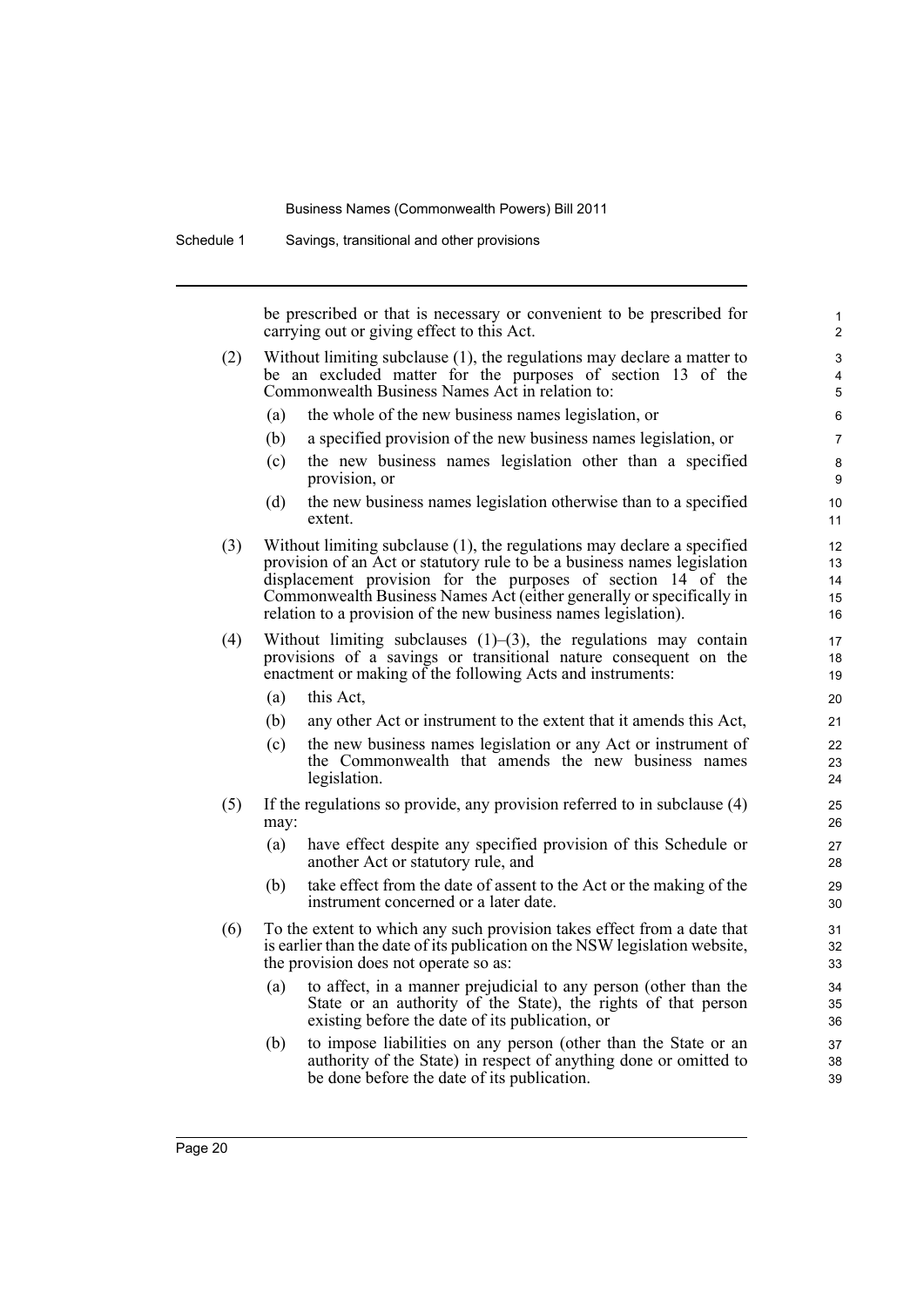Schedule 1 Savings, transitional and other provisions

be prescribed or that is necessary or convenient to be prescribed for carrying out or giving effect to this Act.

- (2) Without limiting subclause (1), the regulations may declare a matter to be an excluded matter for the purposes of section 13 of the Commonwealth Business Names Act in relation to:
	- (a) the whole of the new business names legislation, or
	- (b) a specified provision of the new business names legislation, or
	- (c) the new business names legislation other than a specified provision, or
	- (d) the new business names legislation otherwise than to a specified extent.
- (3) Without limiting subclause (1), the regulations may declare a specified provision of an Act or statutory rule to be a business names legislation displacement provision for the purposes of section 14 of the Commonwealth Business Names Act (either generally or specifically in relation to a provision of the new business names legislation).
- (4) Without limiting subclauses  $(1)$ – $(3)$ , the regulations may contain provisions of a savings or transitional nature consequent on the enactment or making of the following Acts and instruments:
	- (a) this Act,
	- (b) any other Act or instrument to the extent that it amends this Act,
	- (c) the new business names legislation or any Act or instrument of the Commonwealth that amends the new business names legislation.
- (5) If the regulations so provide, any provision referred to in subclause (4) may:
	- (a) have effect despite any specified provision of this Schedule or another Act or statutory rule, and
	- (b) take effect from the date of assent to the Act or the making of the instrument concerned or a later date.
- (6) To the extent to which any such provision takes effect from a date that is earlier than the date of its publication on the NSW legislation website, the provision does not operate so as:
	- (a) to affect, in a manner prejudicial to any person (other than the State or an authority of the State), the rights of that person existing before the date of its publication, or
	- (b) to impose liabilities on any person (other than the State or an authority of the State) in respect of anything done or omitted to be done before the date of its publication.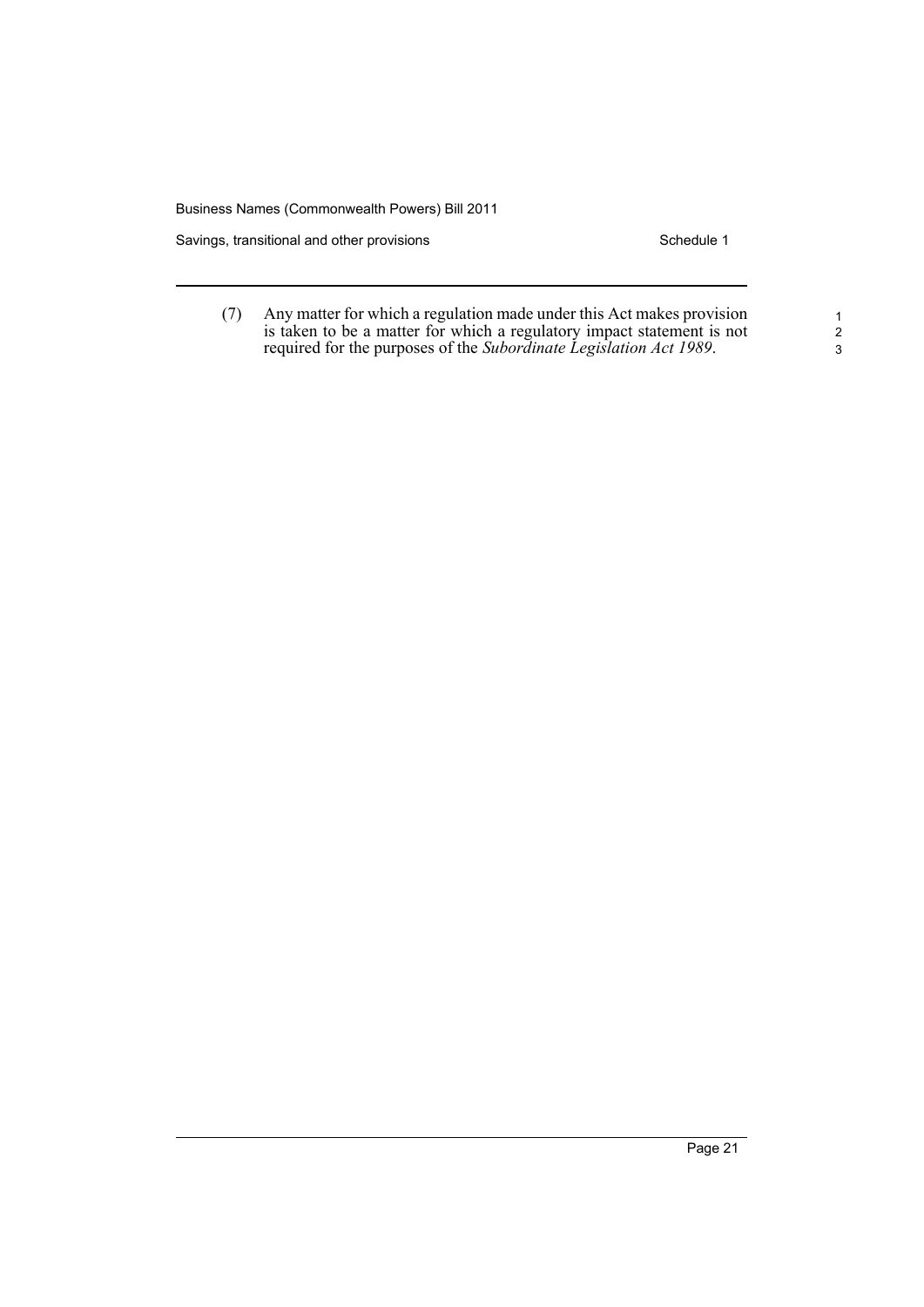Savings, transitional and other provisions Schedule 1

(7) Any matter for which a regulation made under this Act makes provision is taken to be a matter for which a regulatory impact statement is not required for the purposes of the *Subordinate Legislation Act 1989*.

1 2 3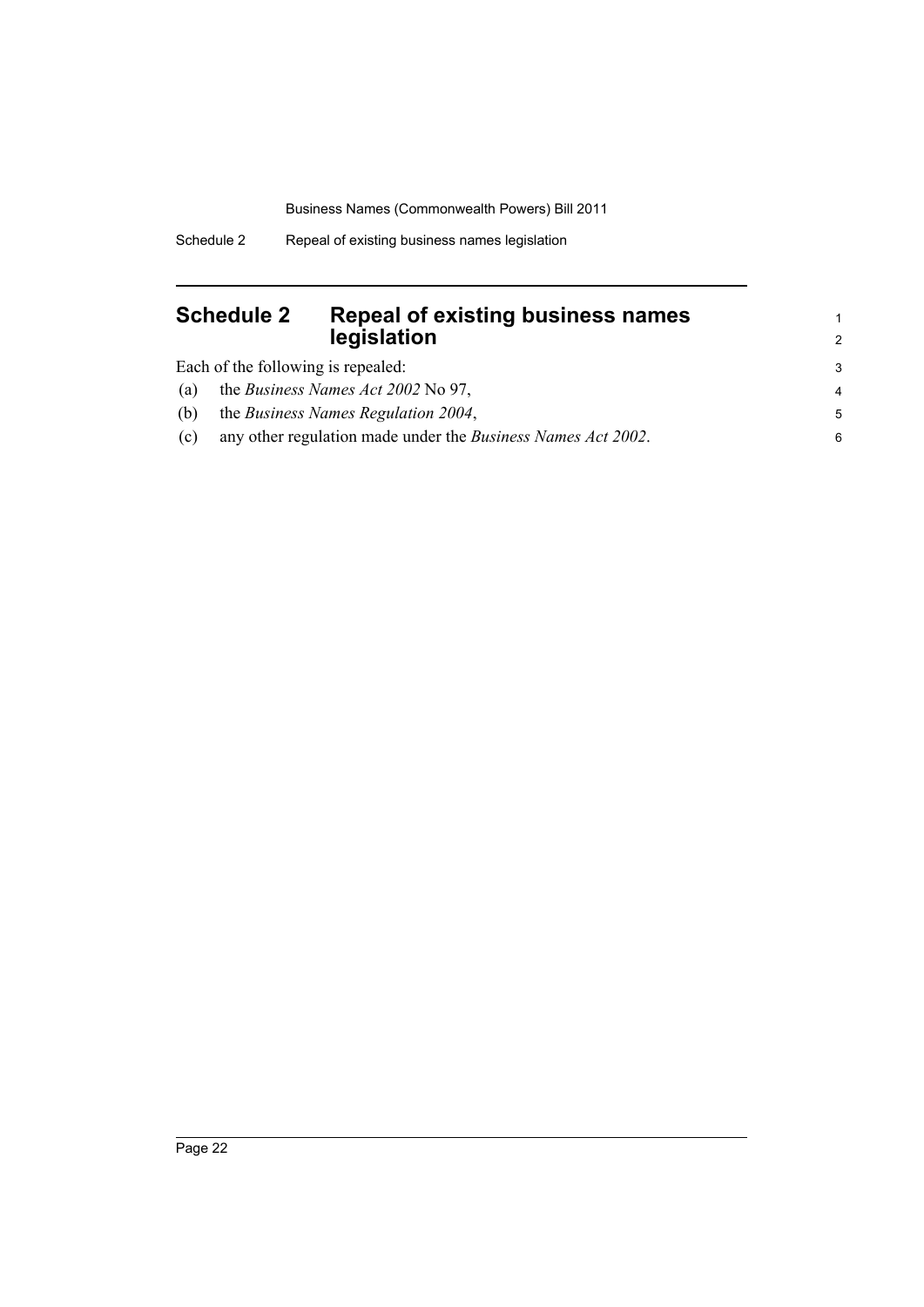# <span id="page-29-0"></span>**Schedule 2 Repeal of existing business names legislation**

Each of the following is repealed:

| (a) | the <i>Business Names Act 2002</i> No 97,                            |  |
|-----|----------------------------------------------------------------------|--|
| (b) | the <i>Business Names Regulation 2004</i> ,                          |  |
| (c) | any other regulation made under the <i>Business Names Act 2002</i> . |  |

1 2 3

(c) any other regulation made under the *Business Names Act 2002*.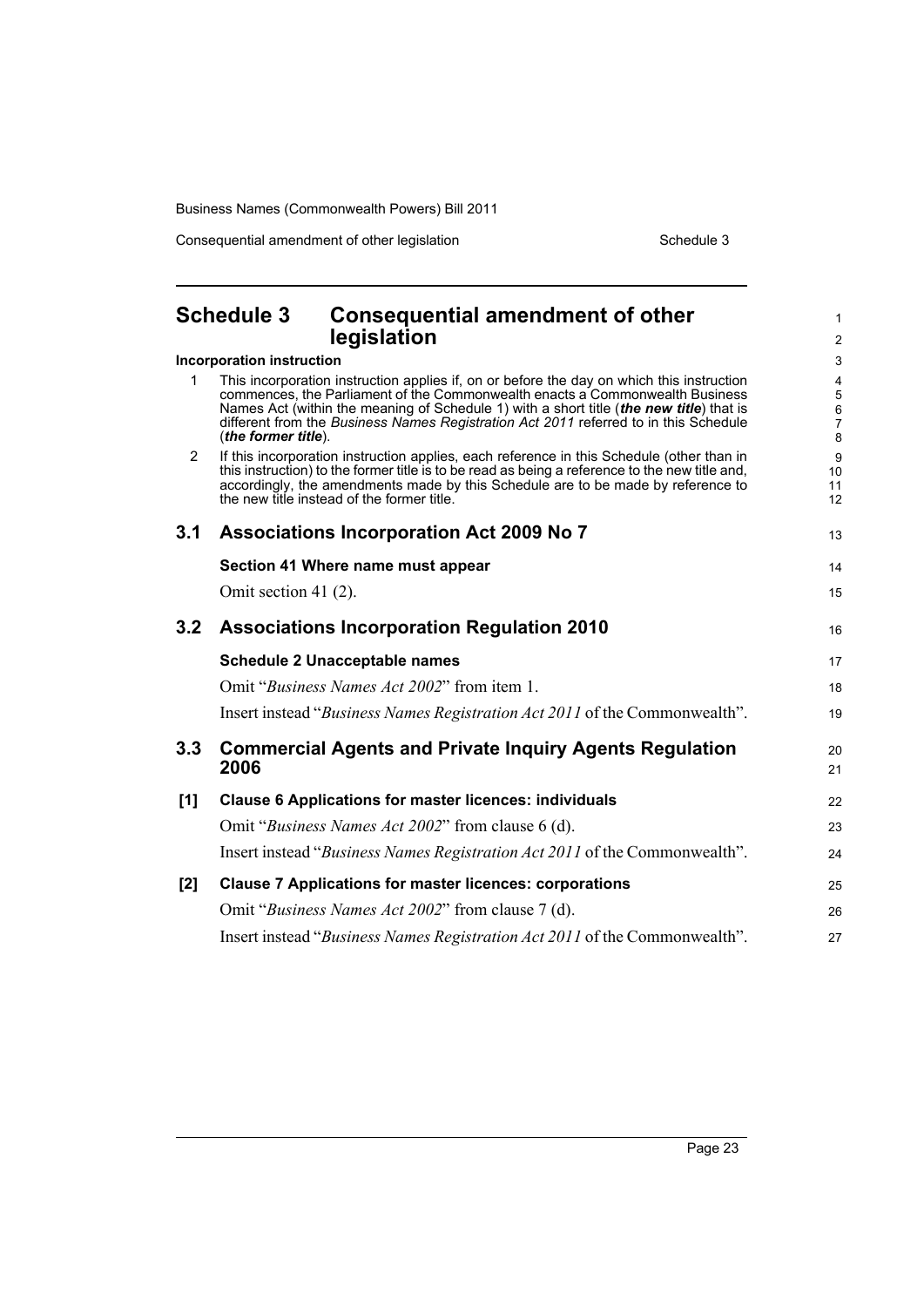Consequential amendment of other legislation Schedule 3

<span id="page-30-0"></span>

|     | <b>Schedule 3</b><br><b>Consequential amendment of other</b>                                                                                                                                                                                                                                                                                                                        | 1                       |
|-----|-------------------------------------------------------------------------------------------------------------------------------------------------------------------------------------------------------------------------------------------------------------------------------------------------------------------------------------------------------------------------------------|-------------------------|
|     | legislation                                                                                                                                                                                                                                                                                                                                                                         | $\overline{\mathbf{c}}$ |
|     | Incorporation instruction                                                                                                                                                                                                                                                                                                                                                           | 3                       |
| 1.  | This incorporation instruction applies if, on or before the day on which this instruction<br>commences, the Parliament of the Commonwealth enacts a Commonwealth Business<br>Names Act (within the meaning of Schedule 1) with a short title (the new title) that is<br>different from the Business Names Registration Act 2011 referred to in this Schedule<br>(the former title). | 4<br>5<br>6<br>7<br>8   |
| 2   | If this incorporation instruction applies, each reference in this Schedule (other than in<br>this instruction) to the former title is to be read as being a reference to the new title and,<br>accordingly, the amendments made by this Schedule are to be made by reference to<br>the new fitle instead of the former title.                                                       | 9<br>10<br>11<br>12     |
| 3.1 | <b>Associations Incorporation Act 2009 No 7</b>                                                                                                                                                                                                                                                                                                                                     | 13                      |
|     | Section 41 Where name must appear                                                                                                                                                                                                                                                                                                                                                   | 14                      |
|     | Omit section 41 (2).                                                                                                                                                                                                                                                                                                                                                                | 15                      |
| 3.2 | <b>Associations Incorporation Regulation 2010</b>                                                                                                                                                                                                                                                                                                                                   | 16                      |
|     | <b>Schedule 2 Unacceptable names</b>                                                                                                                                                                                                                                                                                                                                                | 17                      |
|     | Omit "Business Names Act 2002" from item 1.                                                                                                                                                                                                                                                                                                                                         | 18                      |
|     | Insert instead "Business Names Registration Act 2011 of the Commonwealth".                                                                                                                                                                                                                                                                                                          | 19                      |
| 3.3 | <b>Commercial Agents and Private Inquiry Agents Regulation</b><br>2006                                                                                                                                                                                                                                                                                                              | 20<br>21                |
| [1] | <b>Clause 6 Applications for master licences: individuals</b>                                                                                                                                                                                                                                                                                                                       | 22                      |
|     | Omit "Business Names Act 2002" from clause 6 (d).                                                                                                                                                                                                                                                                                                                                   | 23                      |
|     | Insert instead "Business Names Registration Act 2011 of the Commonwealth".                                                                                                                                                                                                                                                                                                          | 24                      |
| [2] | <b>Clause 7 Applications for master licences: corporations</b>                                                                                                                                                                                                                                                                                                                      | 25                      |
|     | Omit "Business Names Act 2002" from clause 7 (d).                                                                                                                                                                                                                                                                                                                                   | 26                      |
|     | Insert instead "Business Names Registration Act 2011 of the Commonwealth".                                                                                                                                                                                                                                                                                                          | 27                      |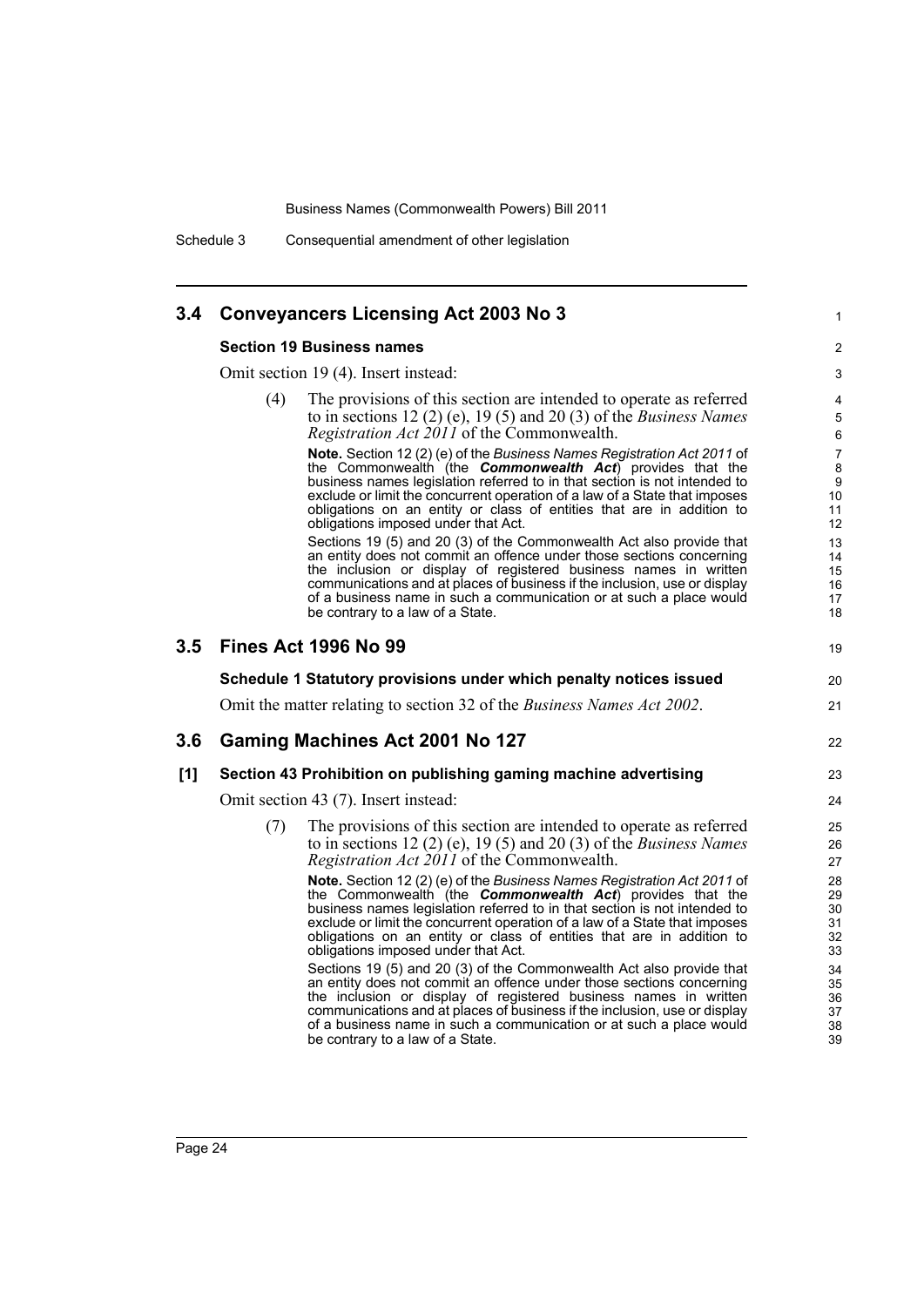Schedule 3 Consequential amendment of other legislation

# **3.4 Conveyancers Licensing Act 2003 No 3**

### **Section 19 Business names**

Omit section 19 (4). Insert instead:

(4) The provisions of this section are intended to operate as referred to in sections 12 (2) (e), 19 (5) and 20 (3) of the *Business Names Registration Act 2011* of the Commonwealth.

**Note.** Section 12 (2) (e) of the *Business Names Registration Act 2011* of the Commonwealth (the *Commonwealth Act*) provides that the business names legislation referred to in that section is not intended to exclude or limit the concurrent operation of a law of a State that imposes obligations on an entity or class of entities that are in addition to obligations imposed under that Act.

1

39

Sections 19 (5) and 20 (3) of the Commonwealth Act also provide that an entity does not commit an offence under those sections concerning the inclusion or display of registered business names in written communications and at places of business if the inclusion, use or display of a business name in such a communication or at such a place would be contrary to a law of a State.

|         |                                                                 | be contrary to a law of a State.                                                                                                                                                                                                                                                                                                                                                                                               | 18                               |  |  |  |
|---------|-----------------------------------------------------------------|--------------------------------------------------------------------------------------------------------------------------------------------------------------------------------------------------------------------------------------------------------------------------------------------------------------------------------------------------------------------------------------------------------------------------------|----------------------------------|--|--|--|
| $3.5\,$ |                                                                 | <b>Fines Act 1996 No 99</b>                                                                                                                                                                                                                                                                                                                                                                                                    | 19                               |  |  |  |
|         |                                                                 | Schedule 1 Statutory provisions under which penalty notices issued                                                                                                                                                                                                                                                                                                                                                             | 20                               |  |  |  |
|         |                                                                 | Omit the matter relating to section 32 of the <i>Business Names Act 2002</i> .                                                                                                                                                                                                                                                                                                                                                 | 21                               |  |  |  |
| 3.6     |                                                                 | Gaming Machines Act 2001 No 127                                                                                                                                                                                                                                                                                                                                                                                                | 22                               |  |  |  |
| [1]     | Section 43 Prohibition on publishing gaming machine advertising |                                                                                                                                                                                                                                                                                                                                                                                                                                |                                  |  |  |  |
|         | Omit section 43 (7). Insert instead:                            |                                                                                                                                                                                                                                                                                                                                                                                                                                |                                  |  |  |  |
|         | (7)                                                             | The provisions of this section are intended to operate as referred<br>to in sections 12 (2) (e), 19 (5) and 20 (3) of the <i>Business Names</i><br><i>Registration Act 2011</i> of the Commonwealth.                                                                                                                                                                                                                           | 25<br>26<br>27                   |  |  |  |
|         |                                                                 | <b>Note.</b> Section 12 (2) (e) of the Business Names Registration Act 2011 of<br>the Commonwealth (the <b>Commonwealth Act</b> ) provides that the<br>business names legislation referred to in that section is not intended to<br>exclude or limit the concurrent operation of a law of a State that imposes<br>obligations on an entity or class of entities that are in addition to<br>obligations imposed under that Act. | 28<br>29<br>30<br>31<br>32<br>33 |  |  |  |
|         |                                                                 | Sections 19 (5) and 20 (3) of the Commonwealth Act also provide that<br>an entity does not commit an offence under those sections concerning<br>the inclusion or display of registered business names in written<br>communications and at places of business if the inclusion, use or display<br>of a business name in such a communication or at such a place would                                                           | 34<br>35<br>36<br>37<br>38       |  |  |  |

be contrary to a law of a State.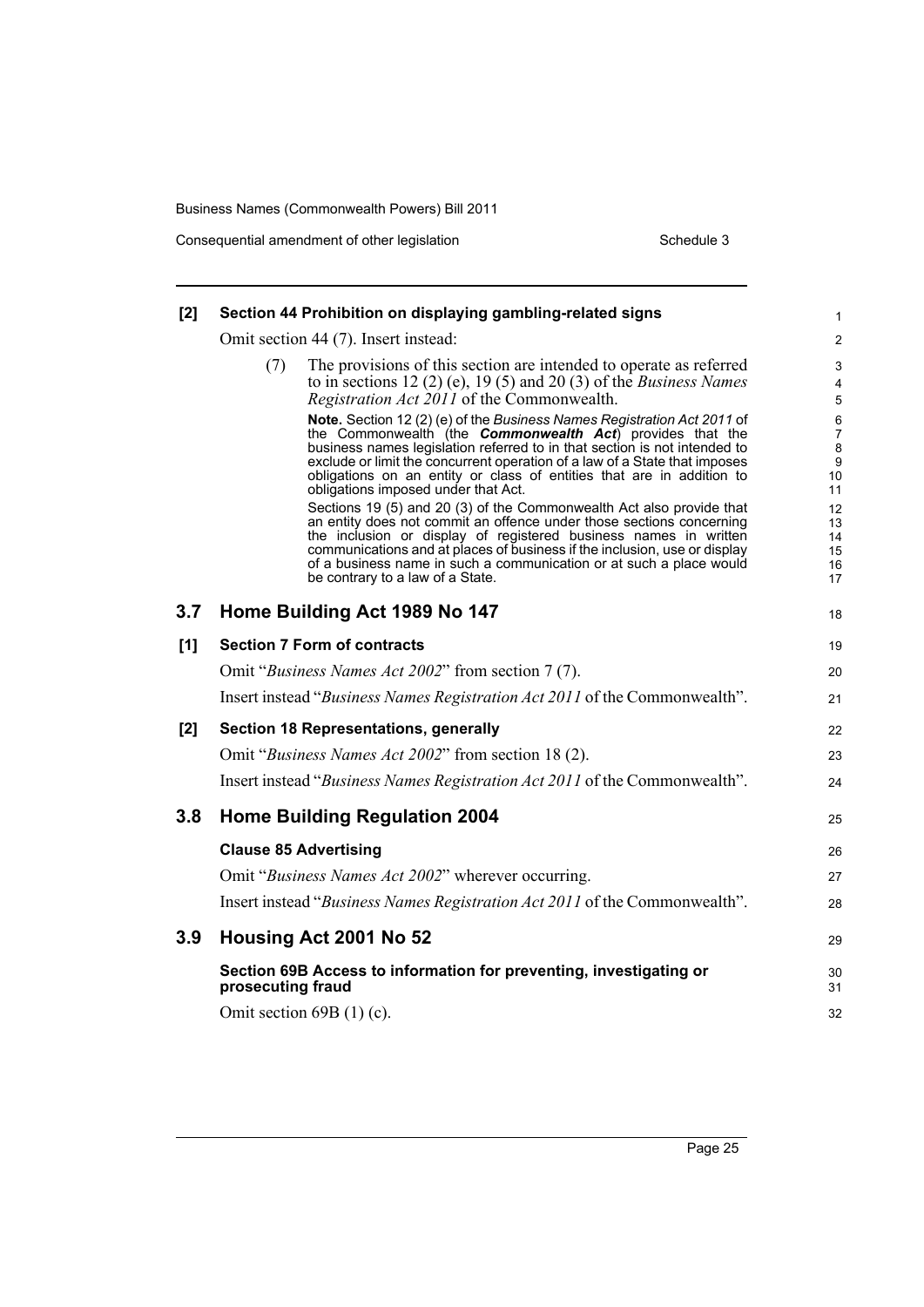Consequential amendment of other legislation Schedule 3

| [2] | Section 44 Prohibition on displaying gambling-related signs                                                                                                                                                                                                                                                                                                                                                                                                                                     | 1                                                              |
|-----|-------------------------------------------------------------------------------------------------------------------------------------------------------------------------------------------------------------------------------------------------------------------------------------------------------------------------------------------------------------------------------------------------------------------------------------------------------------------------------------------------|----------------------------------------------------------------|
|     | Omit section 44 (7). Insert instead:                                                                                                                                                                                                                                                                                                                                                                                                                                                            | $\overline{2}$                                                 |
|     | The provisions of this section are intended to operate as referred<br>(7)<br>to in sections 12 (2) (e), 19 (5) and 20 (3) of the <i>Business Names</i><br><i>Registration Act 2011</i> of the Commonwealth.                                                                                                                                                                                                                                                                                     | $\ensuremath{\mathsf{3}}$<br>4<br>$\mathbf 5$                  |
|     | Note. Section 12 (2) (e) of the Business Names Registration Act 2011 of<br>the Commonwealth (the <b>Commonwealth Act</b> ) provides that the<br>business names legislation referred to in that section is not intended to<br>exclude or limit the concurrent operation of a law of a State that imposes<br>obligations on an entity or class of entities that are in addition to<br>obligations imposed under that Act.<br>Sections 19 (5) and 20 (3) of the Commonwealth Act also provide that | 6<br>$\overline{7}$<br>8<br>$\boldsymbol{9}$<br>10<br>11<br>12 |
|     | an entity does not commit an offence under those sections concerning<br>the inclusion or display of registered business names in written<br>communications and at places of business if the inclusion, use or display<br>of a business name in such a communication or at such a place would<br>be contrary to a law of a State.                                                                                                                                                                | 13<br>14<br>15<br>16<br>17                                     |
| 3.7 | Home Building Act 1989 No 147                                                                                                                                                                                                                                                                                                                                                                                                                                                                   | 18                                                             |
| [1] | <b>Section 7 Form of contracts</b>                                                                                                                                                                                                                                                                                                                                                                                                                                                              | 19                                                             |
|     | Omit "Business Names Act 2002" from section 7 (7).                                                                                                                                                                                                                                                                                                                                                                                                                                              | 20                                                             |
|     | Insert instead "Business Names Registration Act 2011 of the Commonwealth".                                                                                                                                                                                                                                                                                                                                                                                                                      | 21                                                             |
| [2] | <b>Section 18 Representations, generally</b>                                                                                                                                                                                                                                                                                                                                                                                                                                                    | 22                                                             |
|     | Omit "Business Names Act 2002" from section 18 (2).                                                                                                                                                                                                                                                                                                                                                                                                                                             | 23                                                             |
|     | Insert instead "Business Names Registration Act 2011 of the Commonwealth".                                                                                                                                                                                                                                                                                                                                                                                                                      | 24                                                             |
| 3.8 | <b>Home Building Regulation 2004</b>                                                                                                                                                                                                                                                                                                                                                                                                                                                            | 25                                                             |
|     | <b>Clause 85 Advertising</b>                                                                                                                                                                                                                                                                                                                                                                                                                                                                    | 26                                                             |
|     | Omit "Business Names Act 2002" wherever occurring.                                                                                                                                                                                                                                                                                                                                                                                                                                              | 27                                                             |
|     | Insert instead "Business Names Registration Act 2011 of the Commonwealth".                                                                                                                                                                                                                                                                                                                                                                                                                      | 28                                                             |
| 3.9 | Housing Act 2001 No 52                                                                                                                                                                                                                                                                                                                                                                                                                                                                          | 29                                                             |
|     | Section 69B Access to information for preventing, investigating or<br>prosecuting fraud                                                                                                                                                                                                                                                                                                                                                                                                         | 30<br>31                                                       |
|     | Omit section $69B(1)(c)$ .                                                                                                                                                                                                                                                                                                                                                                                                                                                                      | 32                                                             |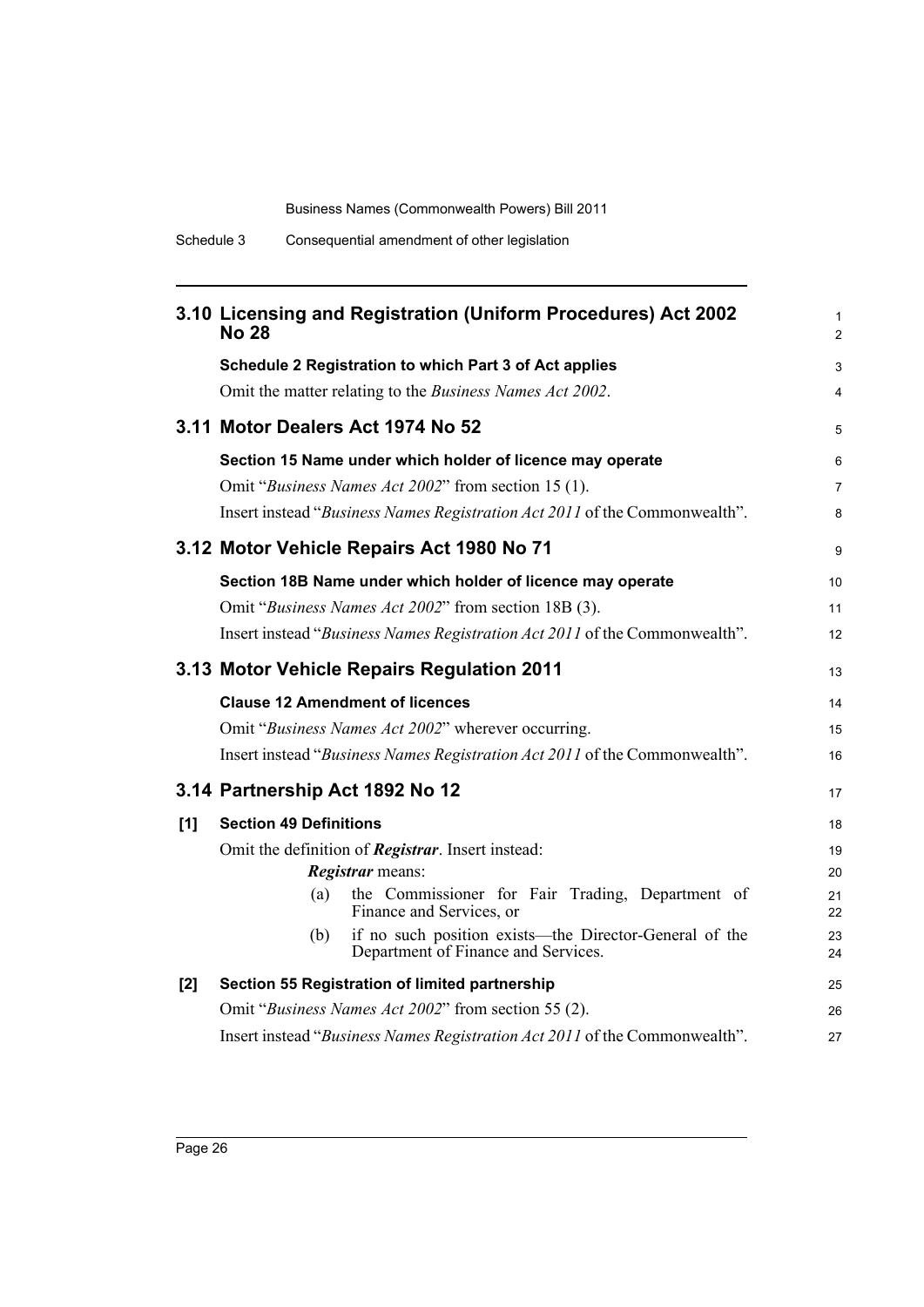|                                            | <b>No 28</b>                    | 3.10 Licensing and Registration (Uniform Procedures) Act 2002                                 | $\mathbf{1}$<br>$\overline{2}$ |  |
|--------------------------------------------|---------------------------------|-----------------------------------------------------------------------------------------------|--------------------------------|--|
|                                            |                                 | Schedule 2 Registration to which Part 3 of Act applies                                        | 3                              |  |
|                                            |                                 | Omit the matter relating to the Business Names Act 2002.                                      | 4                              |  |
| 3.11 Motor Dealers Act 1974 No 52          |                                 |                                                                                               |                                |  |
|                                            |                                 | Section 15 Name under which holder of licence may operate                                     | 6                              |  |
|                                            |                                 | Omit "Business Names Act 2002" from section 15 (1).                                           | $\overline{7}$                 |  |
|                                            |                                 | Insert instead "Business Names Registration Act 2011 of the Commonwealth".                    | 8                              |  |
|                                            |                                 | 3.12 Motor Vehicle Repairs Act 1980 No 71                                                     | 9                              |  |
|                                            |                                 | Section 18B Name under which holder of licence may operate                                    | 10                             |  |
|                                            |                                 | Omit "Business Names Act 2002" from section 18B (3).                                          | 11                             |  |
|                                            |                                 | Insert instead "Business Names Registration Act 2011 of the Commonwealth".                    | 12                             |  |
| 3.13 Motor Vehicle Repairs Regulation 2011 |                                 |                                                                                               |                                |  |
|                                            |                                 | <b>Clause 12 Amendment of licences</b>                                                        | 14                             |  |
|                                            |                                 | Omit "Business Names Act 2002" wherever occurring.                                            | 15                             |  |
|                                            |                                 | Insert instead "Business Names Registration Act 2011 of the Commonwealth".                    | 16                             |  |
|                                            | 3.14 Partnership Act 1892 No 12 |                                                                                               | 17                             |  |
| [1]                                        | <b>Section 49 Definitions</b>   |                                                                                               | 18                             |  |
|                                            |                                 | Omit the definition of Registrar. Insert instead:                                             | 19                             |  |
|                                            |                                 | Registrar means:                                                                              | 20                             |  |
|                                            | (a)                             | the Commissioner for Fair Trading, Department of<br>Finance and Services, or                  | 21<br>22                       |  |
|                                            | (b)                             | if no such position exists—the Director-General of the<br>Department of Finance and Services. | 23<br>24                       |  |
| [2]                                        |                                 | Section 55 Registration of limited partnership                                                | 25                             |  |
|                                            |                                 | Omit "Business Names Act 2002" from section 55 (2).                                           | 26                             |  |
|                                            |                                 | Insert instead "Business Names Registration Act 2011 of the Commonwealth".                    | 27                             |  |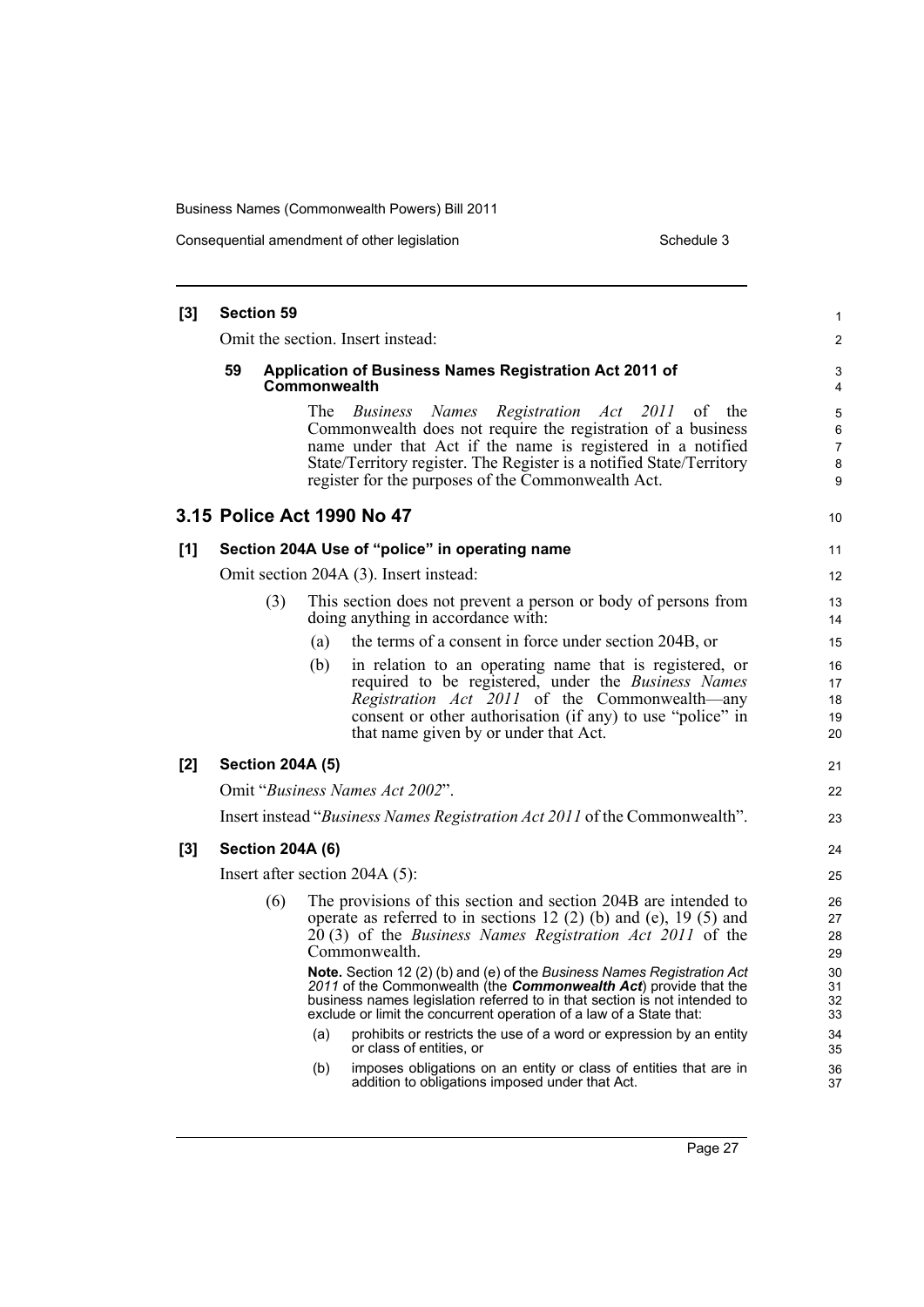| [3] | <b>Section 59</b> |     |                         |                                                                                                                                                                                                                                                                                                          |                            |  |
|-----|-------------------|-----|-------------------------|----------------------------------------------------------------------------------------------------------------------------------------------------------------------------------------------------------------------------------------------------------------------------------------------------------|----------------------------|--|
|     |                   |     |                         | Omit the section. Insert instead:                                                                                                                                                                                                                                                                        | 2                          |  |
|     | 59                |     | Commonwealth            | Application of Business Names Registration Act 2011 of                                                                                                                                                                                                                                                   | 3<br>4                     |  |
|     |                   |     | The                     | Business Names Registration Act 2011 of the<br>Commonwealth does not require the registration of a business<br>name under that Act if the name is registered in a notified<br>State/Territory register. The Register is a notified State/Territory<br>register for the purposes of the Commonwealth Act. | 5<br>6<br>7<br>8<br>9      |  |
|     |                   |     |                         | 3.15 Police Act 1990 No 47                                                                                                                                                                                                                                                                               | 10                         |  |
| [1] |                   |     |                         | Section 204A Use of "police" in operating name                                                                                                                                                                                                                                                           | 11                         |  |
|     |                   |     |                         | Omit section 204A (3). Insert instead:                                                                                                                                                                                                                                                                   | $12 \overline{ }$          |  |
|     |                   | (3) |                         | This section does not prevent a person or body of persons from<br>doing anything in accordance with:                                                                                                                                                                                                     | 13<br>14                   |  |
|     |                   |     | (a)                     | the terms of a consent in force under section 204B, or                                                                                                                                                                                                                                                   | 15                         |  |
|     |                   |     | (b)                     | in relation to an operating name that is registered, or<br>required to be registered, under the Business Names<br>Registration Act 2011 of the Commonwealth—any<br>consent or other authorisation (if any) to use "police" in<br>that name given by or under that Act.                                   | 16<br>17<br>18<br>19<br>20 |  |
| [2] |                   |     | <b>Section 204A (5)</b> |                                                                                                                                                                                                                                                                                                          | 21                         |  |
|     |                   |     |                         | Omit "Business Names Act 2002".                                                                                                                                                                                                                                                                          | 22                         |  |
|     |                   |     |                         | Insert instead "Business Names Registration Act 2011 of the Commonwealth".                                                                                                                                                                                                                               | 23                         |  |
| [3] |                   |     | <b>Section 204A (6)</b> |                                                                                                                                                                                                                                                                                                          | 24                         |  |
|     |                   |     |                         | Insert after section $204A(5)$ :                                                                                                                                                                                                                                                                         | 25                         |  |
|     |                   | (6) |                         | The provisions of this section and section 204B are intended to<br>operate as referred to in sections 12 (2) (b) and (e), 19 (5) and<br>20(3) of the <i>Business Names Registration Act 2011</i> of the<br>Commonwealth.                                                                                 | 26<br>27<br>28<br>29       |  |
|     |                   |     |                         | Note. Section 12 (2) (b) and (e) of the Business Names Registration Act<br>2011 of the Commonwealth (the <b>Commonwealth Act</b> ) provide that the<br>business names legislation referred to in that section is not intended to<br>exclude or limit the concurrent operation of a law of a State that:  | 30<br>31<br>32<br>33       |  |
|     |                   |     | (a)                     | prohibits or restricts the use of a word or expression by an entity<br>or class of entities, or                                                                                                                                                                                                          | 34<br>35                   |  |
|     |                   |     | (b)                     | imposes obligations on an entity or class of entities that are in<br>addition to obligations imposed under that Act.                                                                                                                                                                                     | 36<br>37                   |  |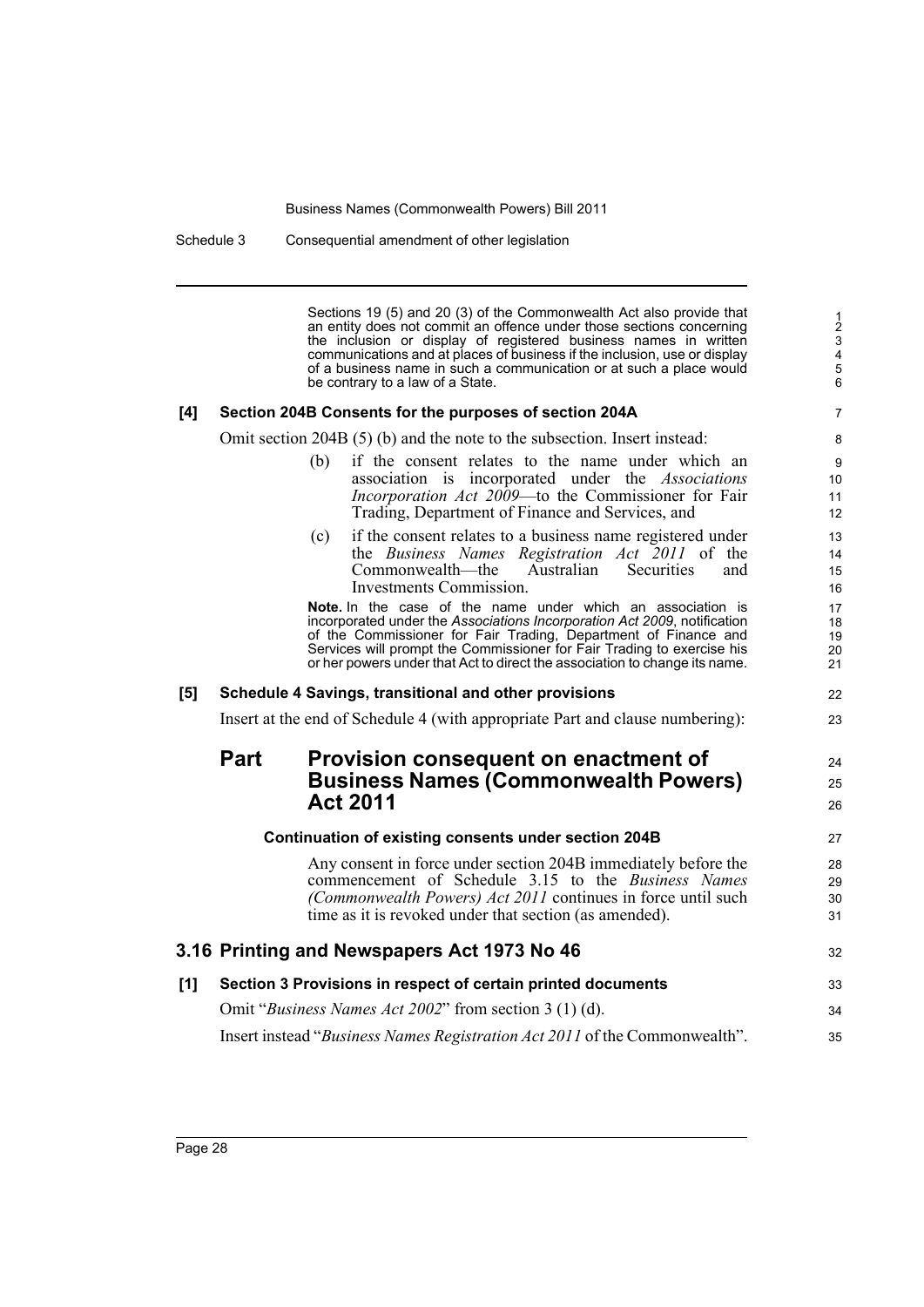Schedule 3 Consequential amendment of other legislation

Sections 19 (5) and 20 (3) of the Commonwealth Act also provide that an entity does not commit an offence under those sections concerning the inclusion or display of registered business names in written communications and at places of business if the inclusion, use or display of a business name in such a communication or at such a place would be contrary to a law of a State.

24 25 26

## **[4] Section 204B Consents for the purposes of section 204A**

Omit section 204B (5) (b) and the note to the subsection. Insert instead:

- (b) if the consent relates to the name under which an association is incorporated under the *Associations Incorporation Act 2009*—to the Commissioner for Fair Trading, Department of Finance and Services, and
- (c) if the consent relates to a business name registered under the *Business Names Registration Act 2011* of the Commonwealth—the Australian Securities and Investments Commission.

**Note.** In the case of the name under which an association is incorporated under the *Associations Incorporation Act 2009*, notification of the Commissioner for Fair Trading, Department of Finance and Services will prompt the Commissioner for Fair Trading to exercise his or her powers under that Act to direct the association to change its name.

### **[5] Schedule 4 Savings, transitional and other provisions**

Insert at the end of Schedule 4 (with appropriate Part and clause numbering):

# **Part Provision consequent on enactment of Business Names (Commonwealth Powers) Act 2011**

|     | Continuation of existing consents under section 204B                                                                                                                                                                                            |                      |  |  |
|-----|-------------------------------------------------------------------------------------------------------------------------------------------------------------------------------------------------------------------------------------------------|----------------------|--|--|
|     | Any consent in force under section 204B immediately before the<br>commencement of Schedule 3.15 to the Business Names<br>(Commonwealth Powers) Act 2011 continues in force until such<br>time as it is revoked under that section (as amended). | 28<br>29<br>30<br>31 |  |  |
|     | 3.16 Printing and Newspapers Act 1973 No 46                                                                                                                                                                                                     | 32                   |  |  |
| [1] | Section 3 Provisions in respect of certain printed documents                                                                                                                                                                                    | 33                   |  |  |
|     | Omit "Business Names Act 2002" from section 3 (1) (d).                                                                                                                                                                                          | 34                   |  |  |
|     | Insert instead "Business Names Registration Act 2011 of the Commonwealth".                                                                                                                                                                      | 35                   |  |  |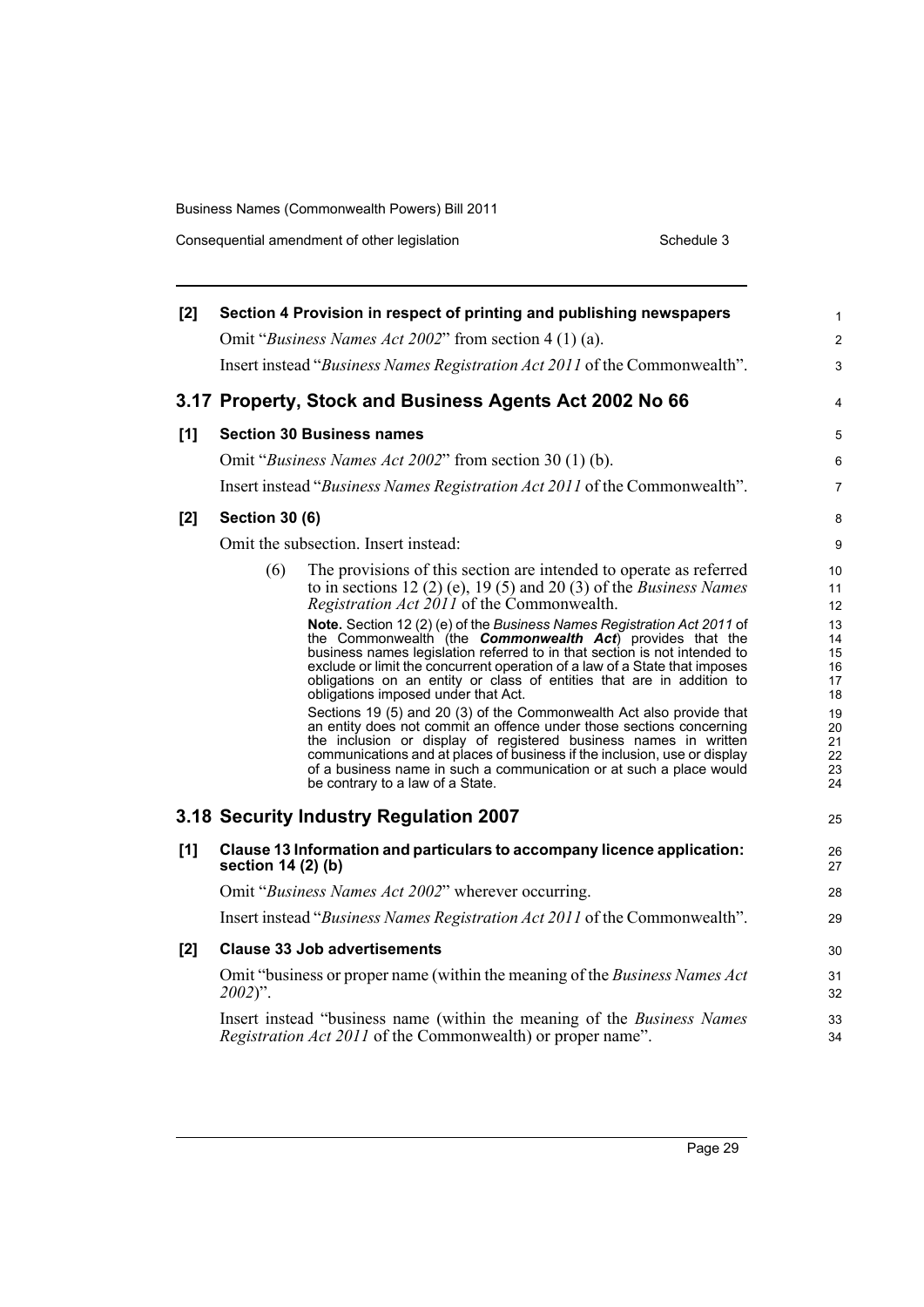Consequential amendment of other legislation Schedule 3

| [2] |                       | Section 4 Provision in respect of printing and publishing newspapers                                                                                                                                                                                                                                                                                                                                                    | $\mathbf{1}$                     |
|-----|-----------------------|-------------------------------------------------------------------------------------------------------------------------------------------------------------------------------------------------------------------------------------------------------------------------------------------------------------------------------------------------------------------------------------------------------------------------|----------------------------------|
|     |                       | Omit "Business Names Act 2002" from section 4 (1) (a).                                                                                                                                                                                                                                                                                                                                                                  | $\mathbf{2}$                     |
|     |                       | Insert instead "Business Names Registration Act 2011 of the Commonwealth".                                                                                                                                                                                                                                                                                                                                              | 3                                |
|     |                       | 3.17 Property, Stock and Business Agents Act 2002 No 66                                                                                                                                                                                                                                                                                                                                                                 | 4                                |
| [1] |                       | <b>Section 30 Business names</b>                                                                                                                                                                                                                                                                                                                                                                                        | 5                                |
|     |                       | Omit "Business Names Act 2002" from section 30 (1) (b).                                                                                                                                                                                                                                                                                                                                                                 | 6                                |
|     |                       | Insert instead "Business Names Registration Act 2011 of the Commonwealth".                                                                                                                                                                                                                                                                                                                                              | $\overline{7}$                   |
| [2] | <b>Section 30 (6)</b> |                                                                                                                                                                                                                                                                                                                                                                                                                         | 8                                |
|     |                       | Omit the subsection. Insert instead:                                                                                                                                                                                                                                                                                                                                                                                    | 9                                |
|     | (6)                   | The provisions of this section are intended to operate as referred<br>to in sections 12 (2) (e), 19 (5) and 20 (3) of the <i>Business Names</i><br>Registration Act 2011 of the Commonwealth.                                                                                                                                                                                                                           | 10 <sup>°</sup><br>11<br>12      |
|     |                       | Note. Section 12 (2) (e) of the Business Names Registration Act 2011 of<br>the Commonwealth (the <b>Commonwealth Act</b> ) provides that the<br>business names legislation referred to in that section is not intended to<br>exclude or limit the concurrent operation of a law of a State that imposes<br>obligations on an entity or class of entities that are in addition to<br>obligations imposed under that Act. | 13<br>14<br>15<br>16<br>17<br>18 |
|     |                       | Sections 19 (5) and 20 (3) of the Commonwealth Act also provide that<br>an entity does not commit an offence under those sections concerning<br>the inclusion or display of registered business names in written<br>communications and at places of business if the inclusion, use or display<br>of a business name in such a communication or at such a place would<br>be contrary to a law of a State.                | 19<br>20<br>21<br>22<br>23<br>24 |
|     |                       | 3.18 Security Industry Regulation 2007                                                                                                                                                                                                                                                                                                                                                                                  | 25                               |
| [1] | section 14 (2) (b)    | Clause 13 Information and particulars to accompany licence application:                                                                                                                                                                                                                                                                                                                                                 | 26<br>27                         |
|     |                       | Omit "Business Names Act 2002" wherever occurring.                                                                                                                                                                                                                                                                                                                                                                      | 28                               |
|     |                       | Insert instead "Business Names Registration Act 2011 of the Commonwealth".                                                                                                                                                                                                                                                                                                                                              | 29                               |
| [2] |                       | <b>Clause 33 Job advertisements</b>                                                                                                                                                                                                                                                                                                                                                                                     | 30                               |
|     | $2002$ ".             | Omit "business or proper name (within the meaning of the Business Names Act                                                                                                                                                                                                                                                                                                                                             | 31<br>32                         |
|     |                       | Insert instead "business name (within the meaning of the Business Names<br><i>Registration Act 2011</i> of the Commonwealth) or proper name".                                                                                                                                                                                                                                                                           | 33<br>34                         |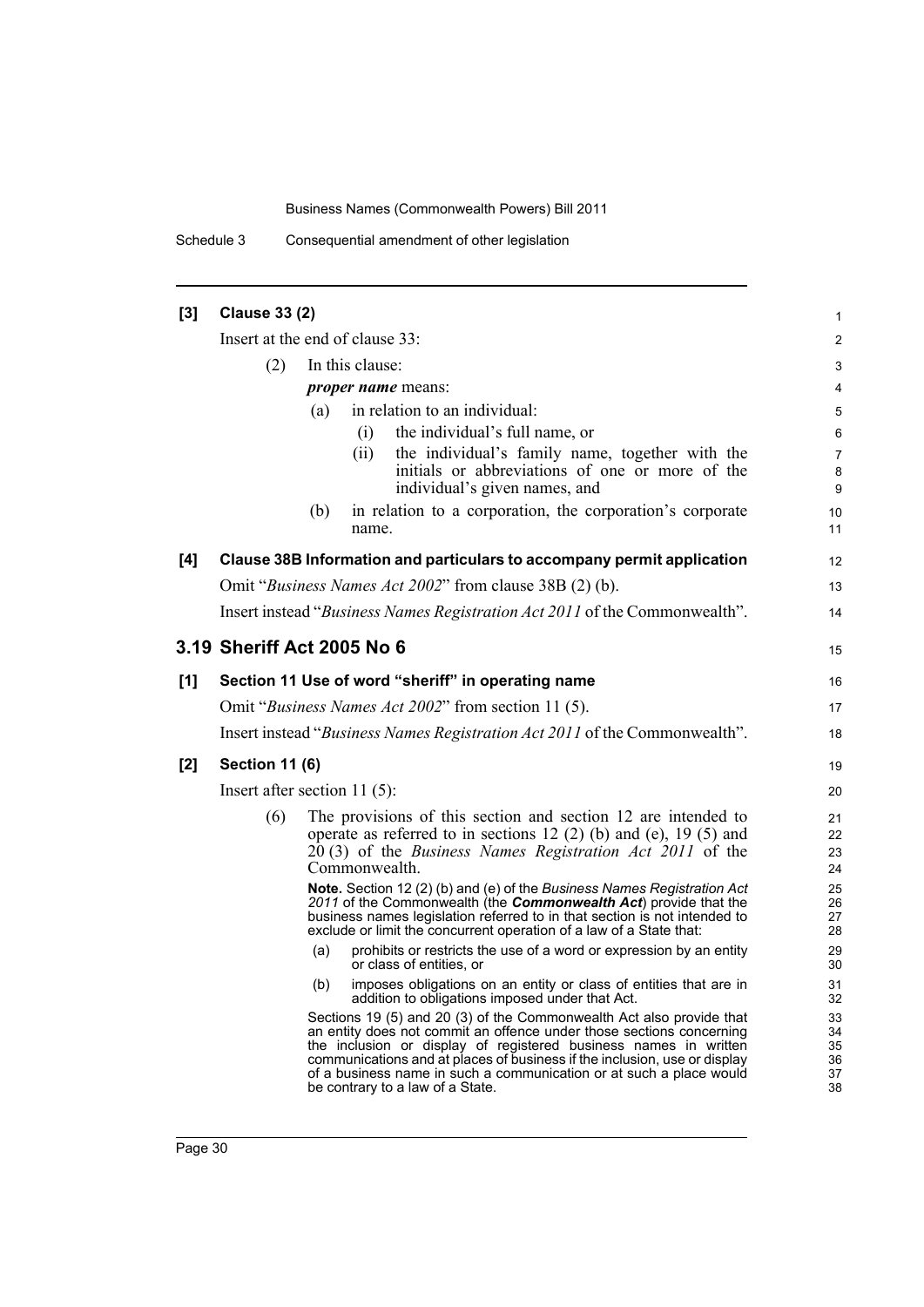Schedule 3 Consequential amendment of other legislation

| [3] | <b>Clause 33 (2)</b>                                |                 |               |                                                                                                                                                                                                                                                                                                                                                                                                          | $\mathbf{1}$                     |
|-----|-----------------------------------------------------|-----------------|---------------|----------------------------------------------------------------------------------------------------------------------------------------------------------------------------------------------------------------------------------------------------------------------------------------------------------------------------------------------------------------------------------------------------------|----------------------------------|
|     | Insert at the end of clause 33:                     |                 |               |                                                                                                                                                                                                                                                                                                                                                                                                          | 2                                |
|     | (2)                                                 | In this clause: |               |                                                                                                                                                                                                                                                                                                                                                                                                          |                                  |
|     |                                                     |                 |               | <i>proper name</i> means:                                                                                                                                                                                                                                                                                                                                                                                | 4                                |
|     |                                                     | (a)             |               | in relation to an individual:                                                                                                                                                                                                                                                                                                                                                                            | 5                                |
|     |                                                     |                 | (i)           | the individual's full name, or                                                                                                                                                                                                                                                                                                                                                                           | 6                                |
|     |                                                     |                 | (ii)          | the individual's family name, together with the<br>initials or abbreviations of one or more of the<br>individual's given names, and                                                                                                                                                                                                                                                                      | $\overline{7}$<br>8<br>9         |
|     |                                                     | (b)             | name.         | in relation to a corporation, the corporation's corporate                                                                                                                                                                                                                                                                                                                                                | 10<br>11                         |
| [4] |                                                     |                 |               | Clause 38B Information and particulars to accompany permit application                                                                                                                                                                                                                                                                                                                                   | 12                               |
|     |                                                     |                 |               | Omit "Business Names Act 2002" from clause 38B (2) (b).                                                                                                                                                                                                                                                                                                                                                  | 13                               |
|     |                                                     |                 |               | Insert instead "Business Names Registration Act 2011 of the Commonwealth".                                                                                                                                                                                                                                                                                                                               | 14                               |
|     | 3.19 Sheriff Act 2005 No 6                          |                 |               |                                                                                                                                                                                                                                                                                                                                                                                                          | 15                               |
| [1] |                                                     |                 |               | Section 11 Use of word "sheriff" in operating name                                                                                                                                                                                                                                                                                                                                                       | 16                               |
|     | Omit "Business Names Act 2002" from section 11 (5). |                 |               |                                                                                                                                                                                                                                                                                                                                                                                                          |                                  |
|     |                                                     |                 |               | Insert instead "Business Names Registration Act 2011 of the Commonwealth".                                                                                                                                                                                                                                                                                                                               | 18                               |
| [2] | <b>Section 11 (6)</b>                               |                 |               |                                                                                                                                                                                                                                                                                                                                                                                                          |                                  |
|     | Insert after section $11(5)$ :                      |                 |               |                                                                                                                                                                                                                                                                                                                                                                                                          |                                  |
|     | (6)                                                 |                 | Commonwealth. | The provisions of this section and section 12 are intended to<br>operate as referred to in sections 12 (2) (b) and (e), 19 (5) and<br>$20(3)$ of the <i>Business Names Registration Act 2011</i> of the                                                                                                                                                                                                  | 21<br>22<br>23<br>24             |
|     |                                                     |                 |               | Note. Section 12 (2) (b) and (e) of the Business Names Registration Act<br>2011 of the Commonwealth (the <b>Commonwealth Act</b> ) provide that the<br>business names legislation referred to in that section is not intended to<br>exclude or limit the concurrent operation of a law of a State that:                                                                                                  | 25<br>26<br>27<br>28             |
|     |                                                     | (a)             |               | prohibits or restricts the use of a word or expression by an entity<br>or class of entities, or                                                                                                                                                                                                                                                                                                          | 29<br>30                         |
|     |                                                     | (b)             |               | imposes obligations on an entity or class of entities that are in<br>addition to obligations imposed under that Act.                                                                                                                                                                                                                                                                                     | 31<br>32                         |
|     |                                                     |                 |               | Sections 19 (5) and 20 (3) of the Commonwealth Act also provide that<br>an entity does not commit an offence under those sections concerning<br>the inclusion or display of registered business names in written<br>communications and at places of business if the inclusion, use or display<br>of a business name in such a communication or at such a place would<br>be contrary to a law of a State. | 33<br>34<br>35<br>36<br>37<br>38 |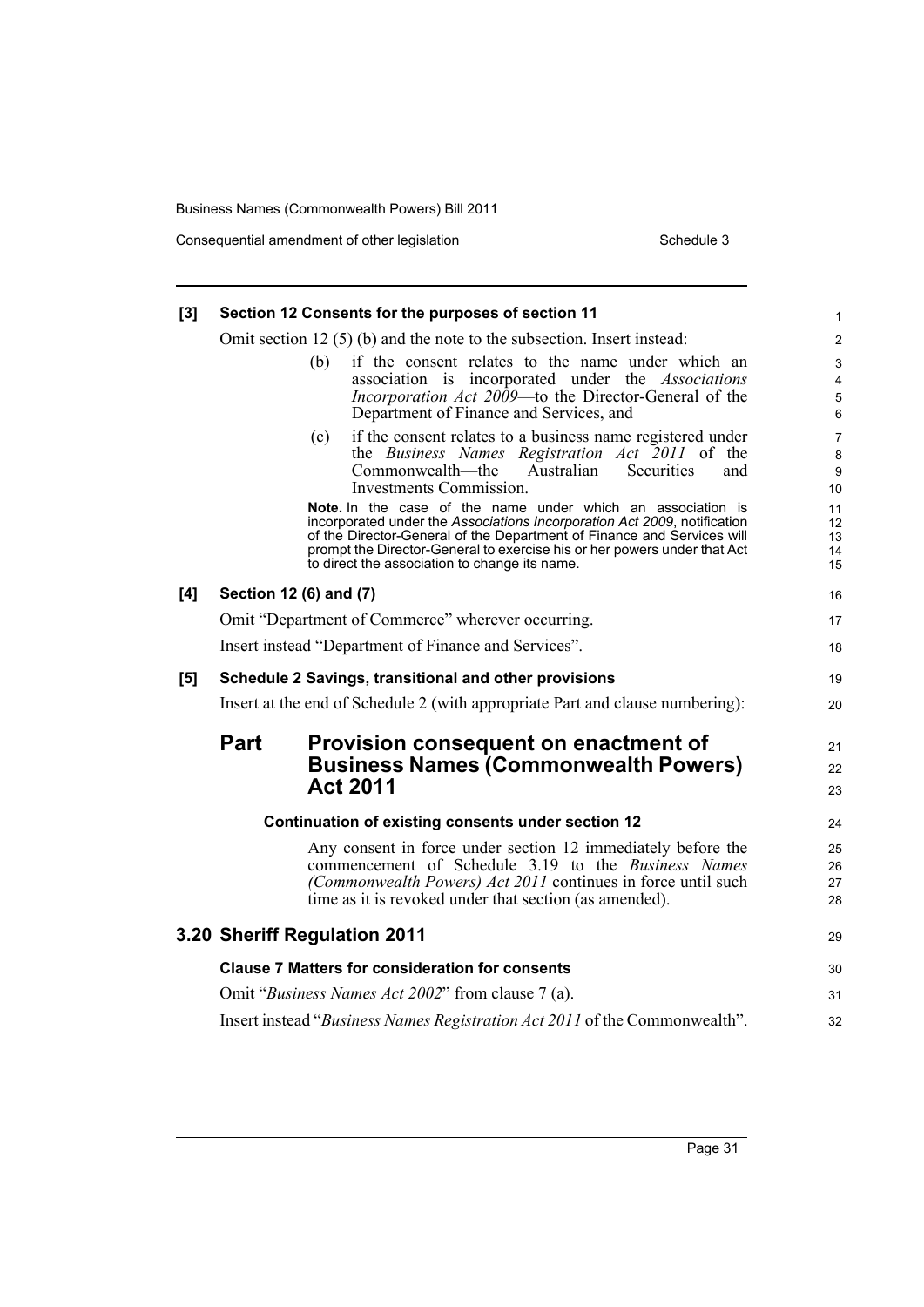Consequential amendment of other legislation Schedule 3

| [3] | Section 12 Consents for the purposes of section 11                                                                                                                                                                                                                                                                                             | 1                          |  |  |  |  |  |
|-----|------------------------------------------------------------------------------------------------------------------------------------------------------------------------------------------------------------------------------------------------------------------------------------------------------------------------------------------------|----------------------------|--|--|--|--|--|
|     | Omit section 12 $(5)$ (b) and the note to the subsection. Insert instead:                                                                                                                                                                                                                                                                      |                            |  |  |  |  |  |
|     | if the consent relates to the name under which an<br>(b)<br>association is incorporated under the Associations<br><i>Incorporation Act 2009</i> —to the Director-General of the<br>Department of Finance and Services, and                                                                                                                     | 3<br>4<br>5<br>6           |  |  |  |  |  |
|     | (c)<br>if the consent relates to a business name registered under<br>the Business Names Registration Act 2011 of the<br>Commonwealth—the<br>Australian<br><b>Securities</b><br>and<br>Investments Commission.                                                                                                                                  | 7<br>8<br>9<br>10          |  |  |  |  |  |
|     | Note. In the case of the name under which an association is<br>incorporated under the Associations Incorporation Act 2009, notification<br>of the Director-General of the Department of Finance and Services will<br>prompt the Director-General to exercise his or her powers under that Act<br>to direct the association to change its name. | 11<br>12<br>13<br>14<br>15 |  |  |  |  |  |
| [4] | Section 12 (6) and (7)                                                                                                                                                                                                                                                                                                                         | 16                         |  |  |  |  |  |
|     | Omit "Department of Commerce" wherever occurring.                                                                                                                                                                                                                                                                                              | 17                         |  |  |  |  |  |
|     | Insert instead "Department of Finance and Services".                                                                                                                                                                                                                                                                                           | 18                         |  |  |  |  |  |
| [5] | Schedule 2 Savings, transitional and other provisions                                                                                                                                                                                                                                                                                          | 19                         |  |  |  |  |  |
|     | Insert at the end of Schedule 2 (with appropriate Part and clause numbering):                                                                                                                                                                                                                                                                  | 20                         |  |  |  |  |  |
|     | Part<br>Provision consequent on enactment of<br><b>Business Names (Commonwealth Powers)</b><br><b>Act 2011</b>                                                                                                                                                                                                                                 | 21<br>22<br>23             |  |  |  |  |  |
|     | Continuation of existing consents under section 12                                                                                                                                                                                                                                                                                             | 24                         |  |  |  |  |  |
|     | Any consent in force under section 12 immediately before the<br>commencement of Schedule 3.19 to the Business Names<br>(Commonwealth Powers) Act 2011 continues in force until such<br>time as it is revoked under that section (as amended).                                                                                                  | 25<br>26<br>27<br>28       |  |  |  |  |  |
|     | 3.20 Sheriff Regulation 2011                                                                                                                                                                                                                                                                                                                   | 29                         |  |  |  |  |  |
|     | <b>Clause 7 Matters for consideration for consents</b>                                                                                                                                                                                                                                                                                         | 30                         |  |  |  |  |  |
|     | Omit "Business Names Act 2002" from clause 7 (a).                                                                                                                                                                                                                                                                                              | 31                         |  |  |  |  |  |
|     | Insert instead "Business Names Registration Act 2011 of the Commonwealth".                                                                                                                                                                                                                                                                     | 32                         |  |  |  |  |  |

Page 31